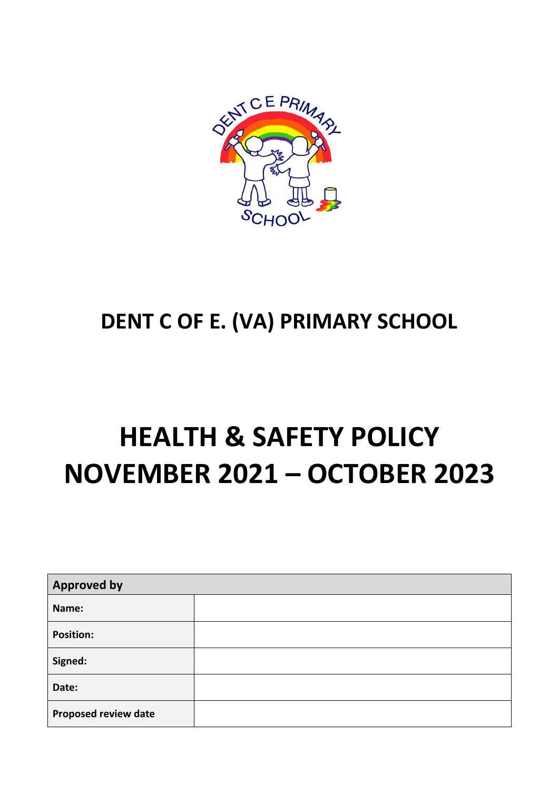

## **DENT C OF E. (VA) PRIMARY SCHOOL**

## **HEALTH & SAFETY POLICY NOVEMBER 2021 – OCTOBER 2023**

| <b>Approved by</b>          |  |  |
|-----------------------------|--|--|
| Name:                       |  |  |
| <b>Position:</b>            |  |  |
| Signed:                     |  |  |
| Date:                       |  |  |
| <b>Proposed review date</b> |  |  |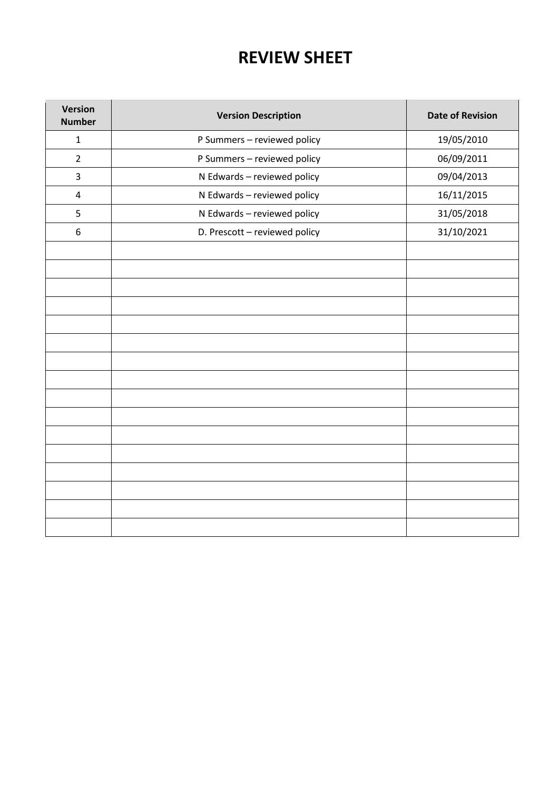## **2. REVIEW SHEET**

| <b>Version</b><br><b>Number</b> | <b>Version Description</b>    | <b>Date of Revision</b> |
|---------------------------------|-------------------------------|-------------------------|
| $\mathbf{1}$                    | P Summers - reviewed policy   | 19/05/2010              |
| $\overline{2}$                  | P Summers - reviewed policy   | 06/09/2011              |
| $\overline{3}$                  | N Edwards - reviewed policy   | 09/04/2013              |
| $\overline{a}$                  | N Edwards - reviewed policy   | 16/11/2015              |
| 5                               | N Edwards - reviewed policy   | 31/05/2018              |
| 6                               | D. Prescott - reviewed policy | 31/10/2021              |
|                                 |                               |                         |
|                                 |                               |                         |
|                                 |                               |                         |
|                                 |                               |                         |
|                                 |                               |                         |
|                                 |                               |                         |
|                                 |                               |                         |
|                                 |                               |                         |
|                                 |                               |                         |
|                                 |                               |                         |
|                                 |                               |                         |
|                                 |                               |                         |
|                                 |                               |                         |
|                                 |                               |                         |
|                                 |                               |                         |
|                                 |                               |                         |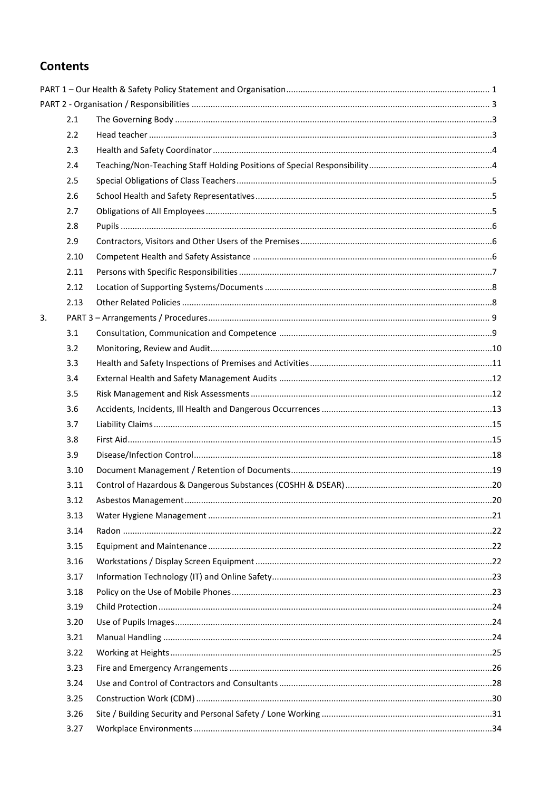#### **Contents**

|    | 2.1  |  |
|----|------|--|
|    | 2.2  |  |
|    | 2.3  |  |
|    | 2.4  |  |
|    | 2.5  |  |
|    | 2.6  |  |
|    | 2.7  |  |
|    | 2.8  |  |
|    | 2.9  |  |
|    | 2.10 |  |
|    | 2.11 |  |
|    | 2.12 |  |
|    | 2.13 |  |
| 3. |      |  |
|    | 3.1  |  |
|    | 3.2  |  |
|    | 3.3  |  |
|    | 3.4  |  |
|    | 3.5  |  |
|    | 3.6  |  |
|    | 3.7  |  |
|    | 3.8  |  |
|    | 3.9  |  |
|    | 3.10 |  |
|    | 3.11 |  |
|    | 3.12 |  |
|    | 3.13 |  |
|    | 3.14 |  |
|    | 3.15 |  |
|    | 3.16 |  |
|    | 3.17 |  |
|    | 3.18 |  |
|    | 3.19 |  |
|    | 3.20 |  |
|    | 3.21 |  |
|    | 3.22 |  |
|    | 3.23 |  |
|    | 3.24 |  |
|    | 3.25 |  |
|    | 3.26 |  |
|    | 3.27 |  |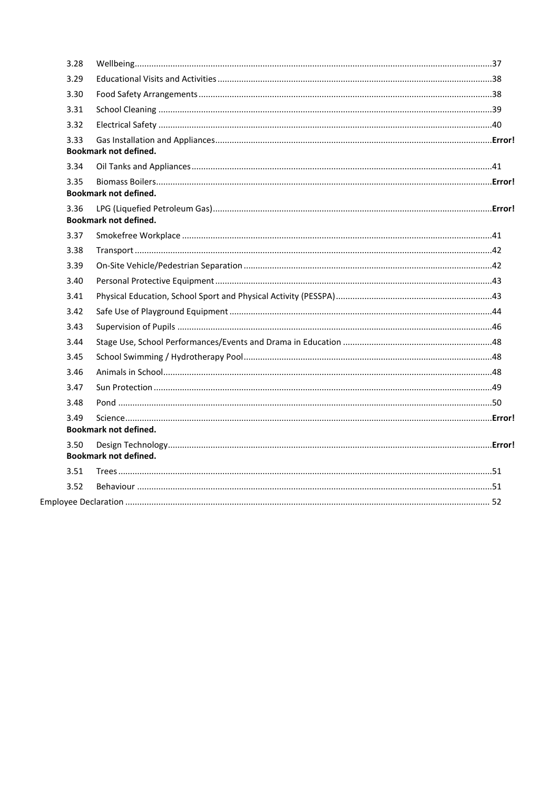| 3.28 |                              |  |
|------|------------------------------|--|
| 3.29 |                              |  |
| 3.30 |                              |  |
| 3.31 |                              |  |
| 3.32 |                              |  |
| 3.33 | <b>Bookmark not defined.</b> |  |
| 3.34 |                              |  |
| 3.35 | <b>Bookmark not defined.</b> |  |
| 3.36 | <b>Bookmark not defined.</b> |  |
| 3.37 |                              |  |
| 3.38 |                              |  |
| 3.39 |                              |  |
| 3.40 |                              |  |
| 3.41 |                              |  |
| 3.42 |                              |  |
| 3.43 |                              |  |
| 3.44 |                              |  |
| 3.45 |                              |  |
| 3.46 |                              |  |
| 3.47 |                              |  |
| 3.48 |                              |  |
| 3.49 | <b>Bookmark not defined.</b> |  |
| 3.50 | <b>Bookmark not defined.</b> |  |
| 3.51 |                              |  |
| 3.52 |                              |  |
|      |                              |  |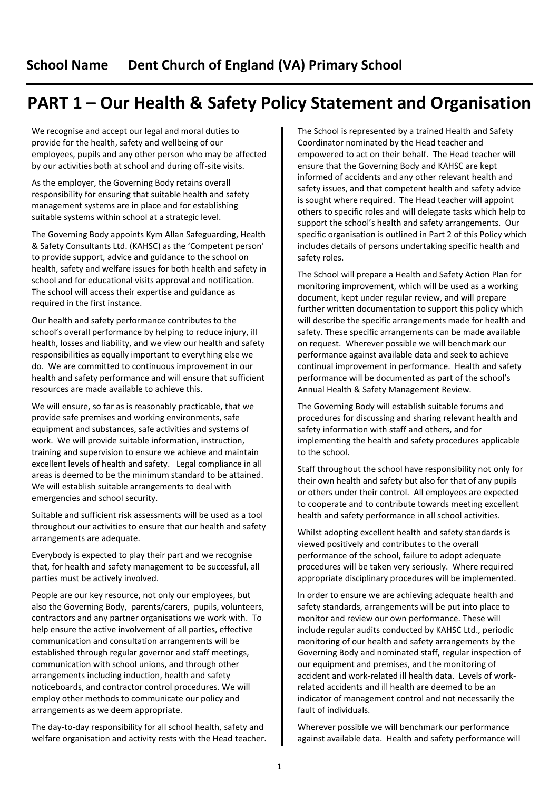## <span id="page-4-0"></span>**PART 1 – Our Health & Safety Policy Statement and Organisation**

We recognise and accept our legal and moral duties to provide for the health, safety and wellbeing of our employees, pupils and any other person who may be affected by our activities both at school and during off-site visits.

As the employer, the Governing Body retains overall responsibility for ensuring that suitable health and safety management systems are in place and for establishing suitable systems within school at a strategic level.

The Governing Body appoints Kym Allan Safeguarding, Health & Safety Consultants Ltd. (KAHSC) as the 'Competent person' to provide support, advice and guidance to the school on health, safety and welfare issues for both health and safety in school and for educational visits approval and notification. The school will access their expertise and guidance as required in the first instance.

Our health and safety performance contributes to the school's overall performance by helping to reduce injury, ill health, losses and liability, and we view our health and safety responsibilities as equally important to everything else we do. We are committed to continuous improvement in our health and safety performance and will ensure that sufficient resources are made available to achieve this.

We will ensure, so far as is reasonably practicable, that we provide safe premises and working environments, safe equipment and substances, safe activities and systems of work. We will provide suitable information, instruction, training and supervision to ensure we achieve and maintain excellent levels of health and safety. Legal compliance in all areas is deemed to be the minimum standard to be attained. We will establish suitable arrangements to deal with emergencies and school security.

Suitable and sufficient risk assessments will be used as a tool throughout our activities to ensure that our health and safety arrangements are adequate.

Everybody is expected to play their part and we recognise that, for health and safety management to be successful, all parties must be actively involved.

People are our key resource, not only our employees, but also the Governing Body, parents/carers, pupils, volunteers, contractors and any partner organisations we work with. To help ensure the active involvement of all parties, effective communication and consultation arrangements will be established through regular governor and staff meetings, communication with school unions, and through other arrangements including induction, health and safety noticeboards, and contractor control procedures. We will employ other methods to communicate our policy and arrangements as we deem appropriate.

The day-to-day responsibility for all school health, safety and welfare organisation and activity rests with the Head teacher. The School is represented by a trained Health and Safety Coordinator nominated by the Head teacher and empowered to act on their behalf. The Head teacher will ensure that the Governing Body and KAHSC are kept informed of accidents and any other relevant health and safety issues, and that competent health and safety advice is sought where required. The Head teacher will appoint others to specific roles and will delegate tasks which help to support the school's health and safety arrangements. Our specific organisation is outlined in Part 2 of this Policy which includes details of persons undertaking specific health and safety roles.

The School will prepare a Health and Safety Action Plan for monitoring improvement, which will be used as a working document, kept under regular review, and will prepare further written documentation to support this policy which will describe the specific arrangements made for health and safety. These specific arrangements can be made available on request. Wherever possible we will benchmark our performance against available data and seek to achieve continual improvement in performance. Health and safety performance will be documented as part of the school's Annual Health & Safety Management Review.

The Governing Body will establish suitable forums and procedures for discussing and sharing relevant health and safety information with staff and others, and for implementing the health and safety procedures applicable to the school.

Staff throughout the school have responsibility not only for their own health and safety but also for that of any pupils or others under their control. All employees are expected to cooperate and to contribute towards meeting excellent health and safety performance in all school activities.

Whilst adopting excellent health and safety standards is viewed positively and contributes to the overall performance of the school, failure to adopt adequate procedures will be taken very seriously. Where required appropriate disciplinary procedures will be implemented.

In order to ensure we are achieving adequate health and safety standards, arrangements will be put into place to monitor and review our own performance. These will include regular audits conducted by KAHSC Ltd., periodic monitoring of our health and safety arrangements by the Governing Body and nominated staff, regular inspection of our equipment and premises, and the monitoring of accident and work-related ill health data. Levels of workrelated accidents and ill health are deemed to be an indicator of management control and not necessarily the fault of individuals.

Wherever possible we will benchmark our performance against available data. Health and safety performance will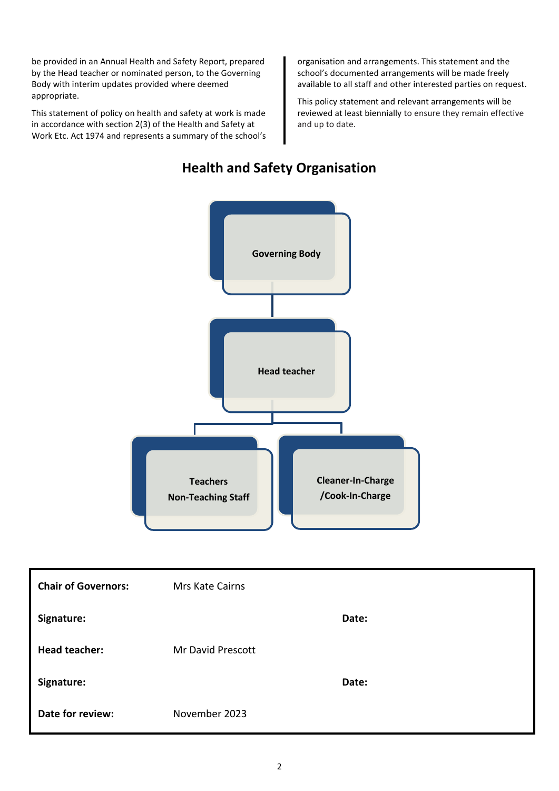be provided in an Annual Health and Safety Report, prepared by the Head teacher or nominated person, to the Governing Body with interim updates provided where deemed appropriate.

This statement of policy on health and safety at work is made in accordance with section 2(3) of the Health and Safety at Work Etc. Act 1974 and represents a summary of the school's

organisation and arrangements. This statement and the school's documented arrangements will be made freely available to all staff and other interested parties on request.

This policy statement and relevant arrangements will be reviewed at least biennially to ensure they remain effective and up to date.

# **Governing Body Head teacher Teachers Non-Teaching Staff Cleaner-In-Charge /Cook-In-Charge**

### **Health and Safety Organisation**

| <b>Chair of Governors:</b> | Mrs Kate Cairns   |       |
|----------------------------|-------------------|-------|
| Signature:                 |                   | Date: |
| <b>Head teacher:</b>       | Mr David Prescott |       |
| Signature:                 |                   | Date: |
| Date for review:           | November 2023     |       |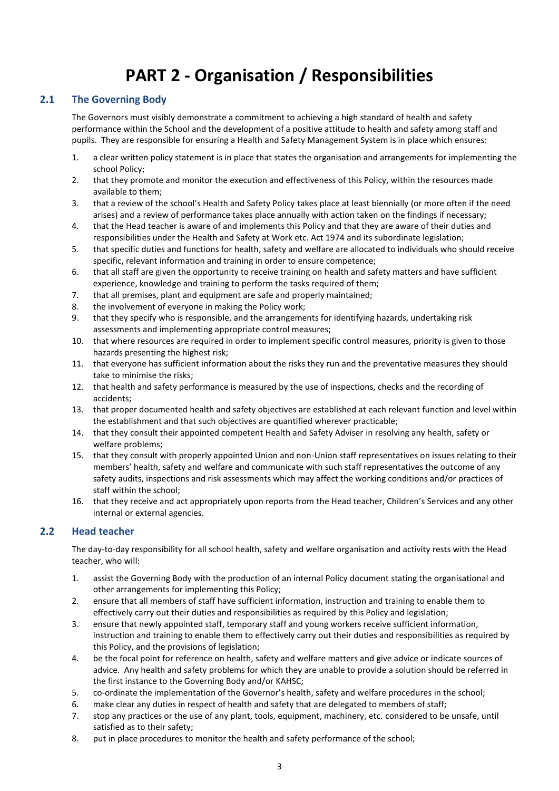## **PART 2 - Organisation / Responsibilities**

#### <span id="page-6-1"></span><span id="page-6-0"></span>**2.1 The Governing Body**

The Governors must visibly demonstrate a commitment to achieving a high standard of health and safety performance within the School and the development of a positive attitude to health and safety among staff and pupils. They are responsible for ensuring a Health and Safety Management System is in place which ensures:

- 1. a clear written policy statement is in place that states the organisation and arrangements for implementing the school Policy;
- 2. that they promote and monitor the execution and effectiveness of this Policy, within the resources made available to them;
- 3. that a review of the school's Health and Safety Policy takes place at least biennially (or more often if the need arises) and a review of performance takes place annually with action taken on the findings if necessary;
- 4. that the Head teacher is aware of and implements this Policy and that they are aware of their duties and responsibilities under the Health and Safety at Work etc. Act 1974 and its subordinate legislation;
- 5. that specific duties and functions for health, safety and welfare are allocated to individuals who should receive specific, relevant information and training in order to ensure competence;
- 6. that all staff are given the opportunity to receive training on health and safety matters and have sufficient experience, knowledge and training to perform the tasks required of them;
- 7. that all premises, plant and equipment are safe and properly maintained;
- 8. the involvement of everyone in making the Policy work;
- 9. that they specify who is responsible, and the arrangements for identifying hazards, undertaking risk assessments and implementing appropriate control measures;
- 10. that where resources are required in order to implement specific control measures, priority is given to those hazards presenting the highest risk;
- 11. that everyone has sufficient information about the risks they run and the preventative measures they should take to minimise the risks;
- 12. that health and safety performance is measured by the use of inspections, checks and the recording of accidents;
- 13. that proper documented health and safety objectives are established at each relevant function and level within the establishment and that such objectives are quantified wherever practicable;
- 14. that they consult their appointed competent Health and Safety Adviser in resolving any health, safety or welfare problems;
- 15. that they consult with properly appointed Union and non-Union staff representatives on issues relating to their members' health, safety and welfare and communicate with such staff representatives the outcome of any safety audits, inspections and risk assessments which may affect the working conditions and/or practices of staff within the school;
- 16. that they receive and act appropriately upon reports from the Head teacher, Children's Services and any other internal or external agencies.

#### <span id="page-6-2"></span>**2.2 Head teacher**

The day-to-day responsibility for all school health, safety and welfare organisation and activity rests with the Head teacher, who will:

- 1. assist the Governing Body with the production of an internal Policy document stating the organisational and other arrangements for implementing this Policy;
- 2. ensure that all members of staff have sufficient information, instruction and training to enable them to effectively carry out their duties and responsibilities as required by this Policy and legislation;
- 3. ensure that newly appointed staff, temporary staff and young workers receive sufficient information, instruction and training to enable them to effectively carry out their duties and responsibilities as required by this Policy, and the provisions of legislation;
- 4. be the focal point for reference on health, safety and welfare matters and give advice or indicate sources of advice. Any health and safety problems for which they are unable to provide a solution should be referred in the first instance to the Governing Body and/or KAHSC;
- 5. co-ordinate the implementation of the Governor's health, safety and welfare procedures in the school;
- 6. make clear any duties in respect of health and safety that are delegated to members of staff;
- 7. stop any practices or the use of any plant, tools, equipment, machinery, etc. considered to be unsafe, until satisfied as to their safety;
- 8. put in place procedures to monitor the health and safety performance of the school;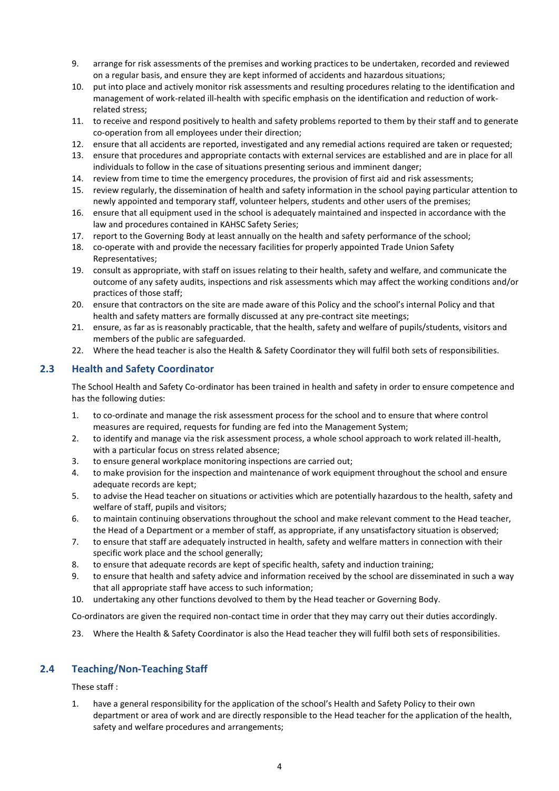- 9. arrange for risk assessments of the premises and working practices to be undertaken, recorded and reviewed on a regular basis, and ensure they are kept informed of accidents and hazardous situations;
- 10. put into place and actively monitor risk assessments and resulting procedures relating to the identification and management of work-related ill-health with specific emphasis on the identification and reduction of workrelated stress;
- 11. to receive and respond positively to health and safety problems reported to them by their staff and to generate co-operation from all employees under their direction;
- 12. ensure that all accidents are reported, investigated and any remedial actions required are taken or requested;
- 13. ensure that procedures and appropriate contacts with external services are established and are in place for all individuals to follow in the case of situations presenting serious and imminent danger;
- 14. review from time to time the emergency procedures, the provision of first aid and risk assessments;
- 15. review regularly, the dissemination of health and safety information in the school paying particular attention to newly appointed and temporary staff, volunteer helpers, students and other users of the premises;
- 16. ensure that all equipment used in the school is adequately maintained and inspected in accordance with the law and procedures contained in KAHSC Safety Series;
- 17. report to the Governing Body at least annually on the health and safety performance of the school;
- 18. co-operate with and provide the necessary facilities for properly appointed Trade Union Safety Representatives;
- 19. consult as appropriate, with staff on issues relating to their health, safety and welfare, and communicate the outcome of any safety audits, inspections and risk assessments which may affect the working conditions and/or practices of those staff;
- 20. ensure that contractors on the site are made aware of this Policy and the school's internal Policy and that health and safety matters are formally discussed at any pre-contract site meetings;
- 21. ensure, as far as is reasonably practicable, that the health, safety and welfare of pupils/students, visitors and members of the public are safeguarded.
- 22. Where the head teacher is also the Health & Safety Coordinator they will fulfil both sets of responsibilities.

#### <span id="page-7-0"></span>**2.3 Health and Safety Coordinator**

The School Health and Safety Co-ordinator has been trained in health and safety in order to ensure competence and has the following duties:

- 1. to co-ordinate and manage the risk assessment process for the school and to ensure that where control measures are required, requests for funding are fed into the Management System;
- 2. to identify and manage via the risk assessment process, a whole school approach to work related ill-health, with a particular focus on stress related absence;
- 3. to ensure general workplace monitoring inspections are carried out;
- 4. to make provision for the inspection and maintenance of work equipment throughout the school and ensure adequate records are kept;
- 5. to advise the Head teacher on situations or activities which are potentially hazardous to the health, safety and welfare of staff, pupils and visitors;
- 6. to maintain continuing observations throughout the school and make relevant comment to the Head teacher, the Head of a Department or a member of staff, as appropriate, if any unsatisfactory situation is observed;
- 7. to ensure that staff are adequately instructed in health, safety and welfare matters in connection with their specific work place and the school generally;
- 8. to ensure that adequate records are kept of specific health, safety and induction training;
- 9. to ensure that health and safety advice and information received by the school are disseminated in such a way that all appropriate staff have access to such information;
- 10. undertaking any other functions devolved to them by the Head teacher or Governing Body.

Co-ordinators are given the required non-contact time in order that they may carry out their duties accordingly.

23. Where the Health & Safety Coordinator is also the Head teacher they will fulfil both sets of responsibilities.

#### <span id="page-7-1"></span>**2.4 Teaching/Non-Teaching Staff**

#### These staff :

1. have a general responsibility for the application of the school's Health and Safety Policy to their own department or area of work and are directly responsible to the Head teacher for the application of the health, safety and welfare procedures and arrangements;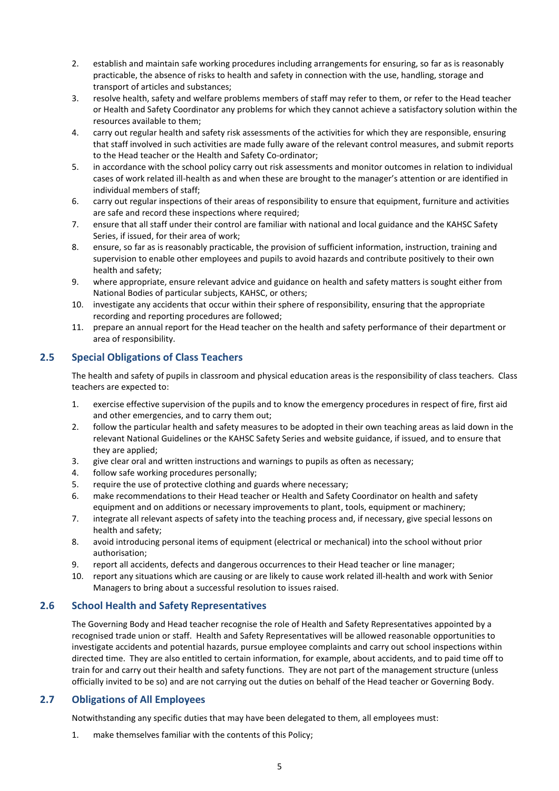- 2. establish and maintain safe working procedures including arrangements for ensuring, so far as is reasonably practicable, the absence of risks to health and safety in connection with the use, handling, storage and transport of articles and substances;
- 3. resolve health, safety and welfare problems members of staff may refer to them, or refer to the Head teacher or Health and Safety Coordinator any problems for which they cannot achieve a satisfactory solution within the resources available to them;
- 4. carry out regular health and safety risk assessments of the activities for which they are responsible, ensuring that staff involved in such activities are made fully aware of the relevant control measures, and submit reports to the Head teacher or the Health and Safety Co-ordinator;
- 5. in accordance with the school policy carry out risk assessments and monitor outcomes in relation to individual cases of work related ill-health as and when these are brought to the manager's attention or are identified in individual members of staff;
- 6. carry out regular inspections of their areas of responsibility to ensure that equipment, furniture and activities are safe and record these inspections where required;
- 7. ensure that all staff under their control are familiar with national and local guidance and the KAHSC Safety Series, if issued, for their area of work;
- 8. ensure, so far as is reasonably practicable, the provision of sufficient information, instruction, training and supervision to enable other employees and pupils to avoid hazards and contribute positively to their own health and safety;
- 9. where appropriate, ensure relevant advice and guidance on health and safety matters is sought either from National Bodies of particular subjects, KAHSC, or others;
- 10. investigate any accidents that occur within their sphere of responsibility, ensuring that the appropriate recording and reporting procedures are followed;
- 11. prepare an annual report for the Head teacher on the health and safety performance of their department or area of responsibility.

#### <span id="page-8-0"></span>**2.5 Special Obligations of Class Teachers**

The health and safety of pupils in classroom and physical education areas is the responsibility of class teachers. Class teachers are expected to:

- 1. exercise effective supervision of the pupils and to know the emergency procedures in respect of fire, first aid and other emergencies, and to carry them out;
- 2. follow the particular health and safety measures to be adopted in their own teaching areas as laid down in the relevant National Guidelines or the KAHSC Safety Series and website guidance, if issued, and to ensure that they are applied;
- 3. give clear oral and written instructions and warnings to pupils as often as necessary;
- 4. follow safe working procedures personally;
- 5. require the use of protective clothing and guards where necessary;
- 6. make recommendations to their Head teacher or Health and Safety Coordinator on health and safety equipment and on additions or necessary improvements to plant, tools, equipment or machinery;
- 7. integrate all relevant aspects of safety into the teaching process and, if necessary, give special lessons on health and safety;
- 8. avoid introducing personal items of equipment (electrical or mechanical) into the school without prior authorisation;
- 9. report all accidents, defects and dangerous occurrences to their Head teacher or line manager;
- 10. report any situations which are causing or are likely to cause work related ill-health and work with Senior Managers to bring about a successful resolution to issues raised.

#### <span id="page-8-1"></span>**2.6 School Health and Safety Representatives**

The Governing Body and Head teacher recognise the role of Health and Safety Representatives appointed by a recognised trade union or staff. Health and Safety Representatives will be allowed reasonable opportunities to investigate accidents and potential hazards, pursue employee complaints and carry out school inspections within directed time. They are also entitled to certain information, for example, about accidents, and to paid time off to train for and carry out their health and safety functions. They are not part of the management structure (unless officially invited to be so) and are not carrying out the duties on behalf of the Head teacher or Governing Body.

#### <span id="page-8-2"></span>**2.7 Obligations of All Employees**

Notwithstanding any specific duties that may have been delegated to them, all employees must:

1. make themselves familiar with the contents of this Policy;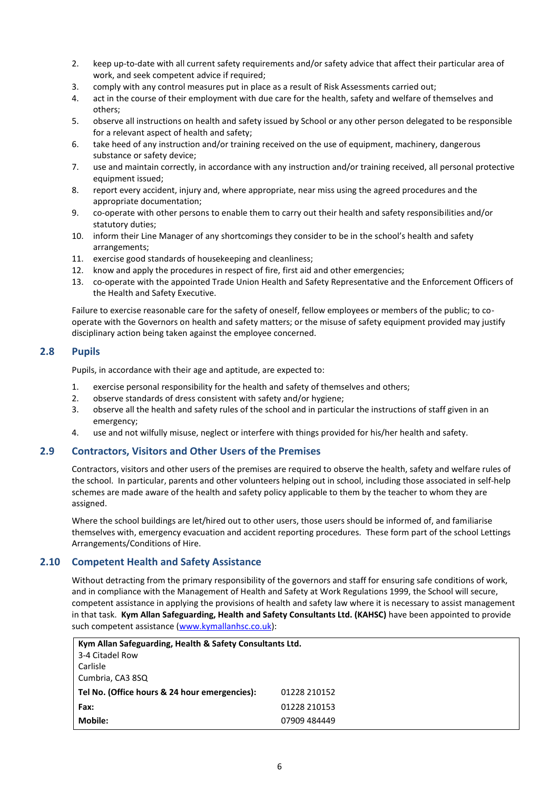- 2. keep up-to-date with all current safety requirements and/or safety advice that affect their particular area of work, and seek competent advice if required;
- 3. comply with any control measures put in place as a result of Risk Assessments carried out;
- 4. act in the course of their employment with due care for the health, safety and welfare of themselves and others;
- 5. observe all instructions on health and safety issued by School or any other person delegated to be responsible for a relevant aspect of health and safety;
- 6. take heed of any instruction and/or training received on the use of equipment, machinery, dangerous substance or safety device;
- 7. use and maintain correctly, in accordance with any instruction and/or training received, all personal protective equipment issued;
- 8. report every accident, injury and, where appropriate, near miss using the agreed procedures and the appropriate documentation;
- 9. co-operate with other persons to enable them to carry out their health and safety responsibilities and/or statutory duties;
- 10. inform their Line Manager of any shortcomings they consider to be in the school's health and safety arrangements;
- 11. exercise good standards of housekeeping and cleanliness;
- 12. know and apply the procedures in respect of fire, first aid and other emergencies;
- 13. co-operate with the appointed Trade Union Health and Safety Representative and the Enforcement Officers of the Health and Safety Executive.

Failure to exercise reasonable care for the safety of oneself, fellow employees or members of the public; to cooperate with the Governors on health and safety matters; or the misuse of safety equipment provided may justify disciplinary action being taken against the employee concerned.

#### <span id="page-9-0"></span>**2.8 Pupils**

Pupils, in accordance with their age and aptitude, are expected to:

- 1. exercise personal responsibility for the health and safety of themselves and others;
- 2. observe standards of dress consistent with safety and/or hygiene;
- 3. observe all the health and safety rules of the school and in particular the instructions of staff given in an emergency;
- 4. use and not wilfully misuse, neglect or interfere with things provided for his/her health and safety.

#### <span id="page-9-1"></span>**2.9 Contractors, Visitors and Other Users of the Premises**

Contractors, visitors and other users of the premises are required to observe the health, safety and welfare rules of the school. In particular, parents and other volunteers helping out in school, including those associated in self-help schemes are made aware of the health and safety policy applicable to them by the teacher to whom they are assigned.

Where the school buildings are let/hired out to other users, those users should be informed of, and familiarise themselves with, emergency evacuation and accident reporting procedures. These form part of the school Lettings Arrangements/Conditions of Hire.

#### <span id="page-9-2"></span>**2.10 Competent Health and Safety Assistance**

Without detracting from the primary responsibility of the governors and staff for ensuring safe conditions of work, and in compliance with the Management of Health and Safety at Work Regulations 1999, the School will secure, competent assistance in applying the provisions of health and safety law where it is necessary to assist management in that task. **Kym Allan Safeguarding, Health and Safety Consultants Ltd. (KAHSC)** have been appointed to provide such competent assistance [\(www.kymallanhsc.co.uk\)](http://www.kymallanhsc.co.uk/):

| Kym Allan Safeguarding, Health & Safety Consultants Ltd. |              |
|----------------------------------------------------------|--------------|
| 3-4 Citadel Row                                          |              |
| Carlisle                                                 |              |
| Cumbria, CA3 8SQ                                         |              |
| Tel No. (Office hours & 24 hour emergencies):            | 01228 210152 |
| Fax:                                                     | 01228 210153 |
| Mobile:                                                  | 07909 484449 |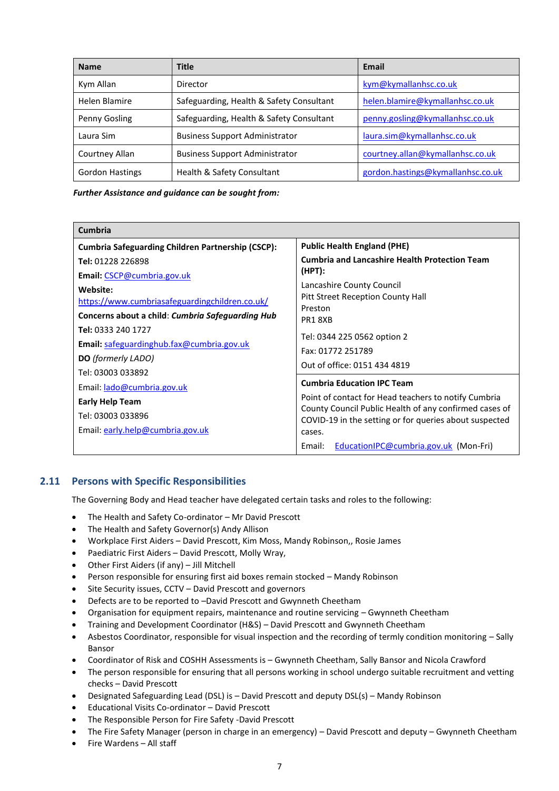| <b>Name</b>            | <b>Title</b>                             | <b>Email</b>                      |
|------------------------|------------------------------------------|-----------------------------------|
| Kym Allan              | Director                                 | kym@kymallanhsc.co.uk             |
| Helen Blamire          | Safeguarding, Health & Safety Consultant | helen.blamire@kymallanhsc.co.uk   |
| Penny Gosling          | Safeguarding, Health & Safety Consultant | penny.gosling@kymallanhsc.co.uk   |
| Laura Sim              | <b>Business Support Administrator</b>    | laura.sim@kymallanhsc.co.uk       |
| Courtney Allan         | <b>Business Support Administrator</b>    | courtney.allan@kymallanhsc.co.uk  |
| <b>Gordon Hastings</b> | Health & Safety Consultant               | gordon.hastings@kymallanhsc.co.uk |

*Further Assistance and guidance can be sought from:*

| Cumbria                                                  |                                                                  |  |
|----------------------------------------------------------|------------------------------------------------------------------|--|
| <b>Cumbria Safeguarding Children Partnership (CSCP):</b> | <b>Public Health England (PHE)</b>                               |  |
| Tel: 01228 226898                                        | <b>Cumbria and Lancashire Health Protection Team</b>             |  |
| Email: CSCP@cumbria.gov.uk                               | $(HPT)$ :                                                        |  |
| Website:                                                 | Lancashire County Council                                        |  |
| https://www.cumbriasafeguardingchildren.co.uk/           | Pitt Street Reception County Hall                                |  |
| Concerns about a child: Cumbria Safeguarding Hub         | Preston<br>PR18XB                                                |  |
| Tel: 0333 240 1727                                       |                                                                  |  |
| <b>Email:</b> safeguardinghub.fax@cumbria.gov.uk         | Tel: 0344 225 0562 option 2<br>Fax: 01772 251789                 |  |
| <b>DO</b> (formerly LADO)                                |                                                                  |  |
| Tel: 03003 033892                                        | Out of office: 0151 434 4819                                     |  |
| Email: lado@cumbria.gov.uk                               | <b>Cumbria Education IPC Team</b>                                |  |
| <b>Early Help Team</b>                                   | Point of contact for Head teachers to notify Cumbria             |  |
| Tel: 03003 033896                                        | County Council Public Health of any confirmed cases of           |  |
| Email: early.help@cumbria.gov.uk                         | COVID-19 in the setting or for queries about suspected<br>cases. |  |
|                                                          | EducationIPC@cumbria.gov.uk (Mon-Fri)<br>Email:                  |  |

#### <span id="page-10-0"></span>**2.11 Persons with Specific Responsibilities**

The Governing Body and Head teacher have delegated certain tasks and roles to the following:

- The Health and Safety Co-ordinator Mr David Prescott
- The Health and Safety Governor(s) Andy Allison
- Workplace First Aiders David Prescott, Kim Moss, Mandy Robinson,, Rosie James
- Paediatric First Aiders David Prescott, Molly Wray,
- Other First Aiders (if any) Jill Mitchell
- Person responsible for ensuring first aid boxes remain stocked Mandy Robinson
- Site Security issues, CCTV David Prescott and governors
- Defects are to be reported to –David Prescott and Gwynneth Cheetham
- Organisation for equipment repairs, maintenance and routine servicing Gwynneth Cheetham
- Training and Development Coordinator (H&S) David Prescott and Gwynneth Cheetham
- Asbestos Coordinator, responsible for visual inspection and the recording of termly condition monitoring Sally Bansor
- Coordinator of Risk and COSHH Assessments is Gwynneth Cheetham, Sally Bansor and Nicola Crawford
- The person responsible for ensuring that all persons working in school undergo suitable recruitment and vetting checks – David Prescott
- Designated Safeguarding Lead (DSL) is David Prescott and deputy DSL(s) Mandy Robinson
- Educational Visits Co-ordinator David Prescott
- The Responsible Person for Fire Safety -David Prescott
- The Fire Safety Manager (person in charge in an emergency) David Prescott and deputy Gwynneth Cheetham
- Fire Wardens All staff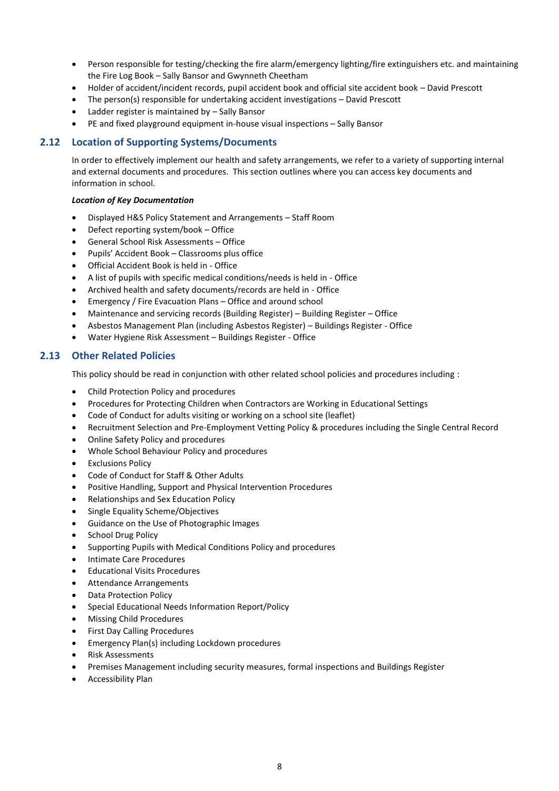- Person responsible for testing/checking the fire alarm/emergency lighting/fire extinguishers etc. and maintaining the Fire Log Book – Sally Bansor and Gwynneth Cheetham
- Holder of accident/incident records, pupil accident book and official site accident book David Prescott
- The person(s) responsible for undertaking accident investigations David Prescott
- Ladder register is maintained by Sally Bansor
- PE and fixed playground equipment in-house visual inspections Sally Bansor

#### <span id="page-11-0"></span>**2.12 Location of Supporting Systems/Documents**

In order to effectively implement our health and safety arrangements, we refer to a variety of supporting internal and external documents and procedures. This section outlines where you can access key documents and information in school.

#### *Location of Key Documentation*

- Displayed H&S Policy Statement and Arrangements Staff Room
- Defect reporting system/book Office
- General School Risk Assessments Office
- Pupils' Accident Book Classrooms plus office
- Official Accident Book is held in Office
- A list of pupils with specific medical conditions/needs is held in Office
- Archived health and safety documents/records are held in Office
- Emergency / Fire Evacuation Plans Office and around school
- Maintenance and servicing records (Building Register) Building Register Office
- Asbestos Management Plan (including Asbestos Register) Buildings Register Office
- Water Hygiene Risk Assessment Buildings Register Office

#### <span id="page-11-1"></span>**2.13 Other Related Policies**

This policy should be read in conjunction with other related school policies and procedures including :

- Child Protection Policy and procedures
- Procedures for Protecting Children when Contractors are Working in Educational Settings
- Code of Conduct for adults visiting or working on a school site (leaflet)
- Recruitment Selection and Pre-Employment Vetting Policy & procedures including the Single Central Record
- Online Safety Policy and procedures
- Whole School Behaviour Policy and procedures
- **Exclusions Policy**
- Code of Conduct for Staff & Other Adults
- Positive Handling, Support and Physical Intervention Procedures
- Relationships and Sex Education Policy
- Single Equality Scheme/Objectives
- Guidance on the Use of Photographic Images
- School Drug Policy
- Supporting Pupils with Medical Conditions Policy and procedures
- Intimate Care Procedures
- Educational Visits Procedures
- Attendance Arrangements
- Data Protection Policy
- Special Educational Needs Information Report/Policy
- Missing Child Procedures
- First Day Calling Procedures
- Emergency Plan(s) including Lockdown procedures
- Risk Assessments
- Premises Management including security measures, formal inspections and Buildings Register
- Accessibility Plan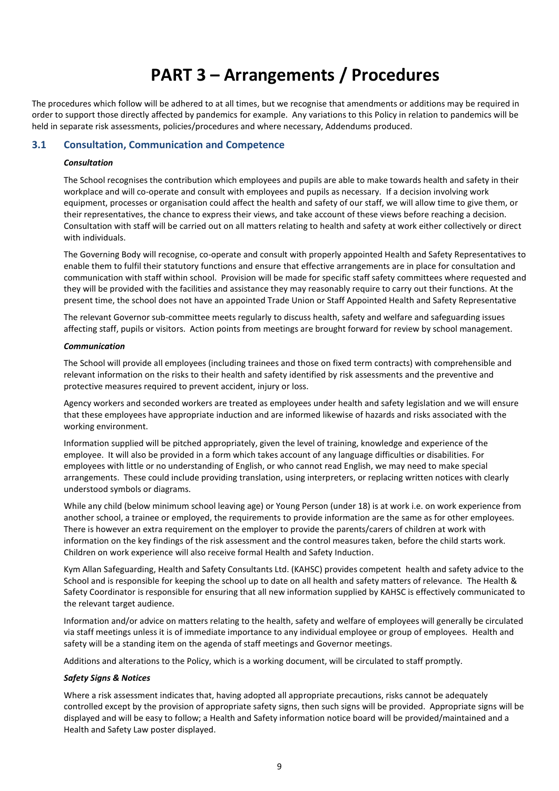## **3. PART 3 – Arrangements / Procedures**

<span id="page-12-0"></span>The procedures which follow will be adhered to at all times, but we recognise that amendments or additions may be required in order to support those directly affected by pandemics for example. Any variations to this Policy in relation to pandemics will be held in separate risk assessments, policies/procedures and where necessary, Addendums produced.

#### <span id="page-12-1"></span>**3.1 Consultation, Communication and Competence**

#### *Consultation*

The School recognises the contribution which employees and pupils are able to make towards health and safety in their workplace and will co-operate and consult with employees and pupils as necessary. If a decision involving work equipment, processes or organisation could affect the health and safety of our staff, we will allow time to give them, or their representatives, the chance to express their views, and take account of these views before reaching a decision. Consultation with staff will be carried out on all matters relating to health and safety at work either collectively or direct with individuals.

The Governing Body will recognise, co-operate and consult with properly appointed Health and Safety Representatives to enable them to fulfil their statutory functions and ensure that effective arrangements are in place for consultation and communication with staff within school. Provision will be made for specific staff safety committees where requested and they will be provided with the facilities and assistance they may reasonably require to carry out their functions. At the present time, the school does not have an appointed Trade Union or Staff Appointed Health and Safety Representative

The relevant Governor sub-committee meets regularly to discuss health, safety and welfare and safeguarding issues affecting staff, pupils or visitors. Action points from meetings are brought forward for review by school management.

#### *Communication*

The School will provide all employees (including trainees and those on fixed term contracts) with comprehensible and relevant information on the risks to their health and safety identified by risk assessments and the preventive and protective measures required to prevent accident, injury or loss.

Agency workers and seconded workers are treated as employees under health and safety legislation and we will ensure that these employees have appropriate induction and are informed likewise of hazards and risks associated with the working environment.

Information supplied will be pitched appropriately, given the level of training, knowledge and experience of the employee. It will also be provided in a form which takes account of any language difficulties or disabilities. For employees with little or no understanding of English, or who cannot read English, we may need to make special arrangements. These could include providing translation, using interpreters, or replacing written notices with clearly understood symbols or diagrams.

While any child (below minimum school leaving age) or Young Person (under 18) is at work i.e. on work experience from another school, a trainee or employed, the requirements to provide information are the same as for other employees. There is however an extra requirement on the employer to provide the parents/carers of children at work with information on the key findings of the risk assessment and the control measures taken, before the child starts work. Children on work experience will also receive formal Health and Safety Induction.

Kym Allan Safeguarding, Health and Safety Consultants Ltd. (KAHSC) provides competent health and safety advice to the School and is responsible for keeping the school up to date on all health and safety matters of relevance. The Health & Safety Coordinator is responsible for ensuring that all new information supplied by KAHSC is effectively communicated to the relevant target audience.

Information and/or advice on matters relating to the health, safety and welfare of employees will generally be circulated via staff meetings unless it is of immediate importance to any individual employee or group of employees. Health and safety will be a standing item on the agenda of staff meetings and Governor meetings.

Additions and alterations to the Policy, which is a working document, will be circulated to staff promptly.

#### *Safety Signs & Notices*

Where a risk assessment indicates that, having adopted all appropriate precautions, risks cannot be adequately controlled except by the provision of appropriate safety signs, then such signs will be provided. Appropriate signs will be displayed and will be easy to follow; a Health and Safety information notice board will be provided/maintained and a Health and Safety Law poster displayed.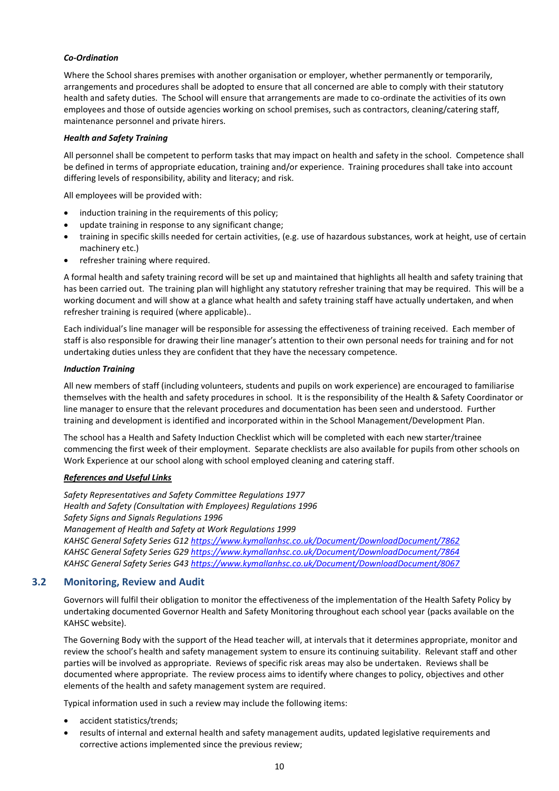#### *Co-Ordination*

Where the School shares premises with another organisation or employer, whether permanently or temporarily, arrangements and procedures shall be adopted to ensure that all concerned are able to comply with their statutory health and safety duties. The School will ensure that arrangements are made to co-ordinate the activities of its own employees and those of outside agencies working on school premises, such as contractors, cleaning/catering staff, maintenance personnel and private hirers.

#### *Health and Safety Training*

All personnel shall be competent to perform tasks that may impact on health and safety in the school. Competence shall be defined in terms of appropriate education, training and/or experience. Training procedures shall take into account differing levels of responsibility, ability and literacy; and risk.

All employees will be provided with:

- induction training in the requirements of this policy;
- update training in response to any significant change;
- training in specific skills needed for certain activities, (e.g. use of hazardous substances, work at height, use of certain machinery etc.)
- refresher training where required.

A formal health and safety training record will be set up and maintained that highlights all health and safety training that has been carried out. The training plan will highlight any statutory refresher training that may be required. This will be a working document and will show at a glance what health and safety training staff have actually undertaken, and when refresher training is required (where applicable)..

Each individual's line manager will be responsible for assessing the effectiveness of training received. Each member of staff is also responsible for drawing their line manager's attention to their own personal needs for training and for not undertaking duties unless they are confident that they have the necessary competence.

#### *Induction Training*

All new members of staff (including volunteers, students and pupils on work experience) are encouraged to familiarise themselves with the health and safety procedures in school. It is the responsibility of the Health & Safety Coordinator or line manager to ensure that the relevant procedures and documentation has been seen and understood. Further training and development is identified and incorporated within in the School Management/Development Plan.

The school has a Health and Safety Induction Checklist which will be completed with each new starter/trainee commencing the first week of their employment. Separate checklists are also available for pupils from other schools on Work Experience at our school along with school employed cleaning and catering staff.

#### *References and Useful Links*

*Safety Representatives and Safety Committee Regulations 1977 Health and Safety (Consultation with Employees) Regulations 1996 Safety Signs and Signals Regulations 1996 Management of Health and Safety at Work Regulations 1999 KAHSC General Safety Series G1[2 https://www.kymallanhsc.co.uk/Document/DownloadDocument/7862](https://www.kymallanhsc.co.uk/Document/DownloadDocument/7862) KAHSC General Safety Series G2[9 https://www.kymallanhsc.co.uk/Document/DownloadDocument/7864](https://www.kymallanhsc.co.uk/Document/DownloadDocument/7864) KAHSC General Safety Series G4[3 https://www.kymallanhsc.co.uk/Document/DownloadDocument/8067](https://www.kymallanhsc.co.uk/Document/DownloadDocument/8067)*

#### <span id="page-13-0"></span>**3.2 Monitoring, Review and Audit**

Governors will fulfil their obligation to monitor the effectiveness of the implementation of the Health Safety Policy by undertaking documented Governor Health and Safety Monitoring throughout each school year (packs available on the KAHSC website).

The Governing Body with the support of the Head teacher will, at intervals that it determines appropriate, monitor and review the school's health and safety management system to ensure its continuing suitability. Relevant staff and other parties will be involved as appropriate. Reviews of specific risk areas may also be undertaken. Reviews shall be documented where appropriate. The review process aims to identify where changes to policy, objectives and other elements of the health and safety management system are required.

Typical information used in such a review may include the following items:

- accident statistics/trends;
- results of internal and external health and safety management audits, updated legislative requirements and corrective actions implemented since the previous review;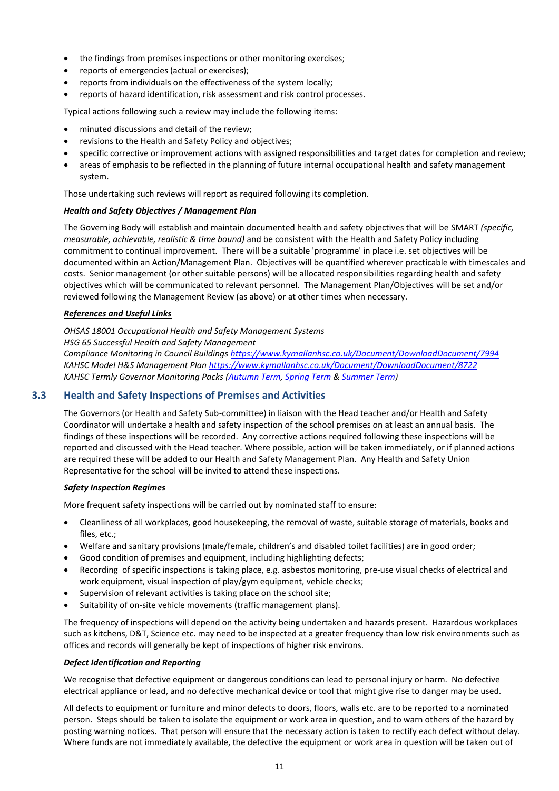- the findings from premises inspections or other monitoring exercises;
- reports of emergencies (actual or exercises);
- reports from individuals on the effectiveness of the system locally;
- reports of hazard identification, risk assessment and risk control processes.

Typical actions following such a review may include the following items:

- minuted discussions and detail of the review;
- revisions to the Health and Safety Policy and objectives;
- specific corrective or improvement actions with assigned responsibilities and target dates for completion and review;
- areas of emphasis to be reflected in the planning of future internal occupational health and safety management system.

Those undertaking such reviews will report as required following its completion.

#### *Health and Safety Objectives / Management Plan*

The Governing Body will establish and maintain documented health and safety objectives that will be SMART *(specific, measurable, achievable, realistic & time bound)* and be consistent with the Health and Safety Policy including commitment to continual improvement. There will be a suitable 'programme' in place i.e. set objectives will be documented within an Action/Management Plan. Objectives will be quantified wherever practicable with timescales and costs. Senior management (or other suitable persons) will be allocated responsibilities regarding health and safety objectives which will be communicated to relevant personnel. The Management Plan/Objectives will be set and/or reviewed following the Management Review (as above) or at other times when necessary.

#### *References and Useful Links*

*OHSAS 18001 Occupational Health and Safety Management Systems HSG 65 Successful Health and Safety Management*

*Compliance Monitoring in Council Building[s https://www.kymallanhsc.co.uk/Document/DownloadDocument/7994](https://www.kymallanhsc.co.uk/Document/DownloadDocument/7994) KAHSC Model H&S Management Pla[n https://www.kymallanhsc.co.uk/Document/DownloadDocument/8722](https://www.kymallanhsc.co.uk/Document/DownloadDocument/8722) KAHSC Termly Governor Monitoring Packs [\(Autumn Term,](https://www.kymallanhsc.co.uk/Document/DownloadDocument/7307) [Spring Term](https://www.kymallanhsc.co.uk/Document/DownloadDocument/7308) & [Summer Term\)](https://www.kymallanhsc.co.uk/Document/DownloadDocument/8570)*

#### <span id="page-14-0"></span>**3.3 Health and Safety Inspections of Premises and Activities**

The Governors (or Health and Safety Sub-committee) in liaison with the Head teacher and/or Health and Safety Coordinator will undertake a health and safety inspection of the school premises on at least an annual basis. The findings of these inspections will be recorded. Any corrective actions required following these inspections will be reported and discussed with the Head teacher. Where possible, action will be taken immediately, or if planned actions are required these will be added to our Health and Safety Management Plan. Any Health and Safety Union Representative for the school will be invited to attend these inspections.

#### *Safety Inspection Regimes*

More frequent safety inspections will be carried out by nominated staff to ensure:

- Cleanliness of all workplaces, good housekeeping, the removal of waste, suitable storage of materials, books and files, etc.;
- Welfare and sanitary provisions (male/female, children's and disabled toilet facilities) are in good order;
- Good condition of premises and equipment, including highlighting defects;
- Recording of specific inspections is taking place, e.g. asbestos monitoring, pre-use visual checks of electrical and work equipment, visual inspection of play/gym equipment, vehicle checks;
- Supervision of relevant activities is taking place on the school site;
- Suitability of on-site vehicle movements (traffic management plans).

The frequency of inspections will depend on the activity being undertaken and hazards present. Hazardous workplaces such as kitchens, D&T, Science etc. may need to be inspected at a greater frequency than low risk environments such as offices and records will generally be kept of inspections of higher risk environs.

#### *Defect Identification and Reporting*

We recognise that defective equipment or dangerous conditions can lead to personal injury or harm. No defective electrical appliance or lead, and no defective mechanical device or tool that might give rise to danger may be used.

All defects to equipment or furniture and minor defects to doors, floors, walls etc. are to be reported to a nominated person. Steps should be taken to isolate the equipment or work area in question, and to warn others of the hazard by posting warning notices. That person will ensure that the necessary action is taken to rectify each defect without delay. Where funds are not immediately available, the defective the equipment or work area in question will be taken out of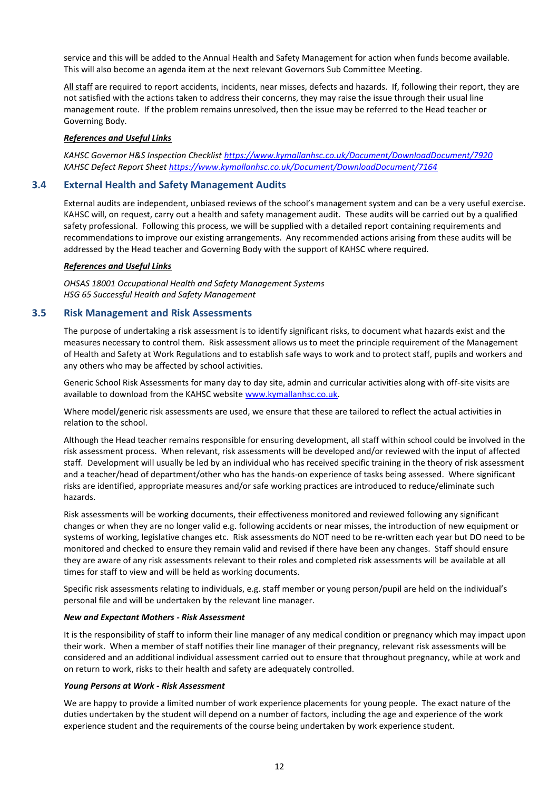service and this will be added to the Annual Health and Safety Management for action when funds become available. This will also become an agenda item at the next relevant Governors Sub Committee Meeting.

All staff are required to report accidents, incidents, near misses, defects and hazards. If, following their report, they are not satisfied with the actions taken to address their concerns, they may raise the issue through their usual line management route. If the problem remains unresolved, then the issue may be referred to the Head teacher or Governing Body.

#### *References and Useful Links*

*KAHSC Governor H&S Inspection Checklist<https://www.kymallanhsc.co.uk/Document/DownloadDocument/7920> KAHSC Defect Report Sheet<https://www.kymallanhsc.co.uk/Document/DownloadDocument/7164>*

#### <span id="page-15-0"></span>**3.4 External Health and Safety Management Audits**

External audits are independent, unbiased reviews of the school's management system and can be a very useful exercise. KAHSC will, on request, carry out a health and safety management audit. These audits will be carried out by a qualified safety professional. Following this process, we will be supplied with a detailed report containing requirements and recommendations to improve our existing arrangements. Any recommended actions arising from these audits will be addressed by the Head teacher and Governing Body with the support of KAHSC where required.

#### *References and Useful Links*

*OHSAS 18001 Occupational Health and Safety Management Systems HSG 65 Successful Health and Safety Management*

#### <span id="page-15-1"></span>**3.5 Risk Management and Risk Assessments**

The purpose of undertaking a risk assessment is to identify significant risks, to document what hazards exist and the measures necessary to control them. Risk assessment allows us to meet the principle requirement of the Management of Health and Safety at Work Regulations and to establish safe ways to work and to protect staff, pupils and workers and any others who may be affected by school activities.

Generic School Risk Assessments for many day to day site, admin and curricular activities along with off-site visits are available to download from the KAHSC website [www.kymallanhsc.co.uk.](http://www.kymallanhsc.co.uk/)

Where model/generic risk assessments are used, we ensure that these are tailored to reflect the actual activities in relation to the school.

Although the Head teacher remains responsible for ensuring development, all staff within school could be involved in the risk assessment process. When relevant, risk assessments will be developed and/or reviewed with the input of affected staff. Development will usually be led by an individual who has received specific training in the theory of risk assessment and a teacher/head of department/other who has the hands-on experience of tasks being assessed. Where significant risks are identified, appropriate measures and/or safe working practices are introduced to reduce/eliminate such hazards.

Risk assessments will be working documents, their effectiveness monitored and reviewed following any significant changes or when they are no longer valid e.g. following accidents or near misses, the introduction of new equipment or systems of working, legislative changes etc. Risk assessments do NOT need to be re-written each year but DO need to be monitored and checked to ensure they remain valid and revised if there have been any changes. Staff should ensure they are aware of any risk assessments relevant to their roles and completed risk assessments will be available at all times for staff to view and will be held as working documents.

Specific risk assessments relating to individuals, e.g. staff member or young person/pupil are held on the individual's personal file and will be undertaken by the relevant line manager.

#### *New and Expectant Mothers - Risk Assessment*

It is the responsibility of staff to inform their line manager of any medical condition or pregnancy which may impact upon their work. When a member of staff notifies their line manager of their pregnancy, relevant risk assessments will be considered and an additional individual assessment carried out to ensure that throughout pregnancy, while at work and on return to work, risks to their health and safety are adequately controlled.

#### *Young Persons at Work - Risk Assessment*

We are happy to provide a limited number of work experience placements for young people. The exact nature of the duties undertaken by the student will depend on a number of factors, including the age and experience of the work experience student and the requirements of the course being undertaken by work experience student.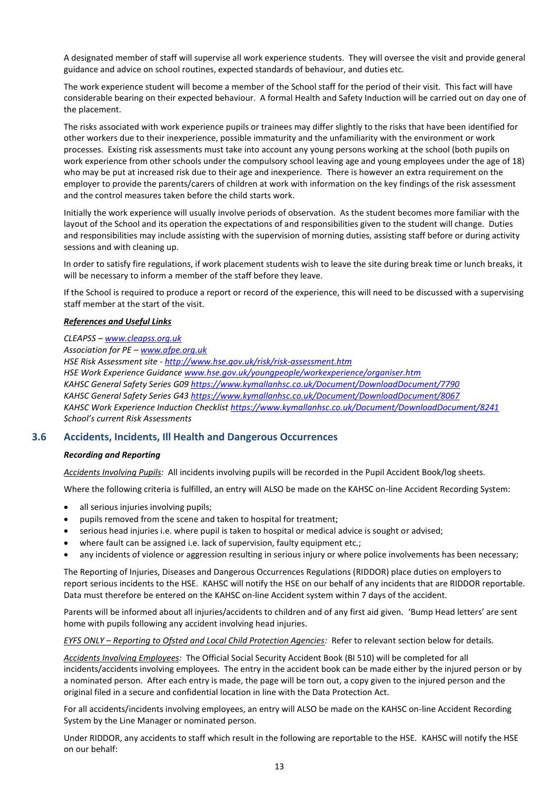A designated member of staff will supervise all work experience students. They will oversee the visit and provide general guidance and advice on school routines, expected standards of behaviour, and duties etc.

The work experience student will become a member of the School staff for the period of their visit. This fact will have considerable bearing on their expected behaviour. A formal Health and Safety Induction will be carried out on day one of the placement.

The risks associated with work experience pupils or trainees may differ slightly to the risks that have been identified for other workers due to their inexperience, possible immaturity and the unfamiliarity with the environment or work processes. Existing risk assessments must take into account any young persons working at the school (both pupils on work experience from other schools under the compulsory school leaving age and young employees under the age of 18) who may be put at increased risk due to their age and inexperience. There is however an extra requirement on the employer to provide the parents/carers of children at work with information on the key findings of the risk assessment and the control measures taken before the child starts work.

Initially the work experience will usually involve periods of observation. As the student becomes more familiar with the layout of the School and its operation the expectations of and responsibilities given to the student will change. Duties and responsibilities may include assisting with the supervision of morning duties, assisting staff before or during activity sessions and with cleaning up.

In order to satisfy fire regulations, if work placement students wish to leave the site during break time or lunch breaks, it will be necessary to inform a member of the staff before they leave.

If the School is required to produce a report or record of the experience, this will need to be discussed with a supervising staff member at the start of the visit.

#### *References and Useful Links*

*CLEAPSS – [www.cleapss.org.uk](http://www.cleapss.org.uk/)*

*Association for PE – [www.afpe.org.uk](http://www.afpe.org.uk/) HSE Risk Assessment site - <http://www.hse.gov.uk/risk/risk-assessment.htm> HSE Work Experience Guidanc[e www.hse.gov.uk/youngpeople/workexperience/organiser.htm](http://www.hse.gov.uk/youngpeople/workexperience/organiser.htm) KAHSC General Safety Series G0[9 https://www.kymallanhsc.co.uk/Document/DownloadDocument/7790](https://www.kymallanhsc.co.uk/Document/DownloadDocument/7790) KAHSC General Safety Series G4[3 https://www.kymallanhsc.co.uk/Document/DownloadDocument/8067](https://www.kymallanhsc.co.uk/Document/DownloadDocument/8067) KAHSC Work Experience Induction Checklis[t https://www.kymallanhsc.co.uk/Document/DownloadDocument/8241](https://www.kymallanhsc.co.uk/Document/DownloadDocument/8241) School's current Risk Assessments*

#### <span id="page-16-0"></span>**3.6 Accidents, Incidents, Ill Health and Dangerous Occurrences**

#### *Recording and Reporting*

*Accidents Involving Pupils:* All incidents involving pupils will be recorded in the Pupil Accident Book/log sheets.

Where the following criteria is fulfilled, an entry will ALSO be made on the KAHSC on-line Accident Recording System:

- all serious injuries involving pupils;
- pupils removed from the scene and taken to hospital for treatment;
- serious head injuries i.e. where pupil is taken to hospital or medical advice is sought or advised;
- where fault can be assigned i.e. lack of supervision, faulty equipment etc.;
- any incidents of violence or aggression resulting in serious injury or where police involvements has been necessary;

The Reporting of Injuries, Diseases and Dangerous Occurrences Regulations (RIDDOR) place duties on employers to report serious incidents to the HSE. KAHSC will notify the HSE on our behalf of any incidents that are RIDDOR reportable. Data must therefore be entered on the KAHSC on-line Accident system within 7 days of the accident.

Parents will be informed about all injuries/accidents to children and of any first aid given. 'Bump Head letters' are sent home with pupils following any accident involving head injuries.

*EYFS ONLY – Reporting to Ofsted and Local Child Protection Agencies:* Refer to relevant section below for details.

*Accidents Involving Employees:* The Official Social Security Accident Book (BI 510) will be completed for all incidents/accidents involving employees. The entry in the accident book can be made either by the injured person or by a nominated person. After each entry is made, the page will be torn out, a copy given to the injured person and the original filed in a secure and confidential location in line with the Data Protection Act.

For all accidents/incidents involving employees, an entry will ALSO be made on the KAHSC on-line Accident Recording System by the Line Manager or nominated person.

Under RIDDOR, any accidents to staff which result in the following are reportable to the HSE. KAHSC will notify the HSE on our behalf: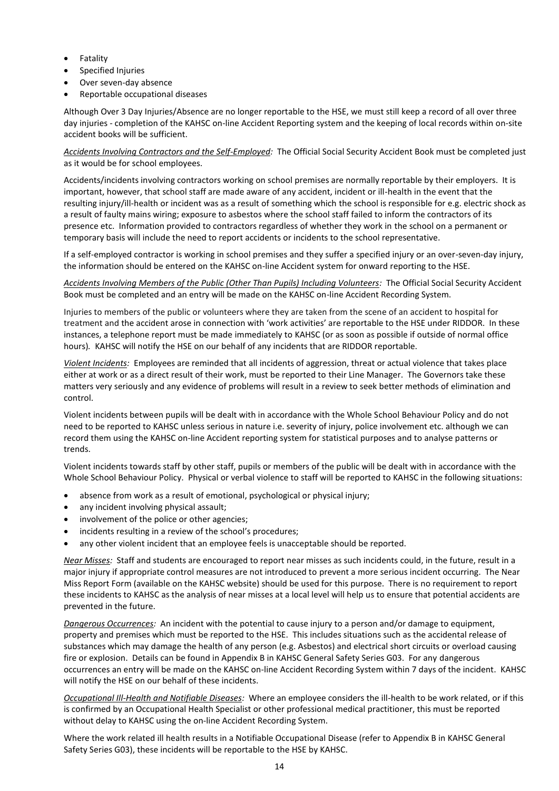- **Fatality**
- Specified Injuries
- Over seven-day absence
- Reportable occupational diseases

Although Over 3 Day Injuries/Absence are no longer reportable to the HSE, we must still keep a record of all over three day injuries - completion of the KAHSC on-line Accident Reporting system and the keeping of local records within on-site accident books will be sufficient.

*Accidents Involving Contractors and the Self-Employed:* The Official Social Security Accident Book must be completed just as it would be for school employees.

Accidents/incidents involving contractors working on school premises are normally reportable by their employers. It is important, however, that school staff are made aware of any accident, incident or ill-health in the event that the resulting injury/ill-health or incident was as a result of something which the school is responsible for e.g. electric shock as a result of faulty mains wiring; exposure to asbestos where the school staff failed to inform the contractors of its presence etc. Information provided to contractors regardless of whether they work in the school on a permanent or temporary basis will include the need to report accidents or incidents to the school representative.

If a self-employed contractor is working in school premises and they suffer a specified injury or an over-seven-day injury, the information should be entered on the KAHSC on-line Accident system for onward reporting to the HSE.

*Accidents Involving Members of the Public (Other Than Pupils) Including Volunteers:* The Official Social Security Accident Book must be completed and an entry will be made on the KAHSC on-line Accident Recording System.

Injuries to members of the public or volunteers where they are taken from the scene of an accident to hospital for treatment and the accident arose in connection with 'work activities' are reportable to the HSE under RIDDOR. In these instances, a telephone report must be made immediately to KAHSC (or as soon as possible if outside of normal office hours)*.* KAHSC will notify the HSE on our behalf of any incidents that are RIDDOR reportable.

*Violent Incidents:* Employees are reminded that all incidents of aggression, threat or actual violence that takes place either at work or as a direct result of their work, must be reported to their Line Manager. The Governors take these matters very seriously and any evidence of problems will result in a review to seek better methods of elimination and control.

Violent incidents between pupils will be dealt with in accordance with the Whole School Behaviour Policy and do not need to be reported to KAHSC unless serious in nature i.e. severity of injury, police involvement etc. although we can record them using the KAHSC on-line Accident reporting system for statistical purposes and to analyse patterns or trends.

Violent incidents towards staff by other staff, pupils or members of the public will be dealt with in accordance with the Whole School Behaviour Policy. Physical or verbal violence to staff will be reported to KAHSC in the following situations:

- absence from work as a result of emotional, psychological or physical injury;
- any incident involving physical assault;
- involvement of the police or other agencies;
- incidents resulting in a review of the school's procedures;
- any other violent incident that an employee feels is unacceptable should be reported.

*Near Misses:* Staff and students are encouraged to report near misses as such incidents could, in the future, result in a major injury if appropriate control measures are not introduced to prevent a more serious incident occurring. The Near Miss Report Form (available on the KAHSC website) should be used for this purpose. There is no requirement to report these incidents to KAHSC as the analysis of near misses at a local level will help us to ensure that potential accidents are prevented in the future.

*Dangerous Occurrences:* An incident with the potential to cause injury to a person and/or damage to equipment, property and premises which must be reported to the HSE. This includes situations such as the accidental release of substances which may damage the health of any person (e.g. Asbestos) and electrical short circuits or overload causing fire or explosion. Details can be found in Appendix B in KAHSC General Safety Series G03. For any dangerous occurrences an entry will be made on the KAHSC on-line Accident Recording System within 7 days of the incident. KAHSC will notify the HSE on our behalf of these incidents.

*Occupational Ill-Health and Notifiable Diseases:* Where an employee considers the ill-health to be work related, or if this is confirmed by an Occupational Health Specialist or other professional medical practitioner, this must be reported without delay to KAHSC using the on-line Accident Recording System.

Where the work related ill health results in a Notifiable Occupational Disease (refer to Appendix B in KAHSC General Safety Series G03), these incidents will be reportable to the HSE by KAHSC.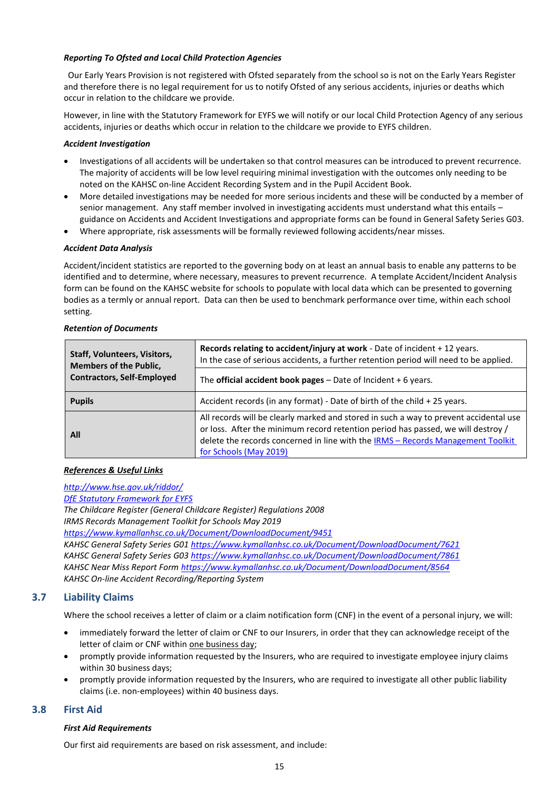#### *Reporting To Ofsted and Local Child Protection Agencies*

Our Early Years Provision is not registered with Ofsted separately from the school so is not on the Early Years Register and therefore there is no legal requirement for us to notify Ofsted of any serious accidents, injuries or deaths which occur in relation to the childcare we provide.

However, in line with the Statutory Framework for EYFS we will notify or our local Child Protection Agency of any serious accidents, injuries or deaths which occur in relation to the childcare we provide to EYFS children.

#### *Accident Investigation*

- Investigations of all accidents will be undertaken so that control measures can be introduced to prevent recurrence. The majority of accidents will be low level requiring minimal investigation with the outcomes only needing to be noted on the KAHSC on-line Accident Recording System and in the Pupil Accident Book.
- More detailed investigations may be needed for more serious incidents and these will be conducted by a member of senior management. Any staff member involved in investigating accidents must understand what this entails – guidance on Accidents and Accident Investigations and appropriate forms can be found in General Safety Series G03.
- Where appropriate, risk assessments will be formally reviewed following accidents/near misses.

#### *Accident Data Analysis*

Accident/incident statistics are reported to the governing body on at least an annual basis to enable any patterns to be identified and to determine, where necessary, measures to prevent recurrence. A template Accident/Incident Analysis form can be found on the KAHSC website for schools to populate with local data which can be presented to governing bodies as a termly or annual report. Data can then be used to benchmark performance over time, within each school setting.

#### *Retention of Documents*

| <b>Staff, Volunteers, Visitors,</b><br><b>Members of the Public,</b> | Records relating to accident/injury at work - Date of incident + 12 years.<br>In the case of serious accidents, a further retention period will need to be applied.                                                                                                                    |  |
|----------------------------------------------------------------------|----------------------------------------------------------------------------------------------------------------------------------------------------------------------------------------------------------------------------------------------------------------------------------------|--|
| <b>Contractors, Self-Employed</b>                                    | The official accident book pages $-$ Date of Incident $+$ 6 years.                                                                                                                                                                                                                     |  |
| <b>Pupils</b>                                                        | Accident records (in any format) - Date of birth of the child + 25 years.                                                                                                                                                                                                              |  |
| All                                                                  | All records will be clearly marked and stored in such a way to prevent accidental use<br>or loss. After the minimum record retention period has passed, we will destroy /<br>delete the records concerned in line with the IRMS - Records Management Toolkit<br>for Schools (May 2019) |  |

#### *References & Useful Links*

*<http://www.hse.gov.uk/riddor/> [DfE Statutory Framework for EYFS](https://assets.publishing.service.gov.uk/government/uploads/system/uploads/attachment_data/file/974907/EYFS_framework_-_March_2021.pdf) The Childcare Register (General Childcare Register) Regulations 2008 IRMS Records Management Toolkit for Schools May 2019 <https://www.kymallanhsc.co.uk/Document/DownloadDocument/9451> KAHSC General Safety Series G0[1 https://www.kymallanhsc.co.uk/Document/DownloadDocument/7621](https://www.kymallanhsc.co.uk/Document/DownloadDocument/7621) KAHSC General Safety Series G0[3 https://www.kymallanhsc.co.uk/Document/DownloadDocument/7861](https://www.kymallanhsc.co.uk/Document/DownloadDocument/7861) KAHSC Near Miss Report Form<https://www.kymallanhsc.co.uk/Document/DownloadDocument/8564> KAHSC On-line Accident Recording/Reporting System*

#### <span id="page-18-0"></span>**3.7 Liability Claims**

Where the school receives a letter of claim or a claim notification form (CNF) in the event of a personal injury, we will:

- immediately forward the letter of claim or CNF to our Insurers, in order that they can acknowledge receipt of the letter of claim or CNF within one business day;
- promptly provide information requested by the Insurers, who are required to investigate employee injury claims within 30 business days;
- promptly provide information requested by the Insurers, who are required to investigate all other public liability claims (i.e. non-employees) within 40 business days.

#### <span id="page-18-1"></span>**3.8 First Aid**

#### *First Aid Requirements*

Our first aid requirements are based on risk assessment, and include: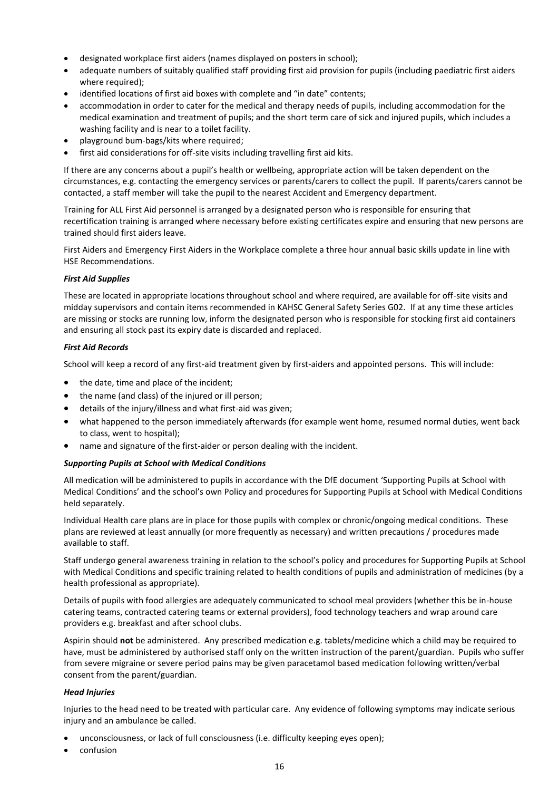- designated workplace first aiders (names displayed on posters in school);
- adequate numbers of suitably qualified staff providing first aid provision for pupils (including paediatric first aiders where required);
- identified locations of first aid boxes with complete and "in date" contents;
- accommodation in order to cater for the medical and therapy needs of pupils, including accommodation for the medical examination and treatment of pupils; and the short term care of sick and injured pupils, which includes a washing facility and is near to a toilet facility.
- playground bum-bags/kits where required;
- first aid considerations for off-site visits including travelling first aid kits.

If there are any concerns about a pupil's health or wellbeing, appropriate action will be taken dependent on the circumstances, e.g. contacting the emergency services or parents/carers to collect the pupil. If parents/carers cannot be contacted, a staff member will take the pupil to the nearest Accident and Emergency department.

Training for ALL First Aid personnel is arranged by a designated person who is responsible for ensuring that recertification training is arranged where necessary before existing certificates expire and ensuring that new persons are trained should first aiders leave.

First Aiders and Emergency First Aiders in the Workplace complete a three hour annual basic skills update in line with HSE Recommendations.

#### *First Aid Supplies*

These are located in appropriate locations throughout school and where required, are available for off-site visits and midday supervisors and contain items recommended in KAHSC General Safety Series G02. If at any time these articles are missing or stocks are running low, inform the designated person who is responsible for stocking first aid containers and ensuring all stock past its expiry date is discarded and replaced.

#### *First Aid Records*

School will keep a record of any first-aid treatment given by first-aiders and appointed persons. This will include:

- the date, time and place of the incident;
- the name (and class) of the injured or ill person;
- details of the injury/illness and what first-aid was given;
- what happened to the person immediately afterwards (for example went home, resumed normal duties, went back to class, went to hospital);
- name and signature of the first-aider or person dealing with the incident.

#### *Supporting Pupils at School with Medical Conditions*

All medication will be administered to pupils in accordance with the DfE document 'Supporting Pupils at School with Medical Conditions' and the school's own Policy and procedures for Supporting Pupils at School with Medical Conditions held separately.

Individual Health care plans are in place for those pupils with complex or chronic/ongoing medical conditions. These plans are reviewed at least annually (or more frequently as necessary) and written precautions / procedures made available to staff.

Staff undergo general awareness training in relation to the school's policy and procedures for Supporting Pupils at School with Medical Conditions and specific training related to health conditions of pupils and administration of medicines (by a health professional as appropriate).

Details of pupils with food allergies are adequately communicated to school meal providers (whether this be in-house catering teams, contracted catering teams or external providers), food technology teachers and wrap around care providers e.g. breakfast and after school clubs.

Aspirin should **not** be administered. Any prescribed medication e.g. tablets/medicine which a child may be required to have, must be administered by authorised staff only on the written instruction of the parent/guardian. Pupils who suffer from severe migraine or severe period pains may be given paracetamol based medication following written/verbal consent from the parent/guardian.

#### *Head Injuries*

Injuries to the head need to be treated with particular care. Any evidence of following symptoms may indicate serious injury and an ambulance be called.

- unconsciousness, or lack of full consciousness (i.e. difficulty keeping eyes open);
- confusion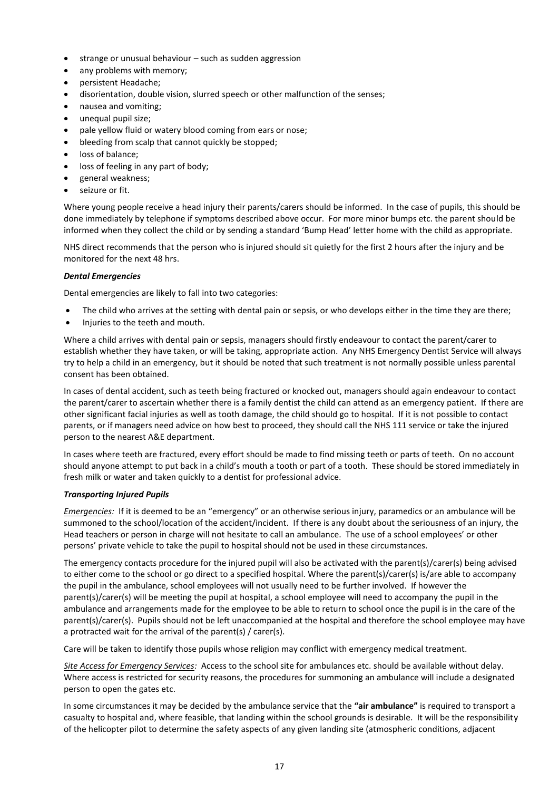- strange or unusual behaviour such as sudden aggression
- any problems with memory:
- persistent Headache;
- disorientation, double vision, slurred speech or other malfunction of the senses;
- nausea and vomiting;
- unequal pupil size;
- pale yellow fluid or watery blood coming from ears or nose;
- bleeding from scalp that cannot quickly be stopped:
- loss of balance:
- loss of feeling in any part of body;
- general weakness;
- seizure or fit.

Where young people receive a head injury their parents/carers should be informed. In the case of pupils, this should be done immediately by telephone if symptoms described above occur. For more minor bumps etc. the parent should be informed when they collect the child or by sending a standard 'Bump Head' letter home with the child as appropriate.

NHS direct recommends that the person who is injured should sit quietly for the first 2 hours after the injury and be monitored for the next 48 hrs.

#### *Dental Emergencies*

Dental emergencies are likely to fall into two categories:

- The child who arrives at the setting with dental pain or sepsis, or who develops either in the time they are there;
- Injuries to the teeth and mouth.

Where a child arrives with dental pain or sepsis, managers should firstly endeavour to contact the parent/carer to establish whether they have taken, or will be taking, appropriate action. Any NHS Emergency Dentist Service will always try to help a child in an emergency, but it should be noted that such treatment is not normally possible unless parental consent has been obtained.

In cases of dental accident, such as teeth being fractured or knocked out, managers should again endeavour to contact the parent/carer to ascertain whether there is a family dentist the child can attend as an emergency patient. If there are other significant facial injuries as well as tooth damage, the child should go to hospital. If it is not possible to contact parents, or if managers need advice on how best to proceed, they should call the NHS 111 service or take the injured person to the nearest A&E department.

In cases where teeth are fractured, every effort should be made to find missing teeth or parts of teeth. On no account should anyone attempt to put back in a child's mouth a tooth or part of a tooth. These should be stored immediately in fresh milk or water and taken quickly to a dentist for professional advice.

#### *Transporting Injured Pupils*

*Emergencies:* If it is deemed to be an "emergency" or an otherwise serious injury, paramedics or an ambulance will be summoned to the school/location of the accident/incident. If there is any doubt about the seriousness of an injury, the Head teachers or person in charge will not hesitate to call an ambulance. The use of a school employees' or other persons' private vehicle to take the pupil to hospital should not be used in these circumstances.

The emergency contacts procedure for the injured pupil will also be activated with the parent(s)/carer(s) being advised to either come to the school or go direct to a specified hospital. Where the parent(s)/carer(s) is/are able to accompany the pupil in the ambulance, school employees will not usually need to be further involved. If however the parent(s)/carer(s) will be meeting the pupil at hospital, a school employee will need to accompany the pupil in the ambulance and arrangements made for the employee to be able to return to school once the pupil is in the care of the parent(s)/carer(s). Pupils should not be left unaccompanied at the hospital and therefore the school employee may have a protracted wait for the arrival of the parent(s) / carer(s).

Care will be taken to identify those pupils whose religion may conflict with emergency medical treatment.

*Site Access for Emergency Services:* Access to the school site for ambulances etc. should be available without delay. Where access is restricted for security reasons, the procedures for summoning an ambulance will include a designated person to open the gates etc.

In some circumstances it may be decided by the ambulance service that the **"air ambulance"** is required to transport a casualty to hospital and, where feasible, that landing within the school grounds is desirable. It will be the responsibility of the helicopter pilot to determine the safety aspects of any given landing site (atmospheric conditions, adjacent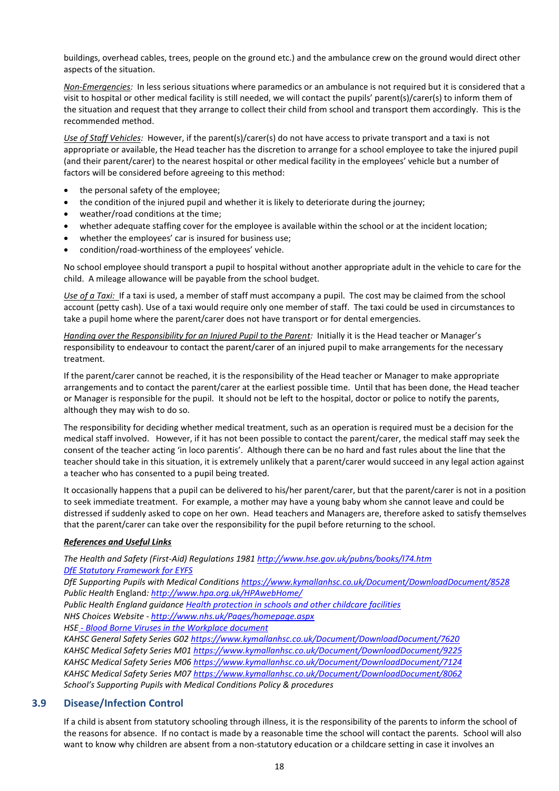buildings, overhead cables, trees, people on the ground etc.) and the ambulance crew on the ground would direct other aspects of the situation.

*Non-Emergencies:* In less serious situations where paramedics or an ambulance is not required but it is considered that a visit to hospital or other medical facility is still needed, we will contact the pupils' parent(s)/carer(s) to inform them of the situation and request that they arrange to collect their child from school and transport them accordingly. This is the recommended method.

*Use of Staff Vehicles:* However, if the parent(s)/carer(s) do not have access to private transport and a taxi is not appropriate or available, the Head teacher has the discretion to arrange for a school employee to take the injured pupil (and their parent/carer) to the nearest hospital or other medical facility in the employees' vehicle but a number of factors will be considered before agreeing to this method:

- the personal safety of the employee;
- the condition of the injured pupil and whether it is likely to deteriorate during the journey;
- weather/road conditions at the time;
- whether adequate staffing cover for the employee is available within the school or at the incident location;
- whether the employees' car is insured for business use;
- condition/road-worthiness of the employees' vehicle.

No school employee should transport a pupil to hospital without another appropriate adult in the vehicle to care for the child. A mileage allowance will be payable from the school budget.

*Use of a Taxi:* If a taxi is used, a member of staff must accompany a pupil. The cost may be claimed from the school account (petty cash). Use of a taxi would require only one member of staff. The taxi could be used in circumstances to take a pupil home where the parent/carer does not have transport or for dental emergencies.

*Handing over the Responsibility for an Injured Pupil to the Parent:* Initially it is the Head teacher or Manager's responsibility to endeavour to contact the parent/carer of an injured pupil to make arrangements for the necessary treatment.

If the parent/carer cannot be reached, it is the responsibility of the Head teacher or Manager to make appropriate arrangements and to contact the parent/carer at the earliest possible time. Until that has been done, the Head teacher or Manager is responsible for the pupil. It should not be left to the hospital, doctor or police to notify the parents, although they may wish to do so.

The responsibility for deciding whether medical treatment, such as an operation is required must be a decision for the medical staff involved. However, if it has not been possible to contact the parent/carer, the medical staff may seek the consent of the teacher acting 'in loco parentis'. Although there can be no hard and fast rules about the line that the teacher should take in this situation, it is extremely unlikely that a parent/carer would succeed in any legal action against a teacher who has consented to a pupil being treated.

It occasionally happens that a pupil can be delivered to his/her parent/carer, but that the parent/carer is not in a position to seek immediate treatment. For example, a mother may have a young baby whom she cannot leave and could be distressed if suddenly asked to cope on her own. Head teachers and Managers are, therefore asked to satisfy themselves that the parent/carer can take over the responsibility for the pupil before returning to the school.

#### *References and Useful Links*

*The Health and Safety (First-Aid) Regulations 1981<http://www.hse.gov.uk/pubns/books/l74.htm> [DfE Statutory Framework for EYFS](https://assets.publishing.service.gov.uk/government/uploads/system/uploads/attachment_data/file/974907/EYFS_framework_-_March_2021.pdf)*

*DfE Supporting Pupils with Medical Conditions<https://www.kymallanhsc.co.uk/Document/DownloadDocument/8528> Public Health* England*:<http://www.hpa.org.uk/HPAwebHome/>*

*Public Health England guidance [Health protection in schools and other childcare facilities](https://www.gov.uk/government/publications/health-protection-in-schools-and-other-childcare-facilities)*

*NHS Choices Website - <http://www.nhs.uk/Pages/homepage.aspx>*

*HSE - [Blood Borne Viruses in the Workplace document](http://www.hse.gov.uk/pubns/indg342.pdf)*

*KAHSC General Safety Series G0[2 https://www.kymallanhsc.co.uk/Document/DownloadDocument/7620](https://www.kymallanhsc.co.uk/Document/DownloadDocument/7620) KAHSC Medical Safety Series M01<https://www.kymallanhsc.co.uk/Document/DownloadDocument/9225> KAHSC Medical Safety Series M06<https://www.kymallanhsc.co.uk/Document/DownloadDocument/7124> KAHSC Medical Safety Series M07<https://www.kymallanhsc.co.uk/Document/DownloadDocument/8062> School's Supporting Pupils with Medical Conditions Policy & procedures*

#### <span id="page-21-0"></span>**3.9 Disease/Infection Control**

If a child is absent from statutory schooling through illness, it is the responsibility of the parents to inform the school of the reasons for absence. If no contact is made by a reasonable time the school will contact the parents. School will also want to know why children are absent from a non-statutory education or a childcare setting in case it involves an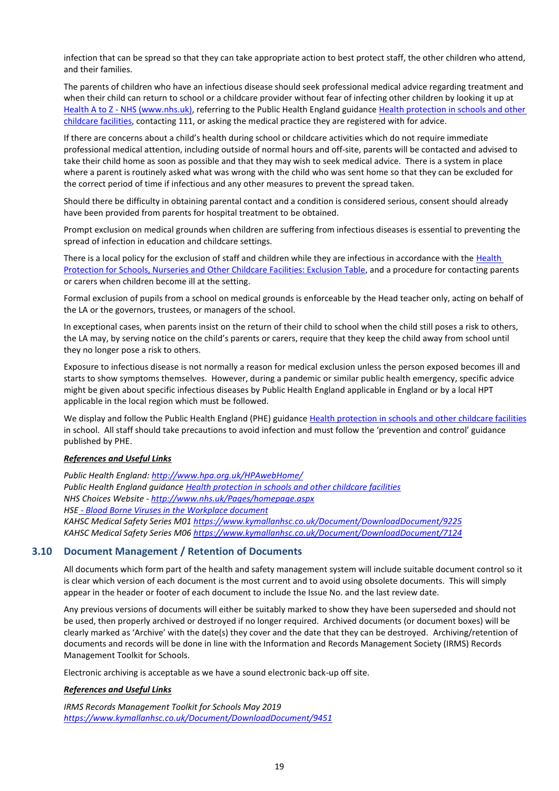infection that can be spread so that they can take appropriate action to best protect staff, the other children who attend, and their families.

The parents of children who have an infectious disease should seek professional medical advice regarding treatment and when their child can return to school or a childcare provider without fear of infecting other children by looking it up at Health A to Z - [NHS \(www.nhs.uk\),](https://www.nhs.uk/conditions/) referring to the Public Health England guidance [Health protection in schools and other](https://www.gov.uk/government/publications/health-protection-in-schools-and-other-childcare-facilities)  [childcare](https://www.gov.uk/government/publications/health-protection-in-schools-and-other-childcare-facilities) facilities, contacting 111, or asking the medical practice they are registered with for advice.

If there are concerns about a child's health during school or childcare activities which do not require immediate professional medical attention, including outside of normal hours and off-site, parents will be contacted and advised to take their child home as soon as possible and that they may wish to seek medical advice. There is a system in place where a parent is routinely asked what was wrong with the child who was sent home so that they can be excluded for the correct period of time if infectious and any other measures to prevent the spread taken.

Should there be difficulty in obtaining parental contact and a condition is considered serious, consent should already have been provided from parents for hospital treatment to be obtained.

Prompt exclusion on medical grounds when children are suffering from infectious diseases is essential to preventing the spread of infection in education and childcare settings.

There is a local policy for the exclusion of staff and children while they are infectious in accordance with the Health [Protection for Schools, Nurseries and Other Childcare Facilities: Exclusion Table,](https://assets.publishing.service.gov.uk/government/uploads/system/uploads/attachment_data/file/789369/Exclusion_table.pdf) and a procedure for contacting parents or carers when children become ill at the setting.

Formal exclusion of pupils from a school on medical grounds is enforceable by the Head teacher only, acting on behalf of the LA or the governors, trustees, or managers of the school.

In exceptional cases, when parents insist on the return of their child to school when the child still poses a risk to others, the LA may, by serving notice on the child's parents or carers, require that they keep the child away from school until they no longer pose a risk to others.

Exposure to infectious disease is not normally a reason for medical exclusion unless the person exposed becomes ill and starts to show symptoms themselves. However, during a pandemic or similar public health emergency, specific advice might be given about specific infectious diseases by Public Health England applicable in England or by a local HPT applicable in the local region which must be followed.

We display and follow the Public Health England (PHE) guidance [Health protection in schools and other childcare facilities](https://www.gov.uk/government/publications/health-protection-in-schools-and-other-childcare-facilities) in school. All staff should take precautions to avoid infection and must follow [the](http://www.nhsprofessionals.nhs.uk/download/comms/cg1_nhsp_standard_infection_control_precautions_v3.pdf) 'prevention and control' guidance published by PHE.

#### *References and Useful Links*

*Public Health England[: http://www.hpa.org.uk/HPAwebHome/](http://www.hpa.org.uk/HPAwebHome/) Public Health England guidance [Health protection in schools and other childcare facilities](https://www.gov.uk/government/publications/health-protection-in-schools-and-other-childcare-facilities) NHS Choices Website - <http://www.nhs.uk/Pages/homepage.aspx> HSE - [Blood Borne Viruses in the Workplace document](http://www.hse.gov.uk/pubns/indg342.pdf) KAHSC Medical Safety Series M01<https://www.kymallanhsc.co.uk/Document/DownloadDocument/9225> KAHSC Medical Safety Series M06<https://www.kymallanhsc.co.uk/Document/DownloadDocument/7124>*

#### <span id="page-22-0"></span>**3.10 Document Management / Retention of Documents**

All documents which form part of the health and safety management system will include suitable document control so it is clear which version of each document is the most current and to avoid using obsolete documents. This will simply appear in the header or footer of each document to include the Issue No. and the last review date.

Any previous versions of documents will either be suitably marked to show they have been superseded and should not be used, then properly archived or destroyed if no longer required. Archived documents (or document boxes) will be clearly marked as 'Archive' with the date(s) they cover and the date that they can be destroyed. Archiving/retention of documents and records will be done in line with the Information and Records Management Society (IRMS) Records Management Toolkit for Schools.

Electronic archiving is acceptable as we have a sound electronic back-up off site.

#### *References and Useful Links*

*IRMS Records Management Toolkit for Schools May 2019 <https://www.kymallanhsc.co.uk/Document/DownloadDocument/9451>*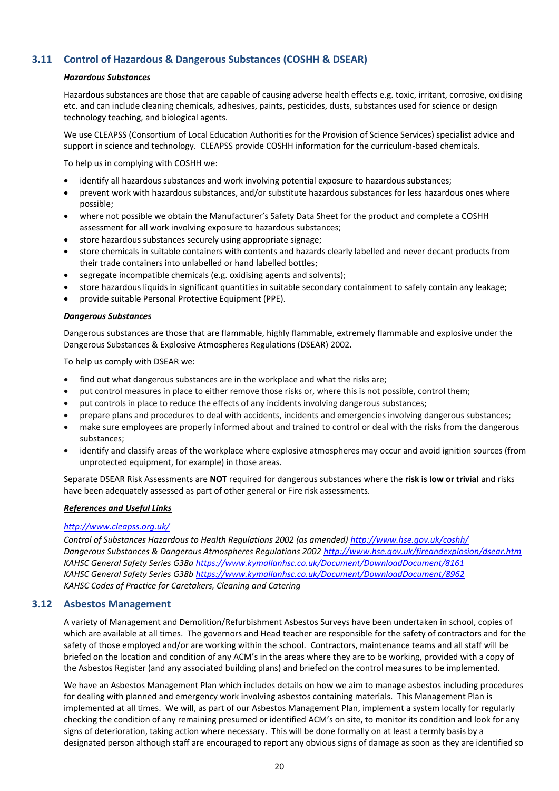#### <span id="page-23-0"></span>**3.11 Control of Hazardous & Dangerous Substances (COSHH & DSEAR)**

#### *Hazardous Substances*

Hazardous substances are those that are capable of causing adverse health effects e.g. toxic, irritant, corrosive, oxidising etc. and can include cleaning chemicals, adhesives, paints, pesticides, dusts, substances used for science or design technology teaching, and biological agents.

We use CLEAPSS (Consortium of Local Education Authorities for the Provision of Science Services) specialist advice and support in science and technology. CLEAPSS provide COSHH information for the curriculum-based chemicals.

To help us in complying with COSHH we:

- identify all hazardous substances and work involving potential exposure to hazardous substances;
- prevent work with hazardous substances, and/or substitute hazardous substances for less hazardous ones where possible;
- where not possible we obtain the Manufacturer's Safety Data Sheet for the product and complete a COSHH assessment for all work involving exposure to hazardous substances;
- store hazardous substances securely using appropriate signage;
- store chemicals in suitable containers with contents and hazards clearly labelled and never decant products from their trade containers into unlabelled or hand labelled bottles;
- segregate incompatible chemicals (e.g. oxidising agents and solvents);
- store hazardous liquids in significant quantities in suitable secondary containment to safely contain any leakage;
- provide suitable Personal Protective Equipment (PPE).

#### *Dangerous Substances*

Dangerous substances are those that are flammable, highly flammable, extremely flammable and explosive under the Dangerous Substances & Explosive Atmospheres Regulations (DSEAR) 2002.

To help us comply with DSEAR we:

- find out what dangerous substances are in the workplace and what the risks are;
- put control measures in place to either remove those risks or, where this is not possible, control them;
- put controls in place to reduce the effects of any incidents involving dangerous substances;
- prepare plans and procedures to deal with accidents, incidents and emergencies involving dangerous substances;
- make sure employees are properly informed about and trained to control or deal with the risks from the dangerous substances;
- identify and classify areas of the workplace where explosive atmospheres may occur and avoid ignition sources (from unprotected equipment, for example) in those areas.

Separate DSEAR Risk Assessments are **NOT** required for dangerous substances where the **risk is low or trivial** and risks have been adequately assessed as part of other general or Fire risk assessments.

#### *References and Useful Links*

#### *<http://www.cleapss.org.uk/>*

*Control of Substances Hazardous to Health Regulations 2002 (as amended)<http://www.hse.gov.uk/coshh/> Dangerous Substances & Dangerous Atmospheres Regulations 2002<http://www.hse.gov.uk/fireandexplosion/dsear.htm> KAHSC General Safety Series G38[a https://www.kymallanhsc.co.uk/Document/DownloadDocument/8161](https://www.kymallanhsc.co.uk/Document/DownloadDocument/8161) KAHSC General Safety Series G38[b https://www.kymallanhsc.co.uk/Document/DownloadDocument/8962](https://www.kymallanhsc.co.uk/Document/DownloadDocument/8962) KAHSC Codes of Practice for Caretakers, Cleaning and Catering*

#### <span id="page-23-1"></span>**3.12 Asbestos Management**

A variety of Management and Demolition/Refurbishment Asbestos Surveys have been undertaken in school, copies of which are available at all times. The governors and Head teacher are responsible for the safety of contractors and for the safety of those employed and/or are working within the school. Contractors, maintenance teams and all staff will be briefed on the location and condition of any ACM's in the areas where they are to be working, provided with a copy of the Asbestos Register (and any associated building plans) and briefed on the control measures to be implemented.

We have an Asbestos Management Plan which includes details on how we aim to manage asbestos including procedures for dealing with planned and emergency work involving asbestos containing materials. This Management Plan is implemented at all times. We will, as part of our Asbestos Management Plan, implement a system locally for regularly checking the condition of any remaining presumed or identified ACM's on site, to monitor its condition and look for any signs of deterioration, taking action where necessary. This will be done formally on at least a termly basis by a designated person although staff are encouraged to report any obvious signs of damage as soon as they are identified so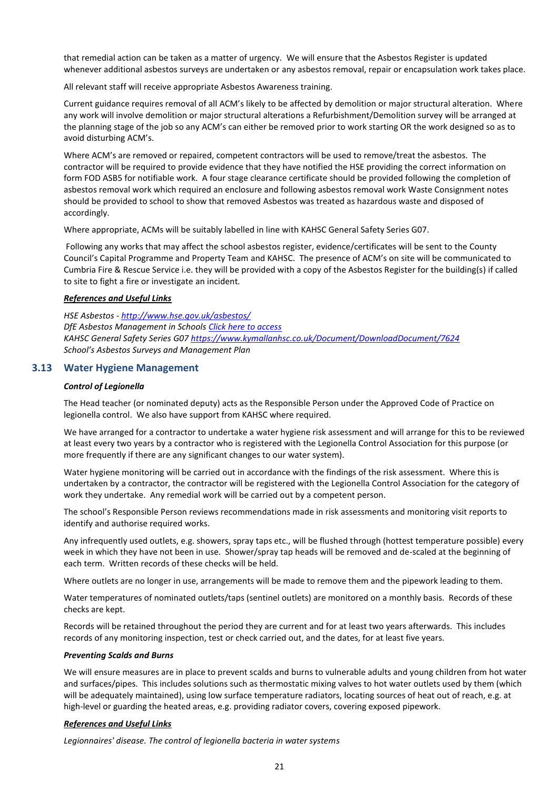that remedial action can be taken as a matter of urgency. We will ensure that the Asbestos Register is updated whenever additional asbestos surveys are undertaken or any asbestos removal, repair or encapsulation work takes place.

All relevant staff will receive appropriate Asbestos Awareness training.

Current guidance requires removal of all ACM's likely to be affected by demolition or major structural alteration. Where any work will involve demolition or major structural alterations a Refurbishment/Demolition survey will be arranged at the planning stage of the job so any ACM's can either be removed prior to work starting OR the work designed so as to avoid disturbing ACM's.

Where ACM's are removed or repaired, competent contractors will be used to remove/treat the asbestos. The contractor will be required to provide evidence that they have notified the HSE providing the correct information on form FOD ASB5 for notifiable work. A four stage clearance certificate should be provided following the completion of asbestos removal work which required an enclosure and following asbestos removal work Waste Consignment notes should be provided to school to show that removed Asbestos was treated as hazardous waste and disposed of accordingly.

Where appropriate, ACMs will be suitably labelled in line with KAHSC General Safety Series G07.

Following any works that may affect the school asbestos register, evidence/certificates will be sent to the County Council's Capital Programme and Property Team and KAHSC. The presence of ACM's on site will be communicated to Cumbria Fire & Rescue Service i.e. they will be provided with a copy of the Asbestos Register for the building(s) if called to site to fight a fire or investigate an incident*.*

#### *References and Useful Links*

*HSE Asbestos - <http://www.hse.gov.uk/asbestos/> DfE Asbestos Management in Schools [Click here to access](https://www.gov.uk/government/uploads/system/uploads/attachment_data/file/276032/asbestos_management_in_schools_2013.pdf) KAHSC General Safety Series G0[7 https://www.kymallanhsc.co.uk/Document/DownloadDocument/7624](https://www.kymallanhsc.co.uk/Document/DownloadDocument/7624) School's Asbestos Surveys and Management Plan*

#### <span id="page-24-0"></span>**3.13 Water Hygiene Management**

#### *Control of Legionella*

The Head teacher (or nominated deputy) acts as the Responsible Person under the Approved Code of Practice on legionella control. We also have support from KAHSC where required.

We have arranged for a contractor to undertake a water hygiene risk assessment and will arrange for this to be reviewed at least every two years by a contractor who is registered with the Legionella Control Association for this purpose (or more frequently if there are any significant changes to our water system).

Water hygiene monitoring will be carried out in accordance with the findings of the risk assessment. Where this is undertaken by a contractor, the contractor will be registered with the Legionella Control Association for the category of work they undertake. Any remedial work will be carried out by a competent person.

The school's Responsible Person reviews recommendations made in risk assessments and monitoring visit reports to identify and authorise required works.

Any infrequently used outlets, e.g. showers, spray taps etc., will be flushed through (hottest temperature possible) every week in which they have not been in use. Shower/spray tap heads will be removed and de-scaled at the beginning of each term. Written records of these checks will be held.

Where outlets are no longer in use, arrangements will be made to remove them and the pipework leading to them.

Water temperatures of nominated outlets/taps (sentinel outlets) are monitored on a monthly basis. Records of these checks are kept.

Records will be retained throughout the period they are current and for at least two years afterwards. This includes records of any monitoring inspection, test or check carried out, and the dates, for at least five years.

#### *Preventing Scalds and Burns*

We will ensure measures are in place to prevent scalds and burns to vulnerable adults and young children from hot water and surfaces/pipes. This includes solutions such as thermostatic mixing valves to hot water outlets used by them (which will be adequately maintained), using low surface temperature radiators, locating sources of heat out of reach, e.g. at high-level or guarding the heated areas, e.g. providing radiator covers, covering exposed pipework.

#### *References and Useful Links*

*Legionnaires' disease. The control of legionella bacteria in water systems*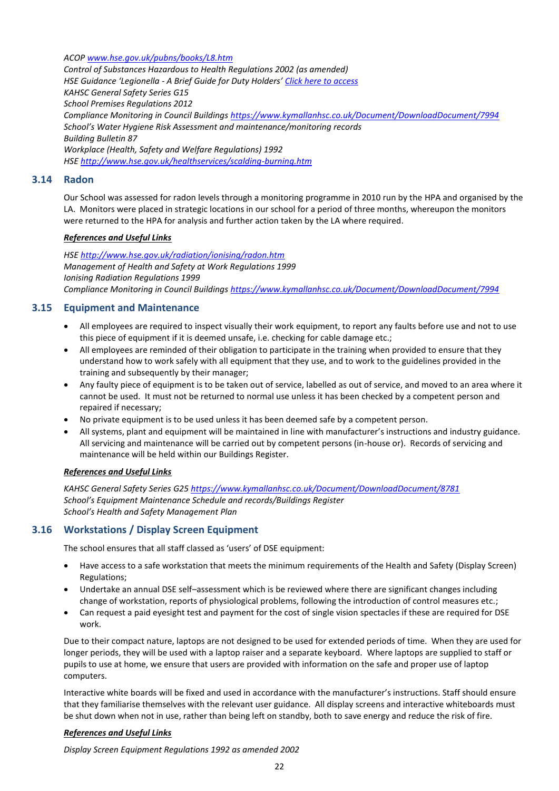*ACOP [www.hse.gov.uk/pubns/books/L8.htm](http://www.hse.gov.uk/pubns/books/L8.htm)*

*Control of Substances Hazardous to Health Regulations 2002 (as amended) HSE Guidance 'Legionella - A Brief Guide for Duty Holders' [Click here to access](http://www.hse.gov.uk/pubns/indg458.htm) KAHSC General Safety Series G15 School Premises Regulations 2012 Compliance Monitoring in Council Building[s https://www.kymallanhsc.co.uk/Document/DownloadDocument/7994](https://www.kymallanhsc.co.uk/Document/DownloadDocument/7994) School's Water Hygiene Risk Assessment and maintenance/monitoring records Building Bulletin 87 Workplace (Health, Safety and Welfare Regulations) 1992 HSE<http://www.hse.gov.uk/healthservices/scalding-burning.htm>*

#### <span id="page-25-0"></span>**3.14 Radon**

Our School was assessed for radon levels through a monitoring programme in 2010 run by the HPA and organised by the LA. Monitors were placed in strategic locations in our school for a period of three months, whereupon the monitors were returned to the HPA for analysis and further action taken by the LA where required.

#### *References and Useful Links*

*HSE<http://www.hse.gov.uk/radiation/ionising/radon.htm> Management of Health and Safety at Work Regulations 1999 Ionising Radiation Regulations 1999 Compliance Monitoring in Council Building[s https://www.kymallanhsc.co.uk/Document/DownloadDocument/7994](https://www.kymallanhsc.co.uk/Document/DownloadDocument/7994)*

#### <span id="page-25-1"></span>**3.15 Equipment and Maintenance**

- All employees are required to inspect visually their work equipment, to report any faults before use and not to use this piece of equipment if it is deemed unsafe, i.e. checking for cable damage etc.;
- All employees are reminded of their obligation to participate in the training when provided to ensure that they understand how to work safely with all equipment that they use, and to work to the guidelines provided in the training and subsequently by their manager;
- Any faulty piece of equipment is to be taken out of service, labelled as out of service, and moved to an area where it cannot be used. It must not be returned to normal use unless it has been checked by a competent person and repaired if necessary;
- No private equipment is to be used unless it has been deemed safe by a competent person.
- All systems, plant and equipment will be maintained in line with manufacturer's instructions and industry guidance. All servicing and maintenance will be carried out by competent persons (in-house or). Records of servicing and maintenance will be held within our Buildings Register.

#### *References and Useful Links*

*KAHSC General Safety Series G2[5 https://www.kymallanhsc.co.uk/Document/DownloadDocument/8781](https://www.kymallanhsc.co.uk/Document/DownloadDocument/8781) School's Equipment Maintenance Schedule and records/Buildings Register School's Health and Safety Management Plan*

#### <span id="page-25-2"></span>**3.16 Workstations / Display Screen Equipment**

The school ensures that all staff classed as 'users' of DSE equipment:

- Have access to a safe workstation that meets the minimum requirements of the Health and Safety (Display Screen) Regulations;
- Undertake an annual DSE self–assessment which is be reviewed where there are significant changes including change of workstation, reports of physiological problems, following the introduction of control measures etc.;
- Can request a paid eyesight test and payment for the cost of single vision spectacles if these are required for DSE work.

Due to their compact nature, laptops are not designed to be used for extended periods of time. When they are used for longer periods, they will be used with a laptop raiser and a separate keyboard. Where laptops are supplied to staff or pupils to use at home, we ensure that users are provided with information on the safe and proper use of laptop computers.

Interactive white boards will be fixed and used in accordance with the manufacturer's instructions. Staff should ensure that they familiarise themselves with the relevant user guidance. All display screens and interactive whiteboards must be shut down when not in use, rather than being left on standby, both to save energy and reduce the risk of fire.

#### *References and Useful Links*

*Display Screen Equipment Regulations 1992 as amended 2002*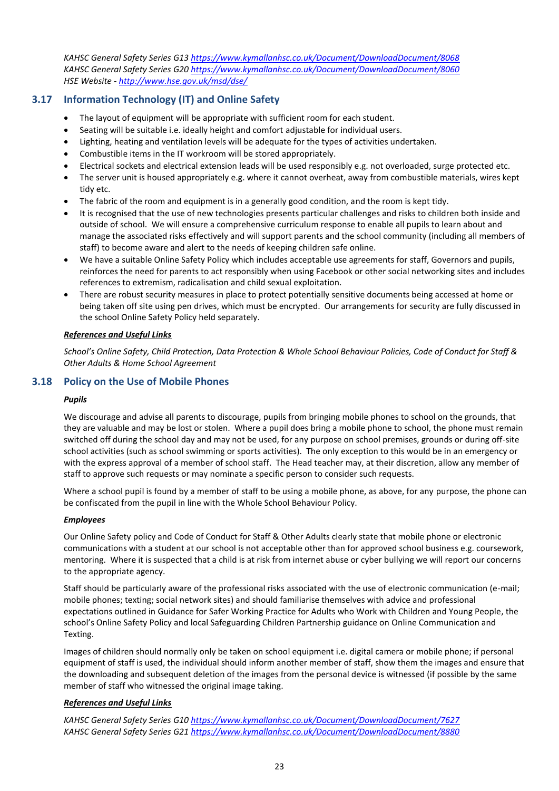*KAHSC General Safety Series G1[3 https://www.kymallanhsc.co.uk/Document/DownloadDocument/8068](https://www.kymallanhsc.co.uk/Document/DownloadDocument/8068) KAHSC General Safety Series G2[0 https://www.kymallanhsc.co.uk/Document/DownloadDocument/8060](https://www.kymallanhsc.co.uk/Document/DownloadDocument/8060) HSE Website - <http://www.hse.gov.uk/msd/dse/>*

#### <span id="page-26-0"></span>**3.17 Information Technology (IT) and Online Safety**

- The layout of equipment will be appropriate with sufficient room for each student.
- Seating will be suitable i.e. ideally height and comfort adjustable for individual users.
- Lighting, heating and ventilation levels will be adequate for the types of activities undertaken.
- Combustible items in the IT workroom will be stored appropriately.
- Electrical sockets and electrical extension leads will be used responsibly e.g. not overloaded, surge protected etc.
- The server unit is housed appropriately e.g. where it cannot overheat, away from combustible materials, wires kept tidy etc.
- The fabric of the room and equipment is in a generally good condition, and the room is kept tidy.
- It is recognised that the use of new technologies presents particular challenges and risks to children both inside and outside of school. We will ensure a comprehensive curriculum response to enable all pupils to learn about and manage the associated risks effectively and will support parents and the school community (including all members of staff) to become aware and alert to the needs of keeping children safe online.
- We have a suitable Online Safety Policy which includes acceptable use agreements for staff, Governors and pupils, reinforces the need for parents to act responsibly when using Facebook or other social networking sites and includes references to extremism, radicalisation and child sexual exploitation.
- There are robust security measures in place to protect potentially sensitive documents being accessed at home or being taken off site using pen drives, which must be encrypted. Our arrangements for security are fully discussed in the school Online Safety Policy held separately.

#### *References and Useful Links*

*School's Online Safety, Child Protection, Data Protection & Whole School Behaviour Policies, Code of Conduct for Staff & Other Adults & Home School Agreement*

#### <span id="page-26-1"></span>**3.18 Policy on the Use of Mobile Phones**

#### *Pupils*

We discourage and advise all parents to discourage, pupils from bringing mobile phones to school on the grounds, that they are valuable and may be lost or stolen. Where a pupil does bring a mobile phone to school, the phone must remain switched off during the school day and may not be used, for any purpose on school premises, grounds or during off-site school activities (such as school swimming or sports activities). The only exception to this would be in an emergency or with the express approval of a member of school staff. The Head teacher may, at their discretion, allow any member of staff to approve such requests or may nominate a specific person to consider such requests.

Where a school pupil is found by a member of staff to be using a mobile phone, as above, for any purpose, the phone can be confiscated from the pupil in line with the Whole School Behaviour Policy.

#### *Employees*

Our Online Safety policy and Code of Conduct for Staff & Other Adults clearly state that mobile phone or electronic communications with a student at our school is not acceptable other than for approved school business e.g. coursework, mentoring. Where it is suspected that a child is at risk from internet abuse or cyber bullying we will report our concerns to the appropriate agency.

Staff should be particularly aware of the professional risks associated with the use of electronic communication (e-mail; mobile phones; texting; social network sites) and should familiarise themselves with advice and professional expectations outlined in Guidance for Safer Working Practice for Adults who Work with Children and Young People, the school's Online Safety Policy and local Safeguarding Children Partnership guidance on Online Communication and Texting.

Images of children should normally only be taken on school equipment i.e. digital camera or mobile phone; if personal equipment of staff is used, the individual should inform another member of staff, show them the images and ensure that the downloading and subsequent deletion of the images from the personal device is witnessed (if possible by the same member of staff who witnessed the original image taking.

#### *References and Useful Links*

*KAHSC General Safety Series G1[0 https://www.kymallanhsc.co.uk/Document/DownloadDocument/7627](https://www.kymallanhsc.co.uk/Document/DownloadDocument/7627) KAHSC General Safety Series G2[1 https://www.kymallanhsc.co.uk/Document/DownloadDocument/8880](https://www.kymallanhsc.co.uk/Document/DownloadDocument/8880)*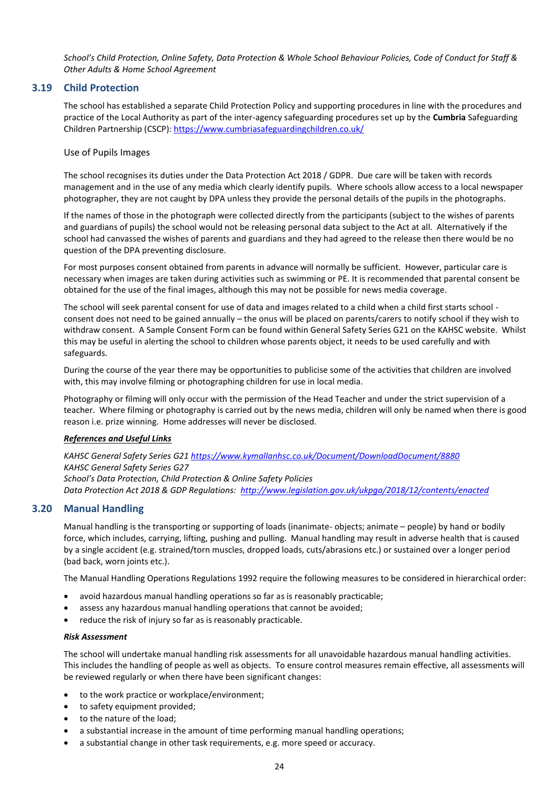*School's Child Protection, Online Safety, Data Protection & Whole School Behaviour Policies, Code of Conduct for Staff & Other Adults & Home School Agreement*

#### <span id="page-27-0"></span>**3.19 Child Protection**

<span id="page-27-1"></span>The school has established a separate Child Protection Policy and supporting procedures in line with the procedures and practice of the Local Authority as part of the inter-agency safeguarding procedures set up by the **Cumbria** Safeguarding Children Partnership (CSCP):<https://www.cumbriasafeguardingchildren.co.uk/>

#### Use of Pupils Images

The school recognises its duties under the Data Protection Act 2018 / GDPR. Due care will be taken with records management and in the use of any media which clearly identify pupils. Where schools allow access to a local newspaper photographer, they are not caught by DPA unless they provide the personal details of the pupils in the photographs.

If the names of those in the photograph were collected directly from the participants (subject to the wishes of parents and guardians of pupils) the school would not be releasing personal data subject to the Act at all. Alternatively if the school had canvassed the wishes of parents and guardians and they had agreed to the release then there would be no question of the DPA preventing disclosure.

For most purposes consent obtained from parents in advance will normally be sufficient. However, particular care is necessary when images are taken during activities such as swimming or PE. It is recommended that parental consent be obtained for the use of the final images, although this may not be possible for news media coverage.

The school will seek parental consent for use of data and images related to a child when a child first starts school consent does not need to be gained annually – the onus will be placed on parents/carers to notify school if they wish to withdraw consent. A Sample Consent Form can be found within General Safety Series G21 on the KAHSC website. Whilst this may be useful in alerting the school to children whose parents object, it needs to be used carefully and with safeguards.

During the course of the year there may be opportunities to publicise some of the activities that children are involved with, this may involve filming or photographing children for use in local media.

Photography or filming will only occur with the permission of the Head Teacher and under the strict supervision of a teacher. Where filming or photography is carried out by the news media, children will only be named when there is good reason i.e. prize winning. Home addresses will never be disclosed.

#### *References and Useful Links*

*KAHSC General Safety Series G2[1 https://www.kymallanhsc.co.uk/Document/DownloadDocument/8880](https://www.kymallanhsc.co.uk/Document/DownloadDocument/8880) KAHSC General Safety Series G27 School's Data Protection, Child Protection & Online Safety Policies Data Protection Act 2018 & GDP Regulations: <http://www.legislation.gov.uk/ukpga/2018/12/contents/enacted>*

#### <span id="page-27-2"></span>**3.20 Manual Handling**

Manual handling is the transporting or supporting of loads (inanimate- objects; animate – people) by hand or bodily force, which includes, carrying, lifting, pushing and pulling. Manual handling may result in adverse health that is caused by a single accident (e.g. strained/torn muscles, dropped loads, cuts/abrasions etc.) or sustained over a longer period (bad back, worn joints etc.).

The Manual Handling Operations Regulations 1992 require the following measures to be considered in hierarchical order:

- avoid hazardous manual handling operations so far as is reasonably practicable;
- assess any hazardous manual handling operations that cannot be avoided;
- reduce the risk of injury so far as is reasonably practicable.

#### *Risk Assessment*

The school will undertake manual handling risk assessments for all unavoidable hazardous manual handling activities. This includes the handling of people as well as objects. To ensure control measures remain effective, all assessments will be reviewed regularly or when there have been significant changes:

- to the work practice or workplace/environment;
- to safety equipment provided;
- to the nature of the load;
- a substantial increase in the amount of time performing manual handling operations;
- a substantial change in other task requirements, e.g. more speed or accuracy.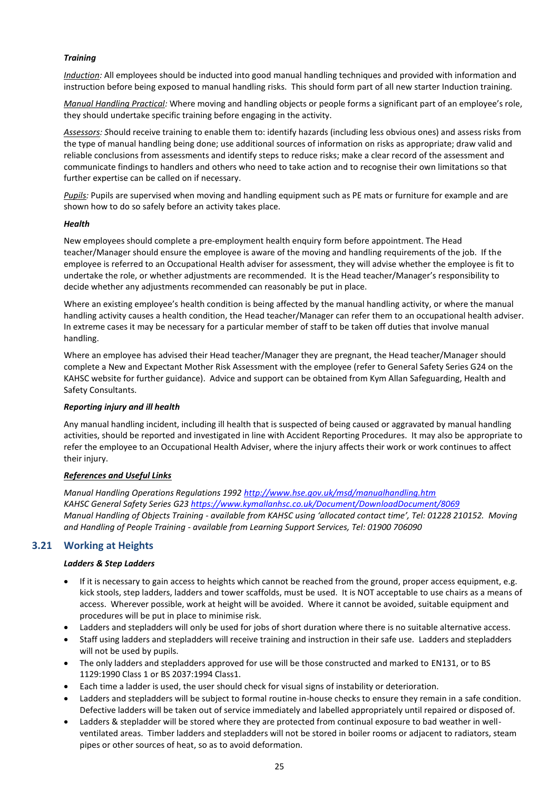#### *Training*

*Induction:* All employees should be inducted into good manual handling techniques and provided with information and instruction before being exposed to manual handling risks. This should form part of all new starter Induction training.

*Manual Handling Practical:* Where moving and handling objects or people forms a significant part of an employee's role, they should undertake specific training before engaging in the activity.

*Assessors: S*hould receive training to enable them to: identify hazards (including less obvious ones) and assess risks from the type of manual handling being done; use additional sources of information on risks as appropriate; draw valid and reliable conclusions from assessments and identify steps to reduce risks; make a clear record of the assessment and communicate findings to handlers and others who need to take action and to recognise their own limitations so that further expertise can be called on if necessary.

*Pupils:* Pupils are supervised when moving and handling equipment such as PE mats or furniture for example and are shown how to do so safely before an activity takes place.

#### *Health*

New employees should complete a pre-employment health enquiry form before appointment. The Head teacher/Manager should ensure the employee is aware of the moving and handling requirements of the job. If the employee is referred to an Occupational Health adviser for assessment, they will advise whether the employee is fit to undertake the role, or whether adjustments are recommended. It is the Head teacher/Manager's responsibility to decide whether any adjustments recommended can reasonably be put in place.

Where an existing employee's health condition is being affected by the manual handling activity, or where the manual handling activity causes a health condition, the Head teacher/Manager can refer them to an occupational health adviser. In extreme cases it may be necessary for a particular member of staff to be taken off duties that involve manual handling.

Where an employee has advised their Head teacher/Manager they are pregnant, the Head teacher/Manager should complete a New and Expectant Mother Risk Assessment with the employee (refer to General Safety Series G24 on the KAHSC website for further guidance). Advice and support can be obtained from Kym Allan Safeguarding, Health and Safety Consultants.

#### *Reporting injury and ill health*

Any manual handling incident, including ill health that is suspected of being caused or aggravated by manual handling activities, should be reported and investigated in line with Accident Reporting Procedures. It may also be appropriate to refer the employee to an Occupational Health Adviser, where the injury affects their work or work continues to affect their injury.

#### *References and Useful Links*

*Manual Handling Operations Regulations 1992<http://www.hse.gov.uk/msd/manualhandling.htm> KAHSC General Safety Series G2[3 https://www.kymallanhsc.co.uk/Document/DownloadDocument/8069](https://www.kymallanhsc.co.uk/Document/DownloadDocument/8069) Manual Handling of Objects Training - available from KAHSC using 'allocated contact time', Tel: 01228 210152. Moving and Handling of People Training - available from Learning Support Services, Tel: 01900 706090*

#### <span id="page-28-0"></span>**3.21 Working at Heights**

#### *Ladders & Step Ladders*

- If it is necessary to gain access to heights which cannot be reached from the ground, proper access equipment, e.g. kick stools, step ladders, ladders and tower scaffolds, must be used. It is NOT acceptable to use chairs as a means of access. Wherever possible, work at height will be avoided. Where it cannot be avoided, suitable equipment and procedures will be put in place to minimise risk.
- Ladders and stepladders will only be used for jobs of short duration where there is no suitable alternative access.
- Staff using ladders and stepladders will receive training and instruction in their safe use. Ladders and stepladders will not be used by pupils.
- The only ladders and stepladders approved for use will be those constructed and marked to EN131, or to BS 1129:1990 Class 1 or BS 2037:1994 Class1.
- Each time a ladder is used, the user should check for visual signs of instability or deterioration.
- Ladders and stepladders will be subject to formal routine in-house checks to ensure they remain in a safe condition. Defective ladders will be taken out of service immediately and labelled appropriately until repaired or disposed of.
- Ladders & stepladder will be stored where they are protected from continual exposure to bad weather in wellventilated areas. Timber ladders and stepladders will not be stored in boiler rooms or adjacent to radiators, steam pipes or other sources of heat, so as to avoid deformation.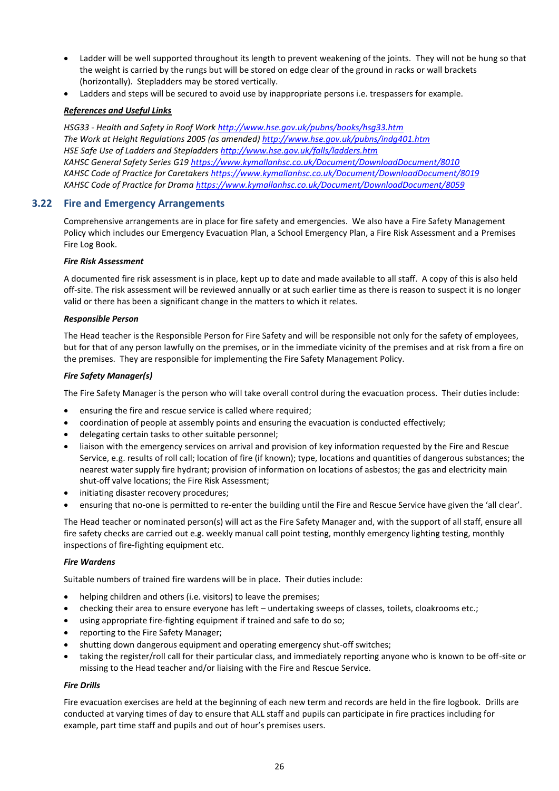- Ladder will be well supported throughout its length to prevent weakening of the joints. They will not be hung so that the weight is carried by the rungs but will be stored on edge clear of the ground in racks or wall brackets (horizontally). Stepladders may be stored vertically.
- Ladders and steps will be secured to avoid use by inappropriate persons i.e. trespassers for example.

#### *References and Useful Links*

*HSG33 - Health and Safety in Roof Work<http://www.hse.gov.uk/pubns/books/hsg33.htm> The Work at Height Regulations 2005 (as amended[\) http://www.hse.gov.uk/pubns/indg401.htm](http://www.hse.gov.uk/pubns/indg401.htm) HSE Safe Use of Ladders and Stepladders<http://www.hse.gov.uk/falls/ladders.htm> KAHSC General Safety Series G1[9 https://www.kymallanhsc.co.uk/Document/DownloadDocument/8010](https://www.kymallanhsc.co.uk/Document/DownloadDocument/8010) KAHSC Code of Practice for Caretakers<https://www.kymallanhsc.co.uk/Document/DownloadDocument/8019> KAHSC Code of Practice for Drama<https://www.kymallanhsc.co.uk/Document/DownloadDocument/8059>*

#### <span id="page-29-0"></span>**3.22 Fire and Emergency Arrangements**

Comprehensive arrangements are in place for fire safety and emergencies. We also have a Fire Safety Management Policy which includes our Emergency Evacuation Plan, a School Emergency Plan, a Fire Risk Assessment and a Premises Fire Log Book.

#### *Fire Risk Assessment*

A documented fire risk assessment is in place, kept up to date and made available to all staff. A copy of this is also held off-site. The risk assessment will be reviewed annually or at such earlier time as there is reason to suspect it is no longer valid or there has been a significant change in the matters to which it relates.

#### *Responsible Person*

The Head teacher is the Responsible Person for Fire Safety and will be responsible not only for the safety of employees, but for that of any person lawfully on the premises, or in the immediate vicinity of the premises and at risk from a fire on the premises. They are responsible for implementing the Fire Safety Management Policy.

#### *Fire Safety Manager(s)*

The Fire Safety Manager is the person who will take overall control during the evacuation process. Their duties include:

- ensuring the fire and rescue service is called where required;
- coordination of people at assembly points and ensuring the evacuation is conducted effectively;
- delegating certain tasks to other suitable personnel;
- liaison with the emergency services on arrival and provision of key information requested by the Fire and Rescue Service, e.g. results of roll call; location of fire (if known); type, locations and quantities of dangerous substances; the nearest water supply fire hydrant; provision of information on locations of asbestos; the gas and electricity main shut-off valve locations; the Fire Risk Assessment;
- initiating disaster recovery procedures;
- ensuring that no-one is permitted to re-enter the building until the Fire and Rescue Service have given the 'all clear'.

The Head teacher or nominated person(s) will act as the Fire Safety Manager and, with the support of all staff, ensure all fire safety checks are carried out e.g. weekly manual call point testing, monthly emergency lighting testing, monthly inspections of fire-fighting equipment etc.

#### *Fire Wardens*

Suitable numbers of trained fire wardens will be in place. Their duties include:

- helping children and others (i.e. visitors) to leave the premises;
- checking their area to ensure everyone has left undertaking sweeps of classes, toilets, cloakrooms etc.;
- using appropriate fire-fighting equipment if trained and safe to do so;
- reporting to the Fire Safety Manager;
- shutting down dangerous equipment and operating emergency shut-off switches;
- taking the register/roll call for their particular class, and immediately reporting anyone who is known to be off-site or missing to the Head teacher and/or liaising with the Fire and Rescue Service.

#### *Fire Drills*

Fire evacuation exercises are held at the beginning of each new term and records are held in the fire logbook. Drills are conducted at varying times of day to ensure that ALL staff and pupils can participate in fire practices including for example, part time staff and pupils and out of hour's premises users.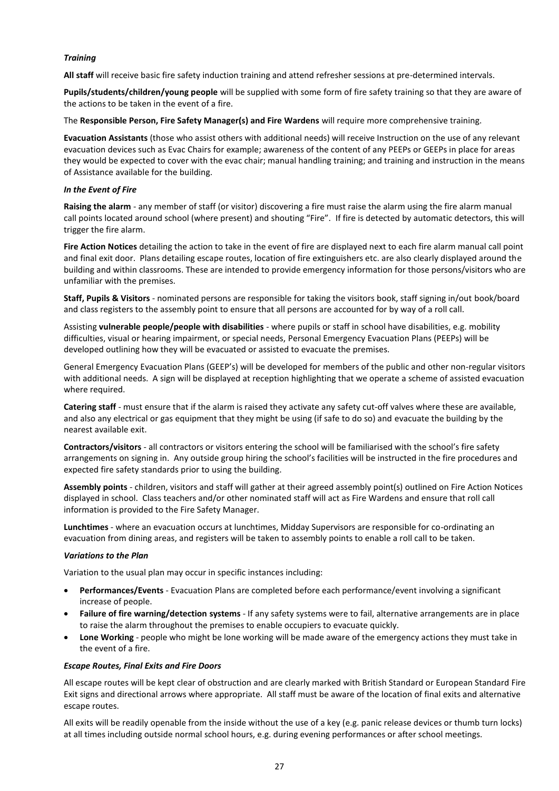#### *Training*

**All staff** will receive basic fire safety induction training and attend refresher sessions at pre-determined intervals.

**Pupils/students/children/young people** will be supplied with some form of fire safety training so that they are aware of the actions to be taken in the event of a fire.

The **Responsible Person, Fire Safety Manager(s) and Fire Wardens** will require more comprehensive training.

**Evacuation Assistants** (those who assist others with additional needs) will receive Instruction on the use of any relevant evacuation devices such as Evac Chairs for example; awareness of the content of any PEEPs or GEEPs in place for areas they would be expected to cover with the evac chair; manual handling training; and training and instruction in the means of Assistance available for the building.

#### *In the Event of Fire*

**Raising the alarm** - any member of staff (or visitor) discovering a fire must raise the alarm using the fire alarm manual call points located around school (where present) and shouting "Fire". If fire is detected by automatic detectors, this will trigger the fire alarm.

**Fire Action Notices** detailing the action to take in the event of fire are displayed next to each fire alarm manual call point and final exit door. Plans detailing escape routes, location of fire extinguishers etc. are also clearly displayed around the building and within classrooms. These are intended to provide emergency information for those persons/visitors who are unfamiliar with the premises.

**Staff, Pupils & Visitors** - nominated persons are responsible for taking the visitors book, staff signing in/out book/board and class registers to the assembly point to ensure that all persons are accounted for by way of a roll call.

Assisting **vulnerable people/people with disabilities** - where pupils or staff in school have disabilities, e.g. mobility difficulties, visual or hearing impairment, or special needs, Personal Emergency Evacuation Plans (PEEPs) will be developed outlining how they will be evacuated or assisted to evacuate the premises.

General Emergency Evacuation Plans (GEEP's) will be developed for members of the public and other non-regular visitors with additional needs. A sign will be displayed at reception highlighting that we operate a scheme of assisted evacuation where required.

**Catering staff** - must ensure that if the alarm is raised they activate any safety cut-off valves where these are available, and also any electrical or gas equipment that they might be using (if safe to do so) and evacuate the building by the nearest available exit.

**Contractors/visitors** - all contractors or visitors entering the school will be familiarised with the school's fire safety arrangements on signing in. Any outside group hiring the school's facilities will be instructed in the fire procedures and expected fire safety standards prior to using the building.

**Assembly points** - children, visitors and staff will gather at their agreed assembly point(s) outlined on Fire Action Notices displayed in school. Class teachers and/or other nominated staff will act as Fire Wardens and ensure that roll call information is provided to the Fire Safety Manager.

**Lunchtimes** - where an evacuation occurs at lunchtimes, Midday Supervisors are responsible for co-ordinating an evacuation from dining areas, and registers will be taken to assembly points to enable a roll call to be taken.

#### *Variations to the Plan*

Variation to the usual plan may occur in specific instances including:

- **Performances/Events** Evacuation Plans are completed before each performance/event involving a significant increase of people.
- **Failure of fire warning/detection systems** If any safety systems were to fail, alternative arrangements are in place to raise the alarm throughout the premises to enable occupiers to evacuate quickly.
- **Lone Working** people who might be lone working will be made aware of the emergency actions they must take in the event of a fire.

#### *Escape Routes, Final Exits and Fire Doors*

All escape routes will be kept clear of obstruction and are clearly marked with British Standard or European Standard Fire Exit signs and directional arrows where appropriate. All staff must be aware of the location of final exits and alternative escape routes.

All exits will be readily openable from the inside without the use of a key (e.g. panic release devices or thumb turn locks) at all times including outside normal school hours, e.g. during evening performances or after school meetings.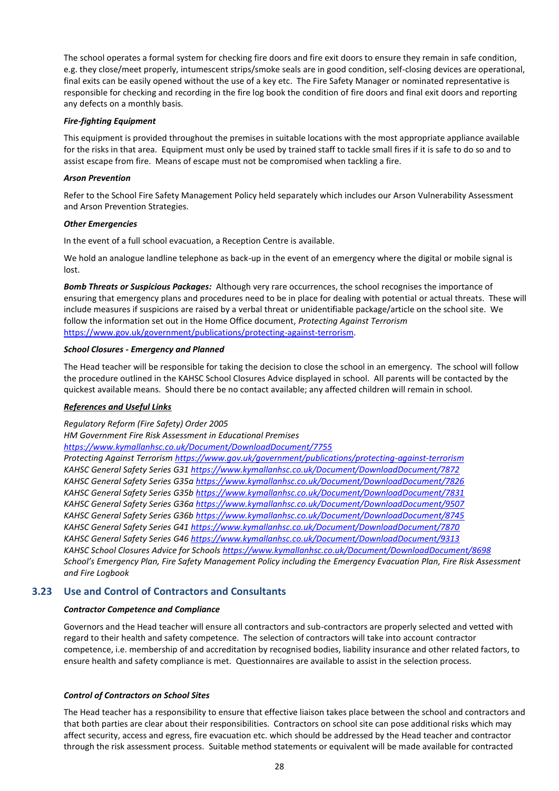The school operates a formal system for checking fire doors and fire exit doors to ensure they remain in safe condition, e.g. they close/meet properly, intumescent strips/smoke seals are in good condition, self-closing devices are operational, final exits can be easily opened without the use of a key etc. The Fire Safety Manager or nominated representative is responsible for checking and recording in the fire log book the condition of fire doors and final exit doors and reporting any defects on a monthly basis.

#### *Fire-fighting Equipment*

This equipment is provided throughout the premises in suitable locations with the most appropriate appliance available for the risks in that area. Equipment must only be used by trained staff to tackle small fires if it is safe to do so and to assist escape from fire. Means of escape must not be compromised when tackling a fire.

#### *Arson Prevention*

Refer to the School Fire Safety Management Policy held separately which includes our Arson Vulnerability Assessment and Arson Prevention Strategies.

#### *Other Emergencies*

In the event of a full school evacuation, a Reception Centre is available.

We hold an analogue landline telephone as back-up in the event of an emergency where the digital or mobile signal is lost.

*Bomb Threats or Suspicious Packages:* Although very rare occurrences, the school recognises the importance of ensuring that emergency plans and procedures need to be in place for dealing with potential or actual threats. These will include measures if suspicions are raised by a verbal threat or unidentifiable package/article on the school site. We follow the information set out in the Home Office document, *Protecting Against Terrorism* [https://www.gov.uk/government/publications/protecting-against-terrorism.](https://www.gov.uk/government/publications/protecting-against-terrorism)

#### *School Closures - Emergency and Planned*

The Head teacher will be responsible for taking the decision to close the school in an emergency. The school will follow the procedure outlined in the KAHSC School Closures Advice displayed in school. All parents will be contacted by the quickest available means. Should there be no contact available; any affected children will remain in school.

#### *References and Useful Links*

*Regulatory Reform (Fire Safety) Order 2005* 

*HM Government Fire Risk Assessment in Educational Premises* 

*<https://www.kymallanhsc.co.uk/Document/DownloadDocument/7755>*

*Protecting Against Terroris[m https://www.gov.uk/government/publications/protecting-against-terrorism](https://www.gov.uk/government/publications/protecting-against-terrorism) KAHSC General Safety Series G3[1 https://www.kymallanhsc.co.uk/Document/DownloadDocument/7872](https://www.kymallanhsc.co.uk/Document/DownloadDocument/7872) KAHSC General Safety Series G35a <https://www.kymallanhsc.co.uk/Document/DownloadDocument/7826> KAHSC General Safety Series G35[b https://www.kymallanhsc.co.uk/Document/DownloadDocument/7831](https://www.kymallanhsc.co.uk/Document/DownloadDocument/7831) KAHSC General Safety Series G36a <https://www.kymallanhsc.co.uk/Document/DownloadDocument/9507> KAHSC General Safety Series G36[b https://www.kymallanhsc.co.uk/Document/DownloadDocument/8745](https://www.kymallanhsc.co.uk/Document/DownloadDocument/8745) KAHSC General Safety Series G4[1 https://www.kymallanhsc.co.uk/Document/DownloadDocument/7870](https://www.kymallanhsc.co.uk/Document/DownloadDocument/7870) KAHSC General Safety Series G4[6 https://www.kymallanhsc.co.uk/Document/DownloadDocument/9313](https://www.kymallanhsc.co.uk/Document/DownloadDocument/9313) KAHSC School Closures Advice for Schools<https://www.kymallanhsc.co.uk/Document/DownloadDocument/8698> School's Emergency Plan, Fire Safety Management Policy including the Emergency Evacuation Plan, Fire Risk Assessment and Fire Logbook*

#### <span id="page-31-0"></span>**3.23 Use and Control of Contractors and Consultants**

#### *Contractor Competence and Compliance*

Governors and the Head teacher will ensure all contractors and sub-contractors are properly selected and vetted with regard to their health and safety competence. The selection of contractors will take into account contractor competence, i.e. membership of and accreditation by recognised bodies, liability insurance and other related factors, to ensure health and safety compliance is met. Questionnaires are available to assist in the selection process.

#### *Control of Contractors on School Sites*

The Head teacher has a responsibility to ensure that effective liaison takes place between the school and contractors and that both parties are clear about their responsibilities. Contractors on school site can pose additional risks which may affect security, access and egress, fire evacuation etc. which should be addressed by the Head teacher and contractor through the risk assessment process. Suitable method statements or equivalent will be made available for contracted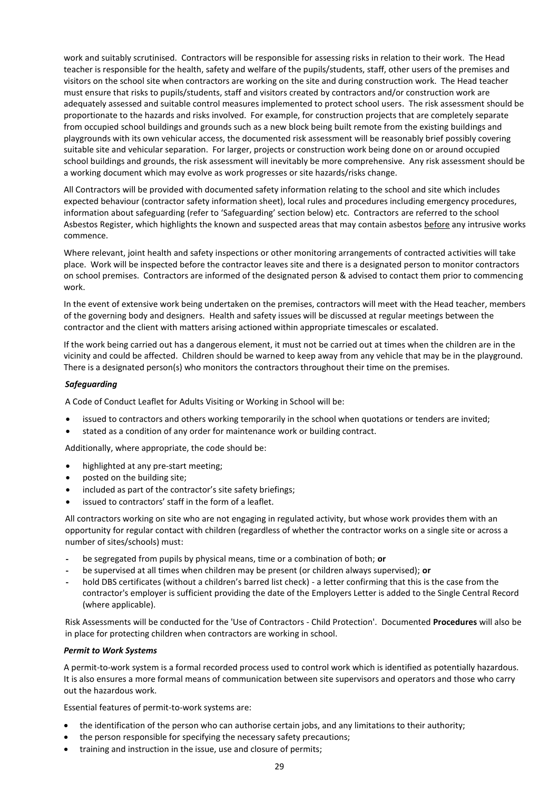work and suitably scrutinised. Contractors will be responsible for assessing risks in relation to their work. The Head teacher is responsible for the health, safety and welfare of the pupils/students, staff, other users of the premises and visitors on the school site when contractors are working on the site and during construction work. The Head teacher must ensure that risks to pupils/students, staff and visitors created by contractors and/or construction work are adequately assessed and suitable control measures implemented to protect school users. The risk assessment should be proportionate to the hazards and risks involved. For example, for construction projects that are completely separate from occupied school buildings and grounds such as a new block being built remote from the existing buildings and playgrounds with its own vehicular access, the documented risk assessment will be reasonably brief possibly covering suitable site and vehicular separation. For larger, projects or construction work being done on or around occupied school buildings and grounds, the risk assessment will inevitably be more comprehensive. Any risk assessment should be a working document which may evolve as work progresses or site hazards/risks change.

All Contractors will be provided with documented safety information relating to the school and site which includes expected behaviour (contractor safety information sheet), local rules and procedures including emergency procedures, information about safeguarding (refer to 'Safeguarding' section below) etc. Contractors are referred to the school Asbestos Register, which highlights the known and suspected areas that may contain asbestos before any intrusive works commence.

Where relevant, joint health and safety inspections or other monitoring arrangements of contracted activities will take place. Work will be inspected before the contractor leaves site and there is a designated person to monitor contractors on school premises. Contractors are informed of the designated person & advised to contact them prior to commencing work.

In the event of extensive work being undertaken on the premises, contractors will meet with the Head teacher, members of the governing body and designers. Health and safety issues will be discussed at regular meetings between the contractor and the client with matters arising actioned within appropriate timescales or escalated.

If the work being carried out has a dangerous element, it must not be carried out at times when the children are in the vicinity and could be affected. Children should be warned to keep away from any vehicle that may be in the playground. There is a designated person(s) who monitors the contractors throughout their time on the premises.

#### *Safeguarding*

A Code of Conduct Leaflet for Adults Visiting or Working in School will be:

- issued to contractors and others working temporarily in the school when quotations or tenders are invited;
- stated as a condition of any order for maintenance work or building contract.

Additionally, where appropriate, the code should be:

- highlighted at any pre-start meeting;
- posted on the building site;
- included as part of the contractor's site safety briefings;
- issued to contractors' staff in the form of a leaflet.

All contractors working on site who are not engaging in regulated activity, but whose work provides them with an opportunity for regular contact with children (regardless of whether the contractor works on a single site or across a number of sites/schools) must:

- be segregated from pupils by physical means, time or a combination of both; **or**
- be supervised at all times when children may be present (or children always supervised); or
- hold DBS certificates (without a children's barred list check) a letter confirming that this is the case from the contractor's employer is sufficient providing the date of the Employers Letter is added to the Single Central Record (where applicable).

Risk Assessments will be conducted for the 'Use of Contractors - Child Protection'. Documented **Procedures** will also be in place for protecting children when contractors are working in school.

#### *Permit to Work Systems*

A permit-to-work system is a formal recorded process used to control work which is identified as potentially hazardous. It is also ensures a more formal means of communication between site supervisors and operators and those who carry out the hazardous work.

Essential features of permit-to-work systems are:

- the identification of the person who can authorise certain jobs, and any limitations to their authority;
- the person responsible for specifying the necessary safety precautions;
- training and instruction in the issue, use and closure of permits;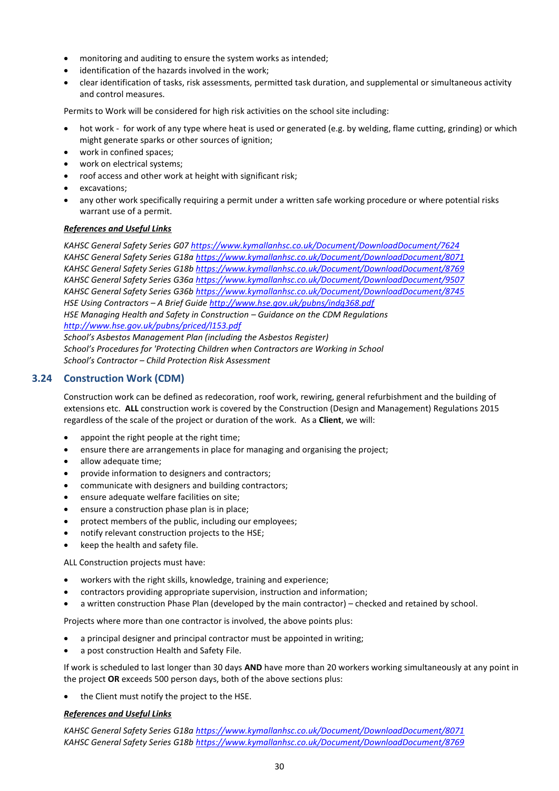- monitoring and auditing to ensure the system works as intended;
- identification of the hazards involved in the work:
- clear identification of tasks, risk assessments, permitted task duration, and supplemental or simultaneous activity and control measures.

Permits to Work will be considered for high risk activities on the school site including:

- hot work for work of any type where heat is used or generated (e.g. by welding, flame cutting, grinding) or which might generate sparks or other sources of ignition;
- work in confined spaces;
- work on electrical systems;
- roof access and other work at height with significant risk;
- excavations;
- any other work specifically requiring a permit under a written safe working procedure or where potential risks warrant use of a permit.

#### *References and Useful Links*

*KAHSC General Safety Series G0[7 https://www.kymallanhsc.co.uk/Document/DownloadDocument/7624](https://www.kymallanhsc.co.uk/Document/DownloadDocument/7624) KAHSC General Safety Series G18[a https://www.kymallanhsc.co.uk/Document/DownloadDocument/8071](https://www.kymallanhsc.co.uk/Document/DownloadDocument/8071) KAHSC General Safety Series G18[b https://www.kymallanhsc.co.uk/Document/DownloadDocument/8769](https://www.kymallanhsc.co.uk/Document/DownloadDocument/8769) KAHSC General Safety Series G36[a https://www.kymallanhsc.co.uk/Document/DownloadDocument/9507](https://www.kymallanhsc.co.uk/Document/DownloadDocument/9507) KAHSC General Safety Series G36[b https://www.kymallanhsc.co.uk/Document/DownloadDocument/8745](https://www.kymallanhsc.co.uk/Document/DownloadDocument/8745) HSE Using Contractors – A Brief Guide<http://www.hse.gov.uk/pubns/indg368.pdf> HSE Managing Health and Safety in Construction – Guidance on the CDM Regulations <http://www.hse.gov.uk/pubns/priced/l153.pdf> School's Asbestos Management Plan (including the Asbestos Register)*

*School's Procedures for 'Protecting Children when Contractors are Working in School School's Contractor – Child Protection Risk Assessment*

#### <span id="page-33-0"></span>**3.24 Construction Work (CDM)**

Construction work can be defined as redecoration, roof work, rewiring, general refurbishment and the building of extensions etc. **ALL** construction work is covered by the Construction (Design and Management) Regulations 2015 regardless of the scale of the project or duration of the work. As a **Client**, we will:

- appoint the right people at the right time;
- ensure there are arrangements in place for managing and organising the project;
- allow adequate time:
- provide information to designers and contractors;
- communicate with designers and building contractors;
- ensure adequate welfare facilities on site;
- ensure a construction phase plan is in place;
- protect members of the public, including our employees;
- notify relevant construction projects to the HSE;
- keep the health and safety file.

ALL Construction projects must have:

- workers with the right skills, knowledge, training and experience;
- contractors providing appropriate supervision, instruction and information;
- a written construction Phase Plan (developed by the main contractor) checked and retained by school.

Projects where more than one contractor is involved, the above points plus:

- a principal designer and principal contractor must be appointed in writing;
- a post construction Health and Safety File.

If work is scheduled to last longer than 30 days **AND** have more than 20 workers working simultaneously at any point in the project **OR** exceeds 500 person days, both of the above sections plus:

• the Client must notify the project to the HSE.

#### *References and Useful Links*

*KAHSC General Safety Series G18[a https://www.kymallanhsc.co.uk/Document/DownloadDocument/8071](https://www.kymallanhsc.co.uk/Document/DownloadDocument/8071) KAHSC General Safety Series G18[b https://www.kymallanhsc.co.uk/Document/DownloadDocument/8769](https://www.kymallanhsc.co.uk/Document/DownloadDocument/8769)*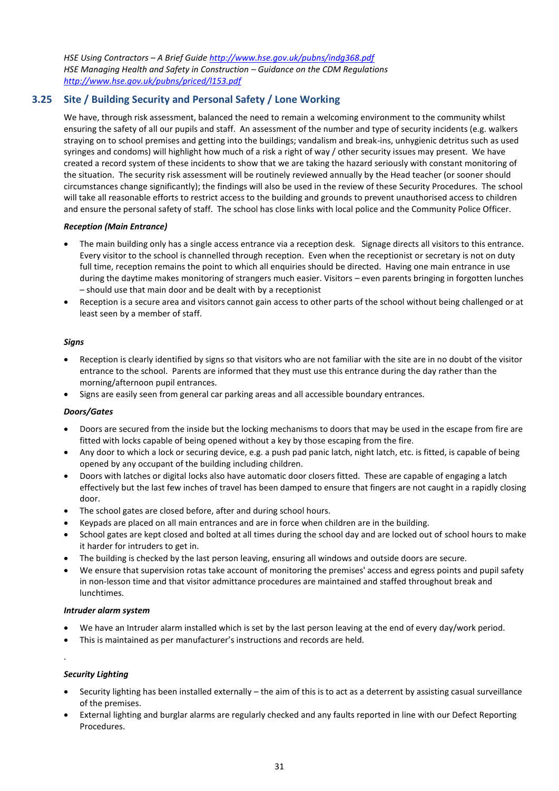*HSE Using Contractors – A Brief Guide<http://www.hse.gov.uk/pubns/indg368.pdf> HSE Managing Health and Safety in Construction – Guidance on the CDM Regulations <http://www.hse.gov.uk/pubns/priced/l153.pdf>*

#### <span id="page-34-0"></span>**3.25 Site / Building Security and Personal Safety / Lone Working**

We have, through risk assessment, balanced the need to remain a welcoming environment to the community whilst ensuring the safety of all our pupils and staff. An assessment of the number and type of security incidents (e.g. walkers straying on to school premises and getting into the buildings; vandalism and break-ins, unhygienic detritus such as used syringes and condoms) will highlight how much of a risk a right of way / other security issues may present. We have created a record system of these incidents to show that we are taking the hazard seriously with constant monitoring of the situation. The security risk assessment will be routinely reviewed annually by the Head teacher (or sooner should circumstances change significantly); the findings will also be used in the review of these Security Procedures. The school will take all reasonable efforts to restrict access to the building and grounds to prevent unauthorised access to children and ensure the personal safety of staff. The school has close links with local police and the Community Police Officer.

#### *Reception (Main Entrance)*

- The main building only has a single access entrance via a reception desk. Signage directs all visitors to this entrance. Every visitor to the school is channelled through reception. Even when the receptionist or secretary is not on duty full time, reception remains the point to which all enquiries should be directed. Having one main entrance in use during the daytime makes monitoring of strangers much easier. Visitors – even parents bringing in forgotten lunches – should use that main door and be dealt with by a receptionist
- Reception is a secure area and visitors cannot gain access to other parts of the school without being challenged or at least seen by a member of staff.

#### *Signs*

- Reception is clearly identified by signs so that visitors who are not familiar with the site are in no doubt of the visitor entrance to the school. Parents are informed that they must use this entrance during the day rather than the morning/afternoon pupil entrances.
- Signs are easily seen from general car parking areas and all accessible boundary entrances.

#### *Doors/Gates*

- Doors are secured from the inside but the locking mechanisms to doors that may be used in the escape from fire are fitted with locks capable of being opened without a key by those escaping from the fire.
- Any door to which a lock or securing device, e.g. a push pad panic latch, night latch, etc. is fitted, is capable of being opened by any occupant of the building including children.
- Doors with latches or digital locks also have automatic door closers fitted. These are capable of engaging a latch effectively but the last few inches of travel has been damped to ensure that fingers are not caught in a rapidly closing door.
- The school gates are closed before, after and during school hours.
- Keypads are placed on all main entrances and are in force when children are in the building.
- School gates are kept closed and bolted at all times during the school day and are locked out of school hours to make it harder for intruders to get in.
- The building is checked by the last person leaving, ensuring all windows and outside doors are secure.
- We ensure that supervision rotas take account of monitoring the premises' access and egress points and pupil safety in non-lesson time and that visitor admittance procedures are maintained and staffed throughout break and lunchtimes.

#### *Intruder alarm system*

- We have an Intruder alarm installed which is set by the last person leaving at the end of every day/work period.
- This is maintained as per manufacturer's instructions and records are held.

#### *Security Lighting*

.

- Security lighting has been installed externally the aim of this is to act as a deterrent by assisting casual surveillance of the premises.
- External lighting and burglar alarms are regularly checked and any faults reported in line with our Defect Reporting Procedures.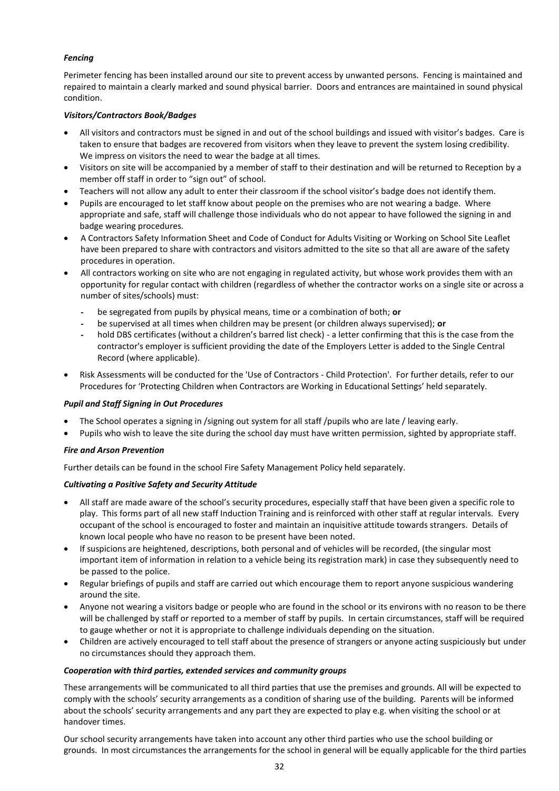#### *Fencing*

Perimeter fencing has been installed around our site to prevent access by unwanted persons. Fencing is maintained and repaired to maintain a clearly marked and sound physical barrier. Doors and entrances are maintained in sound physical condition.

#### *Visitors/Contractors Book/Badges*

- All visitors and contractors must be signed in and out of the school buildings and issued with visitor's badges. Care is taken to ensure that badges are recovered from visitors when they leave to prevent the system losing credibility. We impress on visitors the need to wear the badge at all times.
- Visitors on site will be accompanied by a member of staff to their destination and will be returned to Reception by a member off staff in order to "sign out" of school.
- Teachers will not allow any adult to enter their classroom if the school visitor's badge does not identify them.
- Pupils are encouraged to let staff know about people on the premises who are not wearing a badge. Where appropriate and safe, staff will challenge those individuals who do not appear to have followed the signing in and badge wearing procedures.
- A Contractors Safety Information Sheet and Code of Conduct for Adults Visiting or Working on School Site Leaflet have been prepared to share with contractors and visitors admitted to the site so that all are aware of the safety procedures in operation.
- All contractors working on site who are not engaging in regulated activity, but whose work provides them with an opportunity for regular contact with children (regardless of whether the contractor works on a single site or across a number of sites/schools) must:
	- be segregated from pupils by physical means, time or a combination of both; or
	- be supervised at all times when children may be present (or children always supervised); **or**
	- hold DBS certificates (without a children's barred list check) a letter confirming that this is the case from the contractor's employer is sufficient providing the date of the Employers Letter is added to the Single Central Record (where applicable).
- Risk Assessments will be conducted for the 'Use of Contractors Child Protection'. For further details, refer to our Procedures for 'Protecting Children when Contractors are Working in Educational Settings' held separately.

#### *Pupil and Staff Signing in Out Procedures*

- The School operates a signing in /signing out system for all staff /pupils who are late / leaving early.
- Pupils who wish to leave the site during the school day must have written permission, sighted by appropriate staff.

#### *Fire and Arson Prevention*

Further details can be found in the school Fire Safety Management Policy held separately.

#### *Cultivating a Positive Safety and Security Attitude*

- All staff are made aware of the school's security procedures, especially staff that have been given a specific role to play. This forms part of all new staff Induction Training and is reinforced with other staff at regular intervals. Every occupant of the school is encouraged to foster and maintain an inquisitive attitude towards strangers. Details of known local people who have no reason to be present have been noted.
- If suspicions are heightened, descriptions, both personal and of vehicles will be recorded, (the singular most important item of information in relation to a vehicle being its registration mark) in case they subsequently need to be passed to the police.
- Regular briefings of pupils and staff are carried out which encourage them to report anyone suspicious wandering around the site.
- Anyone not wearing a visitors badge or people who are found in the school or its environs with no reason to be there will be challenged by staff or reported to a member of staff by pupils. In certain circumstances, staff will be required to gauge whether or not it is appropriate to challenge individuals depending on the situation.
- Children are actively encouraged to tell staff about the presence of strangers or anyone acting suspiciously but under no circumstances should they approach them.

#### *Cooperation with third parties, extended services and community groups*

These arrangements will be communicated to all third parties that use the premises and grounds. All will be expected to comply with the schools' security arrangements as a condition of sharing use of the building. Parents will be informed about the schools' security arrangements and any part they are expected to play e.g. when visiting the school or at handover times.

Our school security arrangements have taken into account any other third parties who use the school building or grounds. In most circumstances the arrangements for the school in general will be equally applicable for the third parties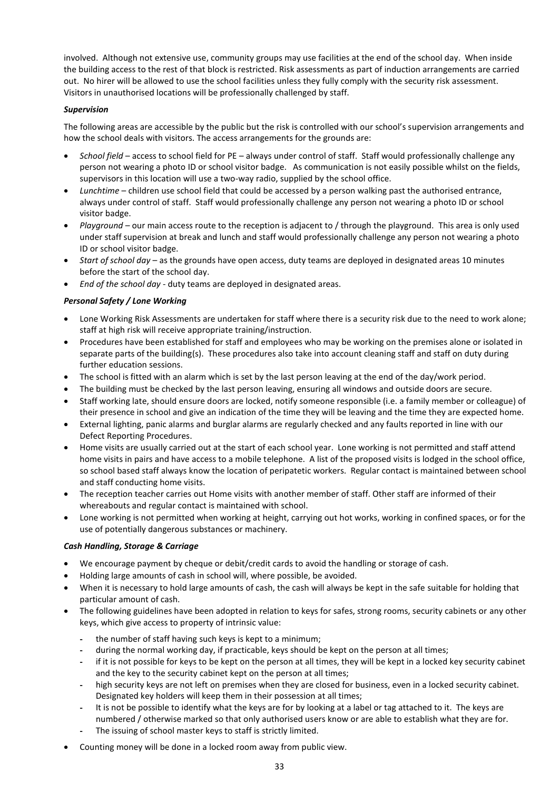involved. Although not extensive use, community groups may use facilities at the end of the school day. When inside the building access to the rest of that block is restricted. Risk assessments as part of induction arrangements are carried out. No hirer will be allowed to use the school facilities unless they fully comply with the security risk assessment. Visitors in unauthorised locations will be professionally challenged by staff.

#### *Supervision*

The following areas are accessible by the public but the risk is controlled with our school's supervision arrangements and how the school deals with visitors. The access arrangements for the grounds are:

- *School field* access to school field for PE always under control of staff. Staff would professionally challenge any person not wearing a photo ID or school visitor badge. As communication is not easily possible whilst on the fields, supervisors in this location will use a two-way radio, supplied by the school office.
- *Lunchtime* children use school field that could be accessed by a person walking past the authorised entrance, always under control of staff. Staff would professionally challenge any person not wearing a photo ID or school visitor badge.
- *Playground* our main access route to the reception is adjacent to / through the playground. This area is only used under staff supervision at break and lunch and staff would professionally challenge any person not wearing a photo ID or school visitor badge.
- *Start of school day* as the grounds have open access, duty teams are deployed in designated areas 10 minutes before the start of the school day.
- *End of the school day* duty teams are deployed in designated areas.

#### *Personal Safety / Lone Working*

- Lone Working Risk Assessments are undertaken for staff where there is a security risk due to the need to work alone; staff at high risk will receive appropriate training/instruction.
- Procedures have been established for staff and employees who may be working on the premises alone or isolated in separate parts of the building(s). These procedures also take into account cleaning staff and staff on duty during further education sessions.
- The school is fitted with an alarm which is set by the last person leaving at the end of the day/work period.
- The building must be checked by the last person leaving, ensuring all windows and outside doors are secure.
- Staff working late, should ensure doors are locked, notify someone responsible (i.e. a family member or colleague) of their presence in school and give an indication of the time they will be leaving and the time they are expected home.
- External lighting, panic alarms and burglar alarms are regularly checked and any faults reported in line with our Defect Reporting Procedures.
- Home visits are usually carried out at the start of each school year. Lone working is not permitted and staff attend home visits in pairs and have access to a mobile telephone. A list of the proposed visits is lodged in the school office, so school based staff always know the location of peripatetic workers. Regular contact is maintained between school and staff conducting home visits.
- The reception teacher carries out Home visits with another member of staff. Other staff are informed of their whereabouts and regular contact is maintained with school.
- Lone working is not permitted when working at height, carrying out hot works, working in confined spaces, or for the use of potentially dangerous substances or machinery.

#### *Cash Handling, Storage & Carriage*

- We encourage payment by cheque or debit/credit cards to avoid the handling or storage of cash.
- Holding large amounts of cash in school will, where possible, be avoided.
- When it is necessary to hold large amounts of cash, the cash will always be kept in the safe suitable for holding that particular amount of cash.
- The following guidelines have been adopted in relation to keys for safes, strong rooms, security cabinets or any other keys, which give access to property of intrinsic value:
	- the number of staff having such keys is kept to a minimum;
	- during the normal working day, if practicable, keys should be kept on the person at all times;
	- if it is not possible for keys to be kept on the person at all times, they will be kept in a locked key security cabinet and the key to the security cabinet kept on the person at all times;
	- high security keys are not left on premises when they are closed for business, even in a locked security cabinet. Designated key holders will keep them in their possession at all times;
	- It is not be possible to identify what the keys are for by looking at a label or tag attached to it. The keys are numbered / otherwise marked so that only authorised users know or are able to establish what they are for.
	- The issuing of school master keys to staff is strictly limited.
- Counting money will be done in a locked room away from public view.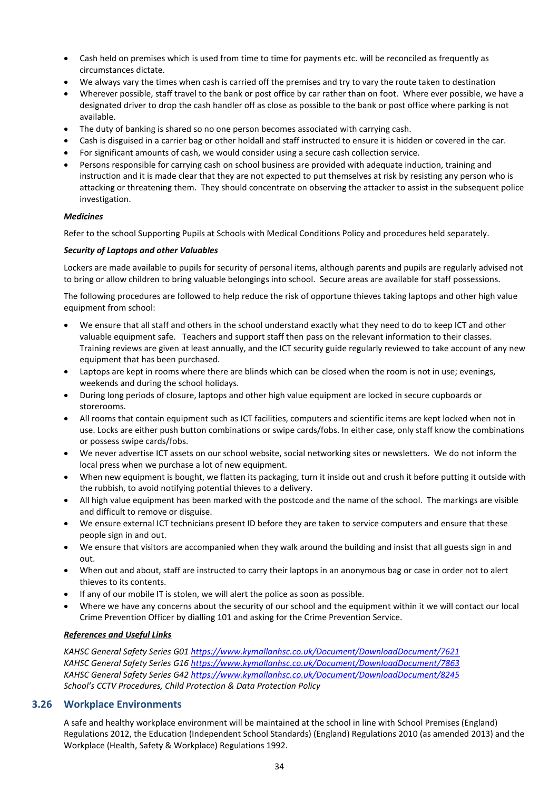- Cash held on premises which is used from time to time for payments etc. will be reconciled as frequently as circumstances dictate.
- We always vary the times when cash is carried off the premises and try to vary the route taken to destination
- Wherever possible, staff travel to the bank or post office by car rather than on foot. Where ever possible, we have a designated driver to drop the cash handler off as close as possible to the bank or post office where parking is not available.
- The duty of banking is shared so no one person becomes associated with carrying cash.
- Cash is disguised in a carrier bag or other holdall and staff instructed to ensure it is hidden or covered in the car.
- For significant amounts of cash, we would consider using a secure cash collection service.
- Persons responsible for carrying cash on school business are provided with adequate induction, training and instruction and it is made clear that they are not expected to put themselves at risk by resisting any person who is attacking or threatening them. They should concentrate on observing the attacker to assist in the subsequent police investigation.

#### *Medicines*

Refer to the school Supporting Pupils at Schools with Medical Conditions Policy and procedures held separately.

#### *Security of Laptops and other Valuables*

Lockers are made available to pupils for security of personal items, although parents and pupils are regularly advised not to bring or allow children to bring valuable belongings into school. Secure areas are available for staff possessions.

The following procedures are followed to help reduce the risk of opportune thieves taking laptops and other high value equipment from school:

- We ensure that all staff and others in the school understand exactly what they need to do to keep ICT and other valuable equipment safe. Teachers and support staff then pass on the relevant information to their classes. Training reviews are given at least annually, and the ICT security guide regularly reviewed to take account of any new equipment that has been purchased.
- Laptops are kept in rooms where there are blinds which can be closed when the room is not in use; evenings, weekends and during the school holidays.
- During long periods of closure, laptops and other high value equipment are locked in secure cupboards or storerooms.
- All rooms that contain equipment such as ICT facilities, computers and scientific items are kept locked when not in use. Locks are either push button combinations or swipe cards/fobs. In either case, only staff know the combinations or possess swipe cards/fobs.
- We never advertise ICT assets on our school website, social networking sites or newsletters. We do not inform the local press when we purchase a lot of new equipment.
- When new equipment is bought, we flatten its packaging, turn it inside out and crush it before putting it outside with the rubbish, to avoid notifying potential thieves to a delivery.
- All high value equipment has been marked with the postcode and the name of the school. The markings are visible and difficult to remove or disguise.
- We ensure external ICT technicians present ID before they are taken to service computers and ensure that these people sign in and out.
- We ensure that visitors are accompanied when they walk around the building and insist that all guests sign in and out.
- When out and about, staff are instructed to carry their laptops in an anonymous bag or case in order not to alert thieves to its contents.
- If any of our mobile IT is stolen, we will alert the police as soon as possible.
- Where we have any concerns about the security of our school and the equipment within it we will contact our local Crime Prevention Officer by dialling 101 and asking for the Crime Prevention Service.

#### *References and Useful Links*

*KAHSC General Safety Series G0[1 https://www.kymallanhsc.co.uk/Document/DownloadDocument/7621](https://www.kymallanhsc.co.uk/Document/DownloadDocument/7621) KAHSC General Safety Series G1[6 https://www.kymallanhsc.co.uk/Document/DownloadDocument/7863](https://www.kymallanhsc.co.uk/Document/DownloadDocument/7863) KAHSC General Safety Series G4[2 https://www.kymallanhsc.co.uk/Document/DownloadDocument/8245](https://www.kymallanhsc.co.uk/Document/DownloadDocument/8245) School's CCTV Procedures, Child Protection & Data Protection Policy*

#### <span id="page-37-0"></span>**3.26 Workplace Environments**

A safe and healthy workplace environment will be maintained at the school in line with School Premises (England) Regulations 2012, the Education (Independent School Standards) (England) Regulations 2010 (as amended 2013) and the Workplace (Health, Safety & Workplace) Regulations 1992.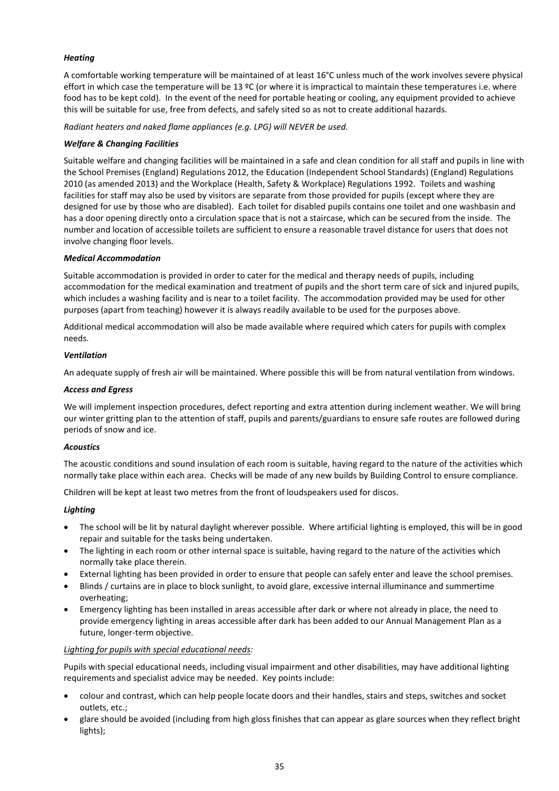#### *Heating*

A comfortable working temperature will be maintained of at least 16°C unless much of the work involves severe physical effort in which case the temperature will be 13 ºC (or where it is impractical to maintain these temperatures i.e. where food has to be kept cold). In the event of the need for portable heating or cooling, any equipment provided to achieve this will be suitable for use, free from defects, and safely sited so as not to create additional hazards.

*Radiant heaters and naked flame appliances (e.g. LPG) will NEVER be used.*

#### *Welfare & Changing Facilities*

Suitable welfare and changing facilities will be maintained in a safe and clean condition for all staff and pupils in line with the School Premises (England) Regulations 2012, the Education (Independent School Standards) (England) Regulations 2010 (as amended 2013) and the Workplace (Health, Safety & Workplace) Regulations 1992. Toilets and washing facilities for staff may also be used by visitors are separate from those provided for pupils (except where they are designed for use by those who are disabled). Each toilet for disabled pupils contains one toilet and one washbasin and has a door opening directly onto a circulation space that is not a staircase, which can be secured from the inside. The number and location of accessible toilets are sufficient to ensure a reasonable travel distance for users that does not involve changing floor levels.

#### *Medical Accommodation*

Suitable accommodation is provided in order to cater for the medical and therapy needs of pupils, including accommodation for the medical examination and treatment of pupils and the short term care of sick and injured pupils, which includes a washing facility and is near to a toilet facility. The accommodation provided may be used for other purposes (apart from teaching) however it is always readily available to be used for the purposes above.

Additional medical accommodation will also be made available where required which caters for pupils with complex needs.

#### *Ventilation*

An adequate supply of fresh air will be maintained. Where possible this will be from natural ventilation from windows.

#### *Access and Egress*

We will implement inspection procedures, defect reporting and extra attention during inclement weather. We will bring our winter gritting plan to the attention of staff, pupils and parents/guardians to ensure safe routes are followed during periods of snow and ice.

#### *Acoustics*

The acoustic conditions and sound insulation of each room is suitable, having regard to the nature of the activities which normally take place within each area. Checks will be made of any new builds by Building Control to ensure compliance.

Children will be kept at least two metres from the front of loudspeakers used for discos.

#### *Lighting*

- The school will be lit by natural daylight wherever possible. Where artificial lighting is employed, this will be in good repair and suitable for the tasks being undertaken.
- The lighting in each room or other internal space is suitable, having regard to the nature of the activities which normally take place therein.
- External lighting has been provided in order to ensure that people can safely enter and leave the school premises.
- Blinds / curtains are in place to block sunlight, to avoid glare, excessive internal illuminance and summertime overheating;
- Emergency lighting has been installed in areas accessible after dark or where not already in place, the need to provide emergency lighting in areas accessible after dark has been added to our Annual Management Plan as a future, longer-term objective.

#### *Lighting for pupils with special educational needs:*

Pupils with special educational needs, including visual impairment and other disabilities, may have additional lighting requirements and specialist advice may be needed. Key points include:

- colour and contrast, which can help people locate doors and their handles, stairs and steps, switches and socket outlets, etc.;
- glare should be avoided (including from high gloss finishes that can appear as glare sources when they reflect bright lights);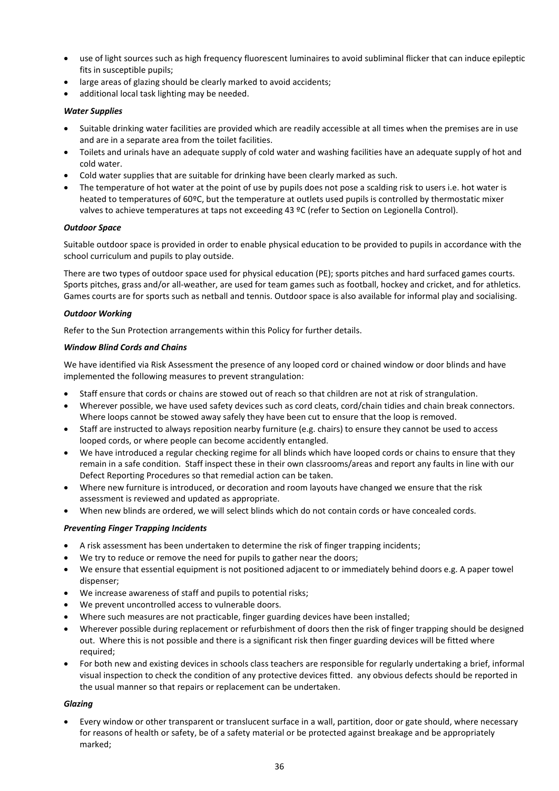- use of light sources such as high frequency fluorescent luminaires to avoid subliminal flicker that can induce epileptic fits in susceptible pupils;
- large areas of glazing should be clearly marked to avoid accidents;
- additional local task lighting may be needed.

#### *Water Supplies*

- Suitable drinking water facilities are provided which are readily accessible at all times when the premises are in use and are in a separate area from the toilet facilities.
- Toilets and urinals have an adequate supply of cold water and washing facilities have an adequate supply of hot and cold water.
- Cold water supplies that are suitable for drinking have been clearly marked as such.
- The temperature of hot water at the point of use by pupils does not pose a scalding risk to users i.e. hot water is heated to temperatures of 60ºC, but the temperature at outlets used pupils is controlled by thermostatic mixer valves to achieve temperatures at taps not exceeding 43 ºC (refer to Section on Legionella Control).

#### *Outdoor Space*

Suitable outdoor space is provided in order to enable physical education to be provided to pupils in accordance with the school curriculum and pupils to play outside.

There are two types of outdoor space used for physical education (PE); sports pitches and hard surfaced games courts. Sports pitches, grass and/or all-weather, are used for team games such as football, hockey and cricket, and for athletics. Games courts are for sports such as netball and tennis. Outdoor space is also available for informal play and socialising.

#### *Outdoor Working*

Refer to the Sun Protection arrangements within this Policy for further details.

#### *Window Blind Cords and Chains*

We have identified via Risk Assessment the presence of any looped cord or chained window or door blinds and have implemented the following measures to prevent strangulation:

- Staff ensure that cords or chains are stowed out of reach so that children are not at risk of strangulation.
- Wherever possible, we have used safety devices such as cord cleats, cord/chain tidies and chain break connectors. Where loops cannot be stowed away safely they have been cut to ensure that the loop is removed.
- Staff are instructed to always reposition nearby furniture (e.g. chairs) to ensure they cannot be used to access looped cords, or where people can become accidently entangled.
- We have introduced a regular checking regime for all blinds which have looped cords or chains to ensure that they remain in a safe condition. Staff inspect these in their own classrooms/areas and report any faults in line with our Defect Reporting Procedures so that remedial action can be taken.
- Where new furniture is introduced, or decoration and room layouts have changed we ensure that the risk assessment is reviewed and updated as appropriate.
- When new blinds are ordered, we will select blinds which do not contain cords or have concealed cords.

#### *Preventing Finger Trapping Incidents*

- A risk assessment has been undertaken to determine the risk of finger trapping incidents;
- We try to reduce or remove the need for pupils to gather near the doors;
- We ensure that essential equipment is not positioned adjacent to or immediately behind doors e.g. A paper towel dispenser;
- We increase awareness of staff and pupils to potential risks;
- We prevent uncontrolled access to vulnerable doors.
- Where such measures are not practicable, finger guarding devices have been installed;
- Wherever possible during replacement or refurbishment of doors then the risk of finger trapping should be designed out. Where this is not possible and there is a significant risk then finger guarding devices will be fitted where required;
- For both new and existing devices in schools class teachers are responsible for regularly undertaking a brief, informal visual inspection to check the condition of any protective devices fitted. any obvious defects should be reported in the usual manner so that repairs or replacement can be undertaken.

#### *Glazing*

• Every window or other transparent or translucent surface in a wall, partition, door or gate should, where necessary for reasons of health or safety, be of a safety material or be protected against breakage and be appropriately marked;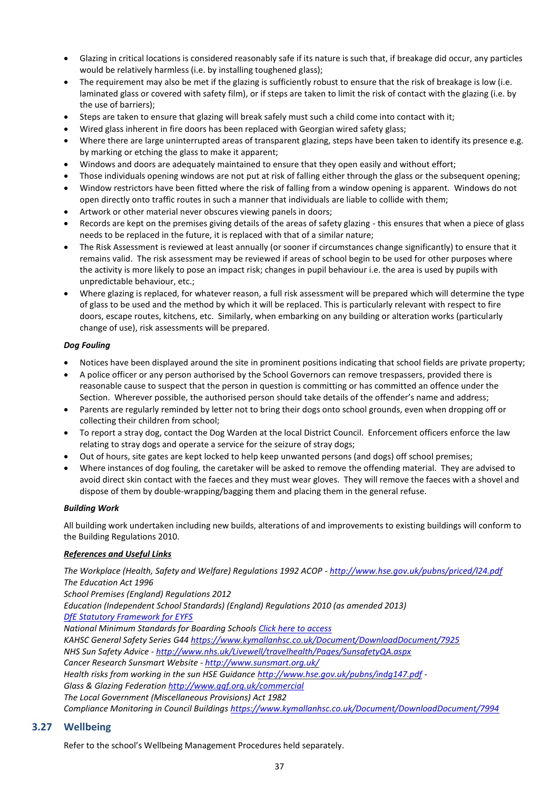- Glazing in critical locations is considered reasonably safe if its nature is such that, if breakage did occur, any particles would be relatively harmless (i.e. by installing toughened glass);
- The requirement may also be met if the glazing is sufficiently robust to ensure that the risk of breakage is low (i.e. laminated glass or covered with safety film), or if steps are taken to limit the risk of contact with the glazing (i.e. by the use of barriers);
- Steps are taken to ensure that glazing will break safely must such a child come into contact with it;
- Wired glass inherent in fire doors has been replaced with Georgian wired safety glass;
- Where there are large uninterrupted areas of transparent glazing, steps have been taken to identify its presence e.g. by marking or etching the glass to make it apparent;
- Windows and doors are adequately maintained to ensure that they open easily and without effort;
- Those individuals opening windows are not put at risk of falling either through the glass or the subsequent opening;
- Window restrictors have been fitted where the risk of falling from a window opening is apparent. Windows do not open directly onto traffic routes in such a manner that individuals are liable to collide with them;
- Artwork or other material never obscures viewing panels in doors;
- Records are kept on the premises giving details of the areas of safety glazing this ensures that when a piece of glass needs to be replaced in the future, it is replaced with that of a similar nature;
- The Risk Assessment is reviewed at least annually (or sooner if circumstances change significantly) to ensure that it remains valid. The risk assessment may be reviewed if areas of school begin to be used for other purposes where the activity is more likely to pose an impact risk; changes in pupil behaviour i.e. the area is used by pupils with unpredictable behaviour, etc.;
- Where glazing is replaced, for whatever reason, a full risk assessment will be prepared which will determine the type of glass to be used and the method by which it will be replaced. This is particularly relevant with respect to fire doors, escape routes, kitchens, etc. Similarly, when embarking on any building or alteration works (particularly change of use), risk assessments will be prepared.

#### *Dog Fouling*

- Notices have been displayed around the site in prominent positions indicating that school fields are private property;
- A police officer or any person authorised by the School Governors can remove trespassers, provided there is reasonable cause to suspect that the person in question is committing or has committed an offence under the Section. Wherever possible, the authorised person should take details of the offender's name and address;
- Parents are regularly reminded by letter not to bring their dogs onto school grounds, even when dropping off or collecting their children from school;
- To report a stray dog, contact the Dog Warden at the local District Council. Enforcement officers enforce the law relating to stray dogs and operate a service for the seizure of stray dogs;
- Out of hours, site gates are kept locked to help keep unwanted persons (and dogs) off school premises;
- Where instances of dog fouling, the caretaker will be asked to remove the offending material. They are advised to avoid direct skin contact with the faeces and they must wear gloves. They will remove the faeces with a shovel and dispose of them by double-wrapping/bagging them and placing them in the general refuse.

#### *Building Work*

All building work undertaken including new builds, alterations of and improvements to existing buildings will conform to the Building Regulations 2010.

#### *References and Useful Links*

*The Workplace (Health, Safety and Welfare) Regulations 1992 ACOP - <http://www.hse.gov.uk/pubns/priced/l24.pdf> The Education Act 1996*

*School Premises (England) Regulations 2012 Education (Independent School Standards) (England) Regulations 2010 (as amended 2013) [DfE Statutory Framework for EYFS](https://assets.publishing.service.gov.uk/government/uploads/system/uploads/attachment_data/file/974907/EYFS_framework_-_March_2021.pdf)*

*National Minimum Standards for Boarding School[s Click here to access](http://www.boarding.org.uk/file_uploads/297-National%20Minimum%20Boarding%20Standards%20-%20Sept%202011.pdf) KAHSC General Safety Series G4[4 https://www.kymallanhsc.co.uk/Document/DownloadDocument/7925](https://www.kymallanhsc.co.uk/Document/DownloadDocument/7925) NHS Sun Safety Advice - <http://www.nhs.uk/Livewell/travelhealth/Pages/SunsafetyQA.aspx> Cancer Research Sunsmart Website - <http://www.sunsmart.org.uk/> Health risks from working in the sun HSE Guidance<http://www.hse.gov.uk/pubns/indg147.pdf> - Glass & Glazing Federatio[n http://www.ggf.org.uk/commercial](http://www.ggf.org.uk/commercial) The Local Government (Miscellaneous Provisions) Act 1982 Compliance Monitoring in Council Building[s https://www.kymallanhsc.co.uk/Document/DownloadDocument/7994](https://www.kymallanhsc.co.uk/Document/DownloadDocument/7994)*

#### <span id="page-40-0"></span>**3.27 Wellbeing**

Refer to the school's Wellbeing Management Procedures held separately.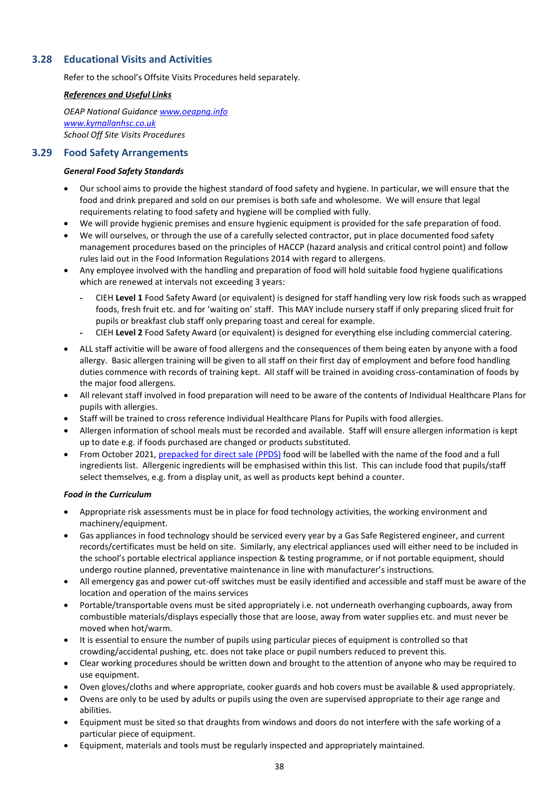#### <span id="page-41-0"></span>**3.28 Educational Visits and Activities**

Refer to the school's Offsite Visits Procedures held separately.

#### *References and Useful Links*

*OEAP National Guidance [www.oeapng.info](http://www.oeapng.info/) [www.kymallanhsc.co.uk](http://www.kymallanhsc.co.uk/) School Off Site Visits Procedures*

#### <span id="page-41-1"></span>**3.29 Food Safety Arrangements**

#### *General Food Safety Standards*

- Our school aims to provide the highest standard of food safety and hygiene. In particular, we will ensure that the food and drink prepared and sold on our premises is both safe and wholesome. We will ensure that legal requirements relating to food safety and hygiene will be complied with fully.
- We will provide hygienic premises and ensure hygienic equipment is provided for the safe preparation of food.
- We will ourselves, or through the use of a carefully selected contractor, put in place documented food safety management procedures based on the principles of HACCP (hazard analysis and critical control point) and follow rules laid out in the Food Information Regulations 2014 with regard to allergens.
- Any employee involved with the handling and preparation of food will hold suitable food hygiene qualifications which are renewed at intervals not exceeding 3 years:
	- CIEH **Level 1** Food Safety Award (or equivalent) is designed for staff handling very low risk foods such as wrapped foods, fresh fruit etc. and for 'waiting on' staff. This MAY include nursery staff if only preparing sliced fruit for pupils or breakfast club staff only preparing toast and cereal for example.
	- CIEH **Level 2** Food Safety Award (or equivalent) is designed for everything else including commercial catering.
- ALL staff activitie will be aware of food allergens and the consequences of them being eaten by anyone with a food allergy. Basic allergen training will be given to all staff on their first day of employment and before food handling duties commence with records of training kept. All staff will be trained in avoiding cross-contamination of foods by the major food allergens.
- All relevant staff involved in food preparation will need to be aware of the contents of Individual Healthcare Plans for pupils with allergies.
- Staff will be trained to cross reference Individual Healthcare Plans for Pupils with food allergies.
- Allergen information of school meals must be recorded and available. Staff will ensure allergen information is kept up to date e.g. if foods purchased are changed or products substituted.
- From October 2021, [prepacked for direct sale \(PPDS\)](https://www.food.gov.uk/business-guidance/prepacked-for-direct-sale-ppds-allergen-labelling-changes-for-schools-colleges-and-nurseries) food will be labelled with the name of the food and a full ingredients list. Allergenic ingredients will be emphasised within this list. This can include food that pupils/staff select themselves, e.g. from a display unit, as well as products kept behind a counter.

#### *Food in the Curriculum*

- Appropriate risk assessments must be in place for food technology activities, the working environment and machinery/equipment.
- Gas appliances in food technology should be serviced every year by a Gas Safe Registered engineer, and current records/certificates must be held on site. Similarly, any electrical appliances used will either need to be included in the school's portable electrical appliance inspection & testing programme, or if not portable equipment, should undergo routine planned, preventative maintenance in line with manufacturer's instructions.
- All emergency gas and power cut-off switches must be easily identified and accessible and staff must be aware of the location and operation of the mains services
- Portable/transportable ovens must be sited appropriately i.e. not underneath overhanging cupboards, away from combustible materials/displays especially those that are loose, away from water supplies etc. and must never be moved when hot/warm.
- It is essential to ensure the number of pupils using particular pieces of equipment is controlled so that crowding/accidental pushing, etc. does not take place or pupil numbers reduced to prevent this.
- Clear working procedures should be written down and brought to the attention of anyone who may be required to use equipment.
- Oven gloves/cloths and where appropriate, cooker guards and hob covers must be available & used appropriately.
- Ovens are only to be used by adults or pupils using the oven are supervised appropriate to their age range and abilities.
- Equipment must be sited so that draughts from windows and doors do not interfere with the safe working of a particular piece of equipment.
- Equipment, materials and tools must be regularly inspected and appropriately maintained.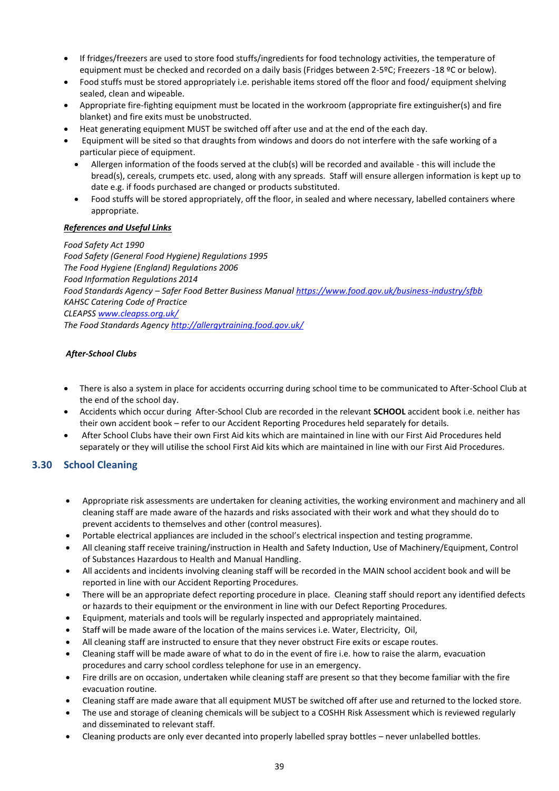- If fridges/freezers are used to store food stuffs/ingredients for food technology activities, the temperature of equipment must be checked and recorded on a daily basis (Fridges between 2-5ºC; Freezers -18 °C or below).
- Food stuffs must be stored appropriately i.e. perishable items stored off the floor and food/ equipment shelving sealed, clean and wipeable.
- Appropriate fire-fighting equipment must be located in the workroom (appropriate fire extinguisher(s) and fire blanket) and fire exits must be unobstructed.
- Heat generating equipment MUST be switched off after use and at the end of the each day.
- Equipment will be sited so that draughts from windows and doors do not interfere with the safe working of a particular piece of equipment.
	- Allergen information of the foods served at the club(s) will be recorded and available this will include the bread(s), cereals, crumpets etc. used, along with any spreads. Staff will ensure allergen information is kept up to date e.g. if foods purchased are changed or products substituted.
	- Food stuffs will be stored appropriately, off the floor, in sealed and where necessary, labelled containers where appropriate.

#### *References and Useful Links*

*Food Safety Act 1990 Food Safety (General Food Hygiene) Regulations 1995 The Food Hygiene (England) Regulations 2006 Food Information Regulations 2014 Food Standards Agency – Safer Food Better Business Manua[l https://www.food.gov.uk/business-industry/sfbb](https://www.food.gov.uk/business-industry/sfbb) KAHSC Catering Code of Practice CLEAPS[S www.cleapss.org.uk/](http://www.cleapss.org.uk/) The Food Standards Agency<http://allergytraining.food.gov.uk/>*

#### *After-School Clubs*

- There is also a system in place for accidents occurring during school time to be communicated to After-School Club at the end of the school day.
- Accidents which occur during After-School Club are recorded in the relevant **SCHOOL** accident book i.e. neither has their own accident book – refer to our Accident Reporting Procedures held separately for details.
- After School Clubs have their own First Aid kits which are maintained in line with our First Aid Procedures held separately or they will utilise the school First Aid kits which are maintained in line with our First Aid Procedures.

#### <span id="page-42-0"></span>**3.30 School Cleaning**

- Appropriate risk assessments are undertaken for cleaning activities, the working environment and machinery and all cleaning staff are made aware of the hazards and risks associated with their work and what they should do to prevent accidents to themselves and other (control measures).
- Portable electrical appliances are included in the school's electrical inspection and testing programme.
- All cleaning staff receive training/instruction in Health and Safety Induction, Use of Machinery/Equipment, Control of Substances Hazardous to Health and Manual Handling.
- All accidents and incidents involving cleaning staff will be recorded in the MAIN school accident book and will be reported in line with our Accident Reporting Procedures.
- There will be an appropriate defect reporting procedure in place. Cleaning staff should report any identified defects or hazards to their equipment or the environment in line with our Defect Reporting Procedures.
- Equipment, materials and tools will be regularly inspected and appropriately maintained.
- Staff will be made aware of the location of the mains services i.e. Water, Electricity, Oil,
- All cleaning staff are instructed to ensure that they never obstruct Fire exits or escape routes.
- Cleaning staff will be made aware of what to do in the event of fire i.e. how to raise the alarm, evacuation procedures and carry school cordless telephone for use in an emergency.
- Fire drills are on occasion, undertaken while cleaning staff are present so that they become familiar with the fire evacuation routine.
- Cleaning staff are made aware that all equipment MUST be switched off after use and returned to the locked store.
- The use and storage of cleaning chemicals will be subject to a COSHH Risk Assessment which is reviewed regularly and disseminated to relevant staff.
- Cleaning products are only ever decanted into properly labelled spray bottles never unlabelled bottles.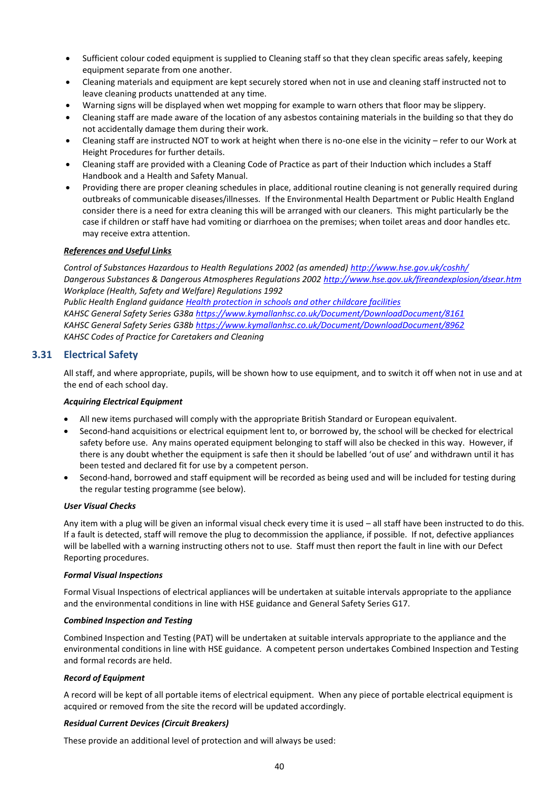- Sufficient colour coded equipment is supplied to Cleaning staff so that they clean specific areas safely, keeping equipment separate from one another.
- Cleaning materials and equipment are kept securely stored when not in use and cleaning staff instructed not to leave cleaning products unattended at any time.
- Warning signs will be displayed when wet mopping for example to warn others that floor may be slippery.
- Cleaning staff are made aware of the location of any asbestos containing materials in the building so that they do not accidentally damage them during their work.
- Cleaning staff are instructed NOT to work at height when there is no-one else in the vicinity refer to our Work at Height Procedures for further details.
- Cleaning staff are provided with a Cleaning Code of Practice as part of their Induction which includes a Staff Handbook and a Health and Safety Manual.
- Providing there are proper cleaning schedules in place, additional routine cleaning is not generally required during outbreaks of communicable diseases/illnesses. If the Environmental Health Department or Public Health England consider there is a need for extra cleaning this will be arranged with our cleaners. This might particularly be the case if children or staff have had vomiting or diarrhoea on the premises; when toilet areas and door handles etc. may receive extra attention.

#### *References and Useful Links*

*Control of Substances Hazardous to Health Regulations 2002 (as amended)<http://www.hse.gov.uk/coshh/> Dangerous Substances & Dangerous Atmospheres Regulations 2002<http://www.hse.gov.uk/fireandexplosion/dsear.htm> Workplace (Health, Safety and Welfare) Regulations 1992 Public Health England guidance [Health protection in schools and other childcare facilities](https://www.gov.uk/government/publications/health-protection-in-schools-and-other-childcare-facilities)*

*KAHSC General Safety Series G38[a https://www.kymallanhsc.co.uk/Document/DownloadDocument/8161](https://www.kymallanhsc.co.uk/Document/DownloadDocument/8161) KAHSC General Safety Series G38[b https://www.kymallanhsc.co.uk/Document/DownloadDocument/8962](https://www.kymallanhsc.co.uk/Document/DownloadDocument/8962) KAHSC Codes of Practice for Caretakers and Cleaning*

#### <span id="page-43-0"></span>**3.31 Electrical Safety**

All staff, and where appropriate, pupils, will be shown how to use equipment, and to switch it off when not in use and at the end of each school day.

#### *Acquiring Electrical Equipment*

- All new items purchased will comply with the appropriate British Standard or European equivalent.
- Second-hand acquisitions or electrical equipment lent to, or borrowed by, the school will be checked for electrical safety before use. Any mains operated equipment belonging to staff will also be checked in this way. However, if there is any doubt whether the equipment is safe then it should be labelled 'out of use' and withdrawn until it has been tested and declared fit for use by a competent person.
- Second-hand, borrowed and staff equipment will be recorded as being used and will be included for testing during the regular testing programme (see below).

#### *User Visual Checks*

Any item with a plug will be given an informal visual check every time it is used – all staff have been instructed to do this. If a fault is detected, staff will remove the plug to decommission the appliance, if possible. If not, defective appliances will be labelled with a warning instructing others not to use. Staff must then report the fault in line with our Defect Reporting procedures.

#### *Formal Visual Inspections*

Formal Visual Inspections of electrical appliances will be undertaken at suitable intervals appropriate to the appliance and the environmental conditions in line with HSE guidance and General Safety Series G17.

#### *Combined Inspection and Testing*

Combined Inspection and Testing (PAT) will be undertaken at suitable intervals appropriate to the appliance and the environmental conditions in line with HSE guidance. A competent person undertakes Combined Inspection and Testing and formal records are held.

#### *Record of Equipment*

A record will be kept of all portable items of electrical equipment. When any piece of portable electrical equipment is acquired or removed from the site the record will be updated accordingly.

#### *Residual Current Devices (Circuit Breakers)*

These provide an additional level of protection and will always be used: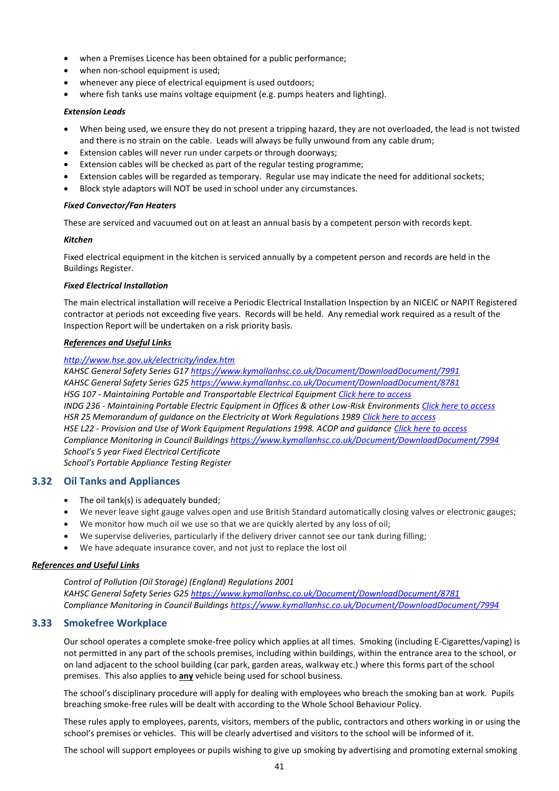- when a Premises Licence has been obtained for a public performance:
- when non-school equipment is used:
- whenever any piece of electrical equipment is used outdoors;
- where fish tanks use mains voltage equipment (e.g. pumps heaters and lighting).

#### *Extension Leads*

- When being used, we ensure they do not present a tripping hazard, they are not overloaded, the lead is not twisted and there is no strain on the cable. Leads will always be fully unwound from any cable drum;
- Extension cables will never run under carpets or through doorways;
- Extension cables will be checked as part of the regular testing programme;
- Extension cables will be regarded as temporary. Regular use may indicate the need for additional sockets;
- Block style adaptors will NOT be used in school under any circumstances.

#### *Fixed Convector/Fan Heaters*

These are serviced and vacuumed out on at least an annual basis by a competent person with records kept.

#### *Kitchen*

Fixed electrical equipment in the kitchen is serviced annually by a competent person and records are held in the Buildings Register.

#### *Fixed Electrical Installation*

The main electrical installation will receive a Periodic Electrical Installation Inspection by an NICEIC or NAPIT Registered contractor at periods not exceeding five years. Records will be held. Any remedial work required as a result of the Inspection Report will be undertaken on a risk priority basis.

#### *References and Useful Links*

#### *<http://www.hse.gov.uk/electricity/index.htm>*

*KAHSC General Safety Series G1[7 https://www.kymallanhsc.co.uk/Document/DownloadDocument/7991](https://www.kymallanhsc.co.uk/Document/DownloadDocument/7991) KAHSC General Safety Series G2[5 https://www.kymallanhsc.co.uk/Document/DownloadDocument/8781](https://www.kymallanhsc.co.uk/Document/DownloadDocument/8781) HSG 107 - Maintaining Portable and Transportable Electrical Equipmen[t Click here to access](http://www.hse.gov.uk/pubns/priced/hsg107.pdf) INDG 236 - Maintaining Portable Electric Equipment in Offices & other Low-Risk Environment[s Click here to access](http://www.hse.gov.uk/pubns/indg236.pdf) HSR 25 Memorandum of guidance on the Electricity at Work Regulations 1989 [Click here to access](http://www.hse.gov.uk/pubns/priced/hsr25.pdf) HSE L22 - Provision and Use of Work Equipment Regulations 1998. ACOP and guidanc[e Click here to access](http://www.hse.gov.uk/pubns/priced/l22.pdf) Compliance Monitoring in Council Building[s https://www.kymallanhsc.co.uk/Document/DownloadDocument/7994](https://www.kymallanhsc.co.uk/Document/DownloadDocument/7994) School's 5 year Fixed Electrical Certificate School's Portable Appliance Testing Register*

#### <span id="page-44-0"></span>**3.32 Oil Tanks and Appliances**

- The oil tank(s) is adequately bunded:
- We never leave sight gauge valves open and use British Standard automatically closing valves or electronic gauges;
- We monitor how much oil we use so that we are quickly alerted by any loss of oil;
- We supervise deliveries, particularly if the delivery driver cannot see our tank during filling;
- We have adequate insurance cover, and not just to replace the lost oil

#### *References and Useful Links*

*Control of Pollution (Oil Storage) (England) Regulations 2001 KAHSC General Safety Series G2[5 https://www.kymallanhsc.co.uk/Document/DownloadDocument/8781](https://www.kymallanhsc.co.uk/Document/DownloadDocument/8781) Compliance Monitoring in Council Building[s https://www.kymallanhsc.co.uk/Document/DownloadDocument/7994](https://www.kymallanhsc.co.uk/Document/DownloadDocument/7994)*

#### <span id="page-44-1"></span>**3.33 Smokefree Workplace**

Our school operates a complete smoke-free policy which applies at all times. Smoking (including E-Cigarettes/vaping) is not permitted in any part of the schools premises, including within buildings, within the entrance area to the school, or on land adjacent to the school building (car park, garden areas, walkway etc.) where this forms part of the school premises. This also applies to **any** vehicle being used for school business.

The school's disciplinary procedure will apply for dealing with employees who breach the smoking ban at work. Pupils breaching smoke-free rules will be dealt with according to the Whole School Behaviour Policy.

These rules apply to employees, parents, visitors, members of the public, contractors and others working in or using the school's premises or vehicles. This will be clearly advertised and visitors to the school will be informed of it.

The school will support employees or pupils wishing to give up smoking by advertising and promoting external smoking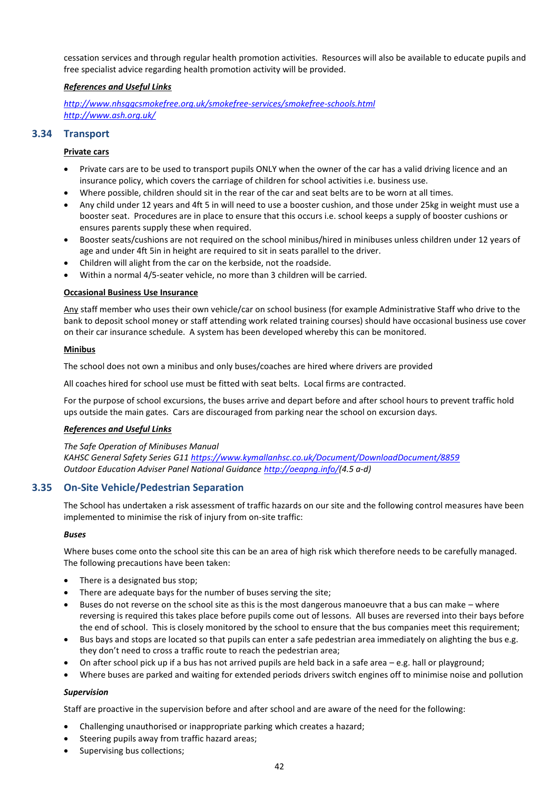cessation services and through regular health promotion activities. Resources will also be available to educate pupils and free specialist advice regarding health promotion activity will be provided.

#### *References and Useful Links*

*<http://www.nhsggcsmokefree.org.uk/smokefree-services/smokefree-schools.html> <http://www.ash.org.uk/>*

#### <span id="page-45-0"></span>**3.34 Transport**

#### **Private cars**

- Private cars are to be used to transport pupils ONLY when the owner of the car has a valid driving licence and an insurance policy, which covers the carriage of children for school activities i.e. business use.
- Where possible, children should sit in the rear of the car and seat belts are to be worn at all times.
- Any child under 12 years and 4ft 5 in will need to use a booster cushion, and those under 25kg in weight must use a booster seat. Procedures are in place to ensure that this occurs i.e. school keeps a supply of booster cushions or ensures parents supply these when required.
- Booster seats/cushions are not required on the school minibus/hired in minibuses unless children under 12 years of age and under 4ft 5in in height are required to sit in seats parallel to the driver.
- Children will alight from the car on the kerbside, not the roadside.
- Within a normal 4/5-seater vehicle, no more than 3 children will be carried.

#### **Occasional Business Use Insurance**

Any staff member who uses their own vehicle/car on school business (for example Administrative Staff who drive to the bank to deposit school money or staff attending work related training courses) should have occasional business use cover on their car insurance schedule. A system has been developed whereby this can be monitored.

#### **Minibus**

The school does not own a minibus and only buses/coaches are hired where drivers are provided

All coaches hired for school use must be fitted with seat belts. Local firms are contracted.

For the purpose of school excursions, the buses arrive and depart before and after school hours to prevent traffic hold ups outside the main gates. Cars are discouraged from parking near the school on excursion days.

#### *References and Useful Links*

*The Safe Operation of Minibuses Manual KAHSC General Safety Series G1[1 https://www.kymallanhsc.co.uk/Document/DownloadDocument/8859](https://www.kymallanhsc.co.uk/Document/DownloadDocument/8859) Outdoor Education Adviser Panel National Guidance [http://oeapng.info/\(](http://oeapng.info/)4.5 a-d)*

#### <span id="page-45-1"></span>**3.35 On-Site Vehicle/Pedestrian Separation**

The School has undertaken a risk assessment of traffic hazards on our site and the following control measures have been implemented to minimise the risk of injury from on-site traffic:

#### *Buses*

Where buses come onto the school site this can be an area of high risk which therefore needs to be carefully managed. The following precautions have been taken:

- There is a designated bus stop;
- There are adequate bays for the number of buses serving the site;
- Buses do not reverse on the school site as this is the most dangerous manoeuvre that a bus can make where reversing is required this takes place before pupils come out of lessons. All buses are reversed into their bays before the end of school. This is closely monitored by the school to ensure that the bus companies meet this requirement;
- Bus bays and stops are located so that pupils can enter a safe pedestrian area immediately on alighting the bus e.g. they don't need to cross a traffic route to reach the pedestrian area;
- On after school pick up if a bus has not arrived pupils are held back in a safe area  $-e.g.$  hall or playground;
- Where buses are parked and waiting for extended periods drivers switch engines off to minimise noise and pollution

#### *Supervision*

Staff are proactive in the supervision before and after school and are aware of the need for the following:

- Challenging unauthorised or inappropriate parking which creates a hazard;
- Steering pupils away from traffic hazard areas;
- Supervising bus collections;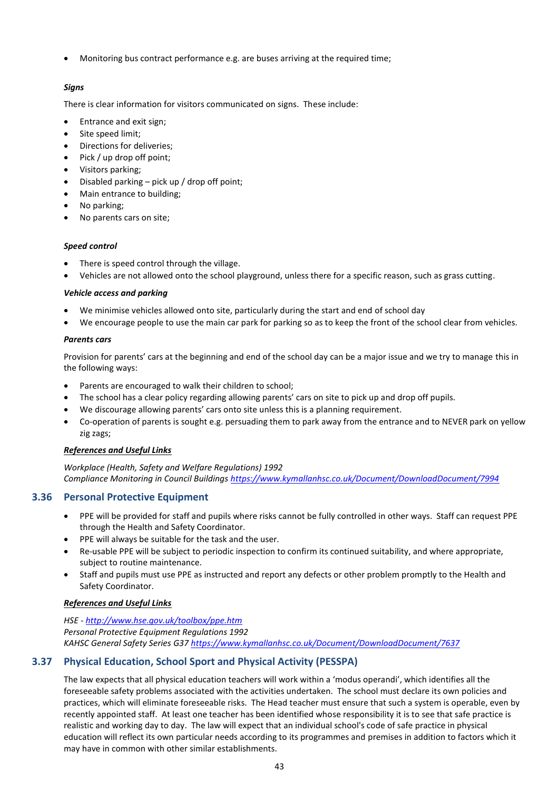• Monitoring bus contract performance e.g. are buses arriving at the required time;

#### *Signs*

There is clear information for visitors communicated on signs. These include:

- Entrance and exit sign;
- Site speed limit;
- Directions for deliveries;
- Pick / up drop off point;
- Visitors parking;
- Disabled parking pick up / drop off point;
- Main entrance to building;
- No parking;
- No parents cars on site;

#### *Speed control*

- There is speed control through the village.
- Vehicles are not allowed onto the school playground, unless there for a specific reason, such as grass cutting.

#### *Vehicle access and parking*

- We minimise vehicles allowed onto site, particularly during the start and end of school day
- We encourage people to use the main car park for parking so as to keep the front of the school clear from vehicles.

#### *Parents cars*

Provision for parents' cars at the beginning and end of the school day can be a major issue and we try to manage this in the following ways:

- Parents are encouraged to walk their children to school;
- The school has a clear policy regarding allowing parents' cars on site to pick up and drop off pupils.
- We discourage allowing parents' cars onto site unless this is a planning requirement.
- Co-operation of parents is sought e.g. persuading them to park away from the entrance and to NEVER park on yellow zig zags;

#### *References and Useful Links*

*Workplace (Health, Safety and Welfare Regulations) 1992 Compliance Monitoring in Council Building[s https://www.kymallanhsc.co.uk/Document/DownloadDocument/7994](https://www.kymallanhsc.co.uk/Document/DownloadDocument/7994)*

#### <span id="page-46-0"></span>**3.36 Personal Protective Equipment**

- PPE will be provided for staff and pupils where risks cannot be fully controlled in other ways. Staff can request PPE through the Health and Safety Coordinator.
- PPE will always be suitable for the task and the user.
- Re-usable PPE will be subject to periodic inspection to confirm its continued suitability, and where appropriate, subject to routine maintenance.
- Staff and pupils must use PPE as instructed and report any defects or other problem promptly to the Health and Safety Coordinator.

#### *References and Useful Links*

*HSE - <http://www.hse.gov.uk/toolbox/ppe.htm> Personal Protective Equipment Regulations 1992 KAHSC General Safety Series G3[7 https://www.kymallanhsc.co.uk/Document/DownloadDocument/7637](https://www.kymallanhsc.co.uk/Document/DownloadDocument/7637)*

#### <span id="page-46-1"></span>**3.37 Physical Education, School Sport and Physical Activity (PESSPA)**

The law expects that all physical education teachers will work within a 'modus operandi', which identifies all the foreseeable safety problems associated with the activities undertaken. The school must declare its own policies and practices, which will eliminate foreseeable risks. The Head teacher must ensure that such a system is operable, even by recently appointed staff. At least one teacher has been identified whose responsibility it is to see that safe practice is realistic and working day to day. The law will expect that an individual school's code of safe practice in physical education will reflect its own particular needs according to its programmes and premises in addition to factors which it may have in common with other similar establishments.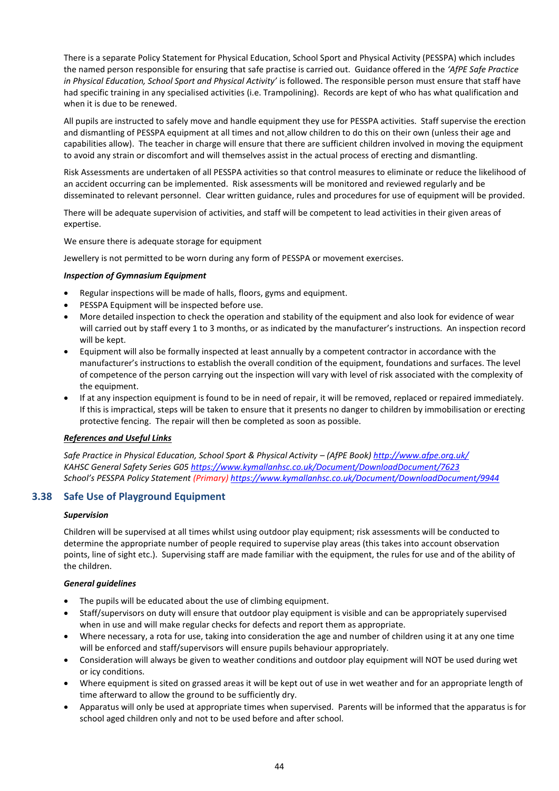There is a separate Policy Statement for Physical Education, School Sport and Physical Activity (PESSPA) which includes the named person responsible for ensuring that safe practise is carried out. Guidance offered in the *'AfPE Safe Practice in Physical Education, School Sport and Physical Activity'* is followed. The responsible person must ensure that staff have had specific training in any specialised activities (i.e. Trampolining). Records are kept of who has what qualification and when it is due to be renewed.

All pupils are instructed to safely move and handle equipment they use for PESSPA activities. Staff supervise the erection and dismantling of PESSPA equipment at all times and not allow children to do this on their own (unless their age and capabilities allow). The teacher in charge will ensure that there are sufficient children involved in moving the equipment to avoid any strain or discomfort and will themselves assist in the actual process of erecting and dismantling.

Risk Assessments are undertaken of all PESSPA activities so that control measures to eliminate or reduce the likelihood of an accident occurring can be implemented. Risk assessments will be monitored and reviewed regularly and be disseminated to relevant personnel. Clear written guidance, rules and procedures for use of equipment will be provided.

There will be adequate supervision of activities, and staff will be competent to lead activities in their given areas of expertise.

We ensure there is adequate storage for equipment

Jewellery is not permitted to be worn during any form of PESSPA or movement exercises.

#### *Inspection of Gymnasium Equipment*

- Regular inspections will be made of halls, floors, gyms and equipment.
- PESSPA Equipment will be inspected before use.
- More detailed inspection to check the operation and stability of the equipment and also look for evidence of wear will carried out by staff every 1 to 3 months, or as indicated by the manufacturer's instructions. An inspection record will be kept.
- Equipment will also be formally inspected at least annually by a competent contractor in accordance with the manufacturer's instructions to establish the overall condition of the equipment, foundations and surfaces. The level of competence of the person carrying out the inspection will vary with level of risk associated with the complexity of the equipment.
- If at any inspection equipment is found to be in need of repair, it will be removed, replaced or repaired immediately. If this is impractical, steps will be taken to ensure that it presents no danger to children by immobilisation or erecting protective fencing. The repair will then be completed as soon as possible.

#### *References and Useful Links*

*Safe Practice in Physical Education, School Sport & Physical Activity – (AfPE Book)<http://www.afpe.org.uk/> KAHSC General Safety Series G0[5 https://www.kymallanhsc.co.uk/Document/DownloadDocument/7623](https://www.kymallanhsc.co.uk/Document/DownloadDocument/7623) School's PESSPA Policy Statement (Primary) <https://www.kymallanhsc.co.uk/Document/DownloadDocument/9944>*

#### <span id="page-47-0"></span>**3.38 Safe Use of Playground Equipment**

#### *Supervision*

Children will be supervised at all times whilst using outdoor play equipment; risk assessments will be conducted to determine the appropriate number of people required to supervise play areas (this takes into account observation points, line of sight etc.). Supervising staff are made familiar with the equipment, the rules for use and of the ability of the children.

#### *General guidelines*

- The pupils will be educated about the use of climbing equipment.
- Staff/supervisors on duty will ensure that outdoor play equipment is visible and can be appropriately supervised when in use and will make regular checks for defects and report them as appropriate.
- Where necessary, a rota for use, taking into consideration the age and number of children using it at any one time will be enforced and staff/supervisors will ensure pupils behaviour appropriately.
- Consideration will always be given to weather conditions and outdoor play equipment will NOT be used during wet or icy conditions.
- Where equipment is sited on grassed areas it will be kept out of use in wet weather and for an appropriate length of time afterward to allow the ground to be sufficiently dry.
- Apparatus will only be used at appropriate times when supervised. Parents will be informed that the apparatus is for school aged children only and not to be used before and after school.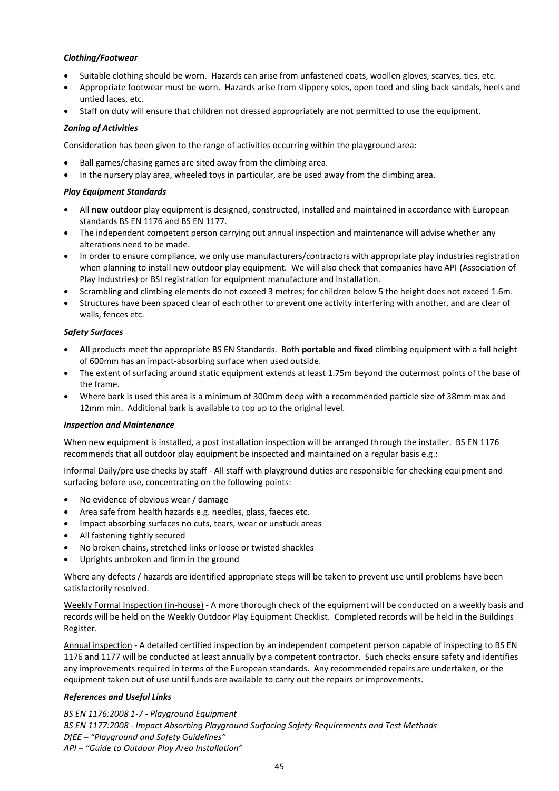#### *Clothing/Footwear*

- Suitable clothing should be worn. Hazards can arise from unfastened coats, woollen gloves, scarves, ties, etc.
- Appropriate footwear must be worn. Hazards arise from slippery soles, open toed and sling back sandals, heels and untied laces, etc.
- Staff on duty will ensure that children not dressed appropriately are not permitted to use the equipment.

#### *Zoning of Activities*

Consideration has been given to the range of activities occurring within the playground area:

- Ball games/chasing games are sited away from the climbing area.
- In the nursery play area, wheeled toys in particular, are be used away from the climbing area.

#### *Play Equipment Standards*

- All **new** outdoor play equipment is designed, constructed, installed and maintained in accordance with European standards BS EN 1176 and BS EN 1177.
- The independent competent person carrying out annual inspection and maintenance will advise whether any alterations need to be made.
- In order to ensure compliance, we only use manufacturers/contractors with appropriate play industries registration when planning to install new outdoor play equipment. We will also check that companies have API (Association of Play Industries) or BSI registration for equipment manufacture and installation.
- Scrambling and climbing elements do not exceed 3 metres; for children below 5 the height does not exceed 1.6m.
- Structures have been spaced clear of each other to prevent one activity interfering with another, and are clear of walls, fences etc.

#### *Safety Surfaces*

- **All** products meet the appropriate BS EN Standards. Both **portable** and **fixed** climbing equipment with a fall height of 600mm has an impact-absorbing surface when used outside.
- The extent of surfacing around static equipment extends at least 1.75m beyond the outermost points of the base of the frame.
- Where bark is used this area is a minimum of 300mm deep with a recommended particle size of 38mm max and 12mm min. Additional bark is available to top up to the original level.

#### *Inspection and Maintenance*

When new equipment is installed, a post installation inspection will be arranged through the installer. BS EN 1176 recommends that all outdoor play equipment be inspected and maintained on a regular basis e.g.:

Informal Daily/pre use checks by staff - All staff with playground duties are responsible for checking equipment and surfacing before use, concentrating on the following points:

- No evidence of obvious wear / damage
- Area safe from health hazards e.g. needles, glass, faeces etc.
- Impact absorbing surfaces no cuts, tears, wear or unstuck areas
- All fastening tightly secured
- No broken chains, stretched links or loose or twisted shackles
- Uprights unbroken and firm in the ground

Where any defects / hazards are identified appropriate steps will be taken to prevent use until problems have been satisfactorily resolved.

Weekly Formal Inspection (in-house) - A more thorough check of the equipment will be conducted on a weekly basis and records will be held on the Weekly Outdoor Play Equipment Checklist. Completed records will be held in the Buildings Register.

Annual inspection - A detailed certified inspection by an independent competent person capable of inspecting to BS EN 1176 and 1177 will be conducted at least annually by a competent contractor. Such checks ensure safety and identifies any improvements required in terms of the European standards. Any recommended repairs are undertaken, or the equipment taken out of use until funds are available to carry out the repairs or improvements.

#### *References and Useful Links*

*BS EN 1176:2008 1-7 - Playground Equipment BS EN 1177:2008 - Impact Absorbing Playground Surfacing Safety Requirements and Test Methods DfEE – "Playground and Safety Guidelines" API – "Guide to Outdoor Play Area Installation"*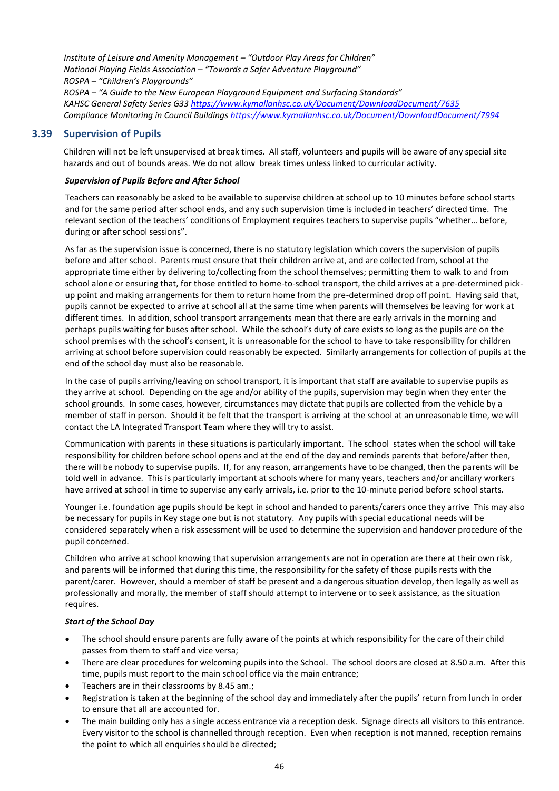*Institute of Leisure and Amenity Management – "Outdoor Play Areas for Children" National Playing Fields Association – "Towards a Safer Adventure Playground" ROSPA – "Children's Playgrounds" ROSPA – "A Guide to the New European Playground Equipment and Surfacing Standards" KAHSC General Safety Series G3[3 https://www.kymallanhsc.co.uk/Document/DownloadDocument/7635](https://www.kymallanhsc.co.uk/Document/DownloadDocument/7635) Compliance Monitoring in Council Building[s https://www.kymallanhsc.co.uk/Document/DownloadDocument/7994](https://www.kymallanhsc.co.uk/Document/DownloadDocument/7994)*

#### <span id="page-49-0"></span>**3.39 Supervision of Pupils**

Children will not be left unsupervised at break times. All staff, volunteers and pupils will be aware of any special site hazards and out of bounds areas. We do not allow break times unless linked to curricular activity.

#### *Supervision of Pupils Before and After School*

Teachers can reasonably be asked to be available to supervise children at school up to 10 minutes before school starts and for the same period after school ends, and any such supervision time is included in teachers' directed time. The relevant section of the teachers' conditions of Employment requires teachers to supervise pupils "whether… before, during or after school sessions".

As far as the supervision issue is concerned, there is no statutory legislation which covers the supervision of pupils before and after school. Parents must ensure that their children arrive at, and are collected from, school at the appropriate time either by delivering to/collecting from the school themselves; permitting them to walk to and from school alone or ensuring that, for those entitled to home-to-school transport, the child arrives at a pre-determined pickup point and making arrangements for them to return home from the pre-determined drop off point. Having said that, pupils cannot be expected to arrive at school all at the same time when parents will themselves be leaving for work at different times. In addition, school transport arrangements mean that there are early arrivals in the morning and perhaps pupils waiting for buses after school. While the school's duty of care exists so long as the pupils are on the school premises with the school's consent, it is unreasonable for the school to have to take responsibility for children arriving at school before supervision could reasonably be expected. Similarly arrangements for collection of pupils at the end of the school day must also be reasonable.

In the case of pupils arriving/leaving on school transport, it is important that staff are available to supervise pupils as they arrive at school. Depending on the age and/or ability of the pupils, supervision may begin when they enter the school grounds. In some cases, however, circumstances may dictate that pupils are collected from the vehicle by a member of staff in person. Should it be felt that the transport is arriving at the school at an unreasonable time, we will contact the LA Integrated Transport Team where they will try to assist.

Communication with parents in these situations is particularly important. The school states when the school will take responsibility for children before school opens and at the end of the day and reminds parents that before/after then, there will be nobody to supervise pupils. If, for any reason, arrangements have to be changed, then the parents will be told well in advance. This is particularly important at schools where for many years, teachers and/or ancillary workers have arrived at school in time to supervise any early arrivals, i.e. prior to the 10-minute period before school starts.

Younger i.e. foundation age pupils should be kept in school and handed to parents/carers once they arrive This may also be necessary for pupils in Key stage one but is not statutory. Any pupils with special educational needs will be considered separately when a risk assessment will be used to determine the supervision and handover procedure of the pupil concerned.

Children who arrive at school knowing that supervision arrangements are not in operation are there at their own risk, and parents will be informed that during this time, the responsibility for the safety of those pupils rests with the parent/carer. However, should a member of staff be present and a dangerous situation develop, then legally as well as professionally and morally, the member of staff should attempt to intervene or to seek assistance, as the situation requires.

#### *Start of the School Day*

- The school should ensure parents are fully aware of the points at which responsibility for the care of their child passes from them to staff and vice versa;
- There are clear procedures for welcoming pupils into the School. The school doors are closed at 8.50 a.m. After this time, pupils must report to the main school office via the main entrance;
- Teachers are in their classrooms by 8.45 am.;
- Registration is taken at the beginning of the school day and immediately after the pupils' return from lunch in order to ensure that all are accounted for.
- The main building only has a single access entrance via a reception desk. Signage directs all visitors to this entrance. Every visitor to the school is channelled through reception. Even when reception is not manned, reception remains the point to which all enquiries should be directed;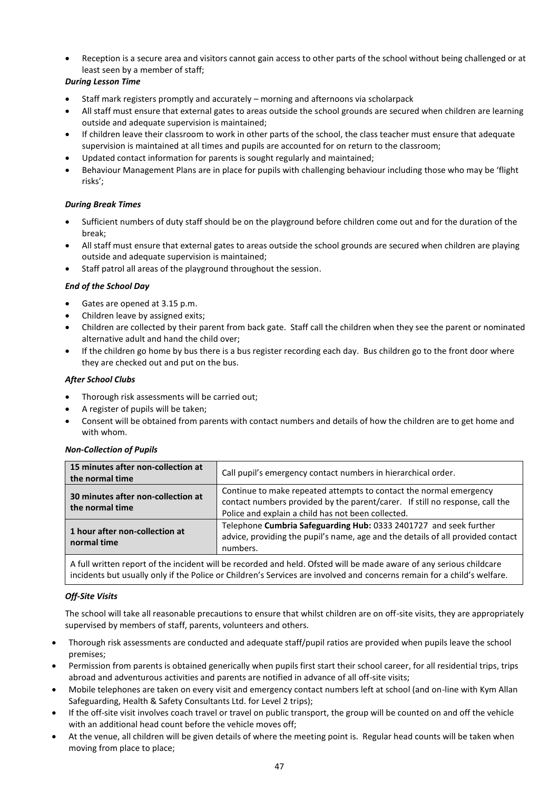• Reception is a secure area and visitors cannot gain access to other parts of the school without being challenged or at least seen by a member of staff;

#### *During Lesson Time*

- Staff mark registers promptly and accurately morning and afternoons via scholarpack
- All staff must ensure that external gates to areas outside the school grounds are secured when children are learning outside and adequate supervision is maintained;
- If children leave their classroom to work in other parts of the school, the class teacher must ensure that adequate supervision is maintained at all times and pupils are accounted for on return to the classroom;
- Updated contact information for parents is sought regularly and maintained;
- Behaviour Management Plans are in place for pupils with challenging behaviour including those who may be 'flight risks';

#### *During Break Times*

- Sufficient numbers of duty staff should be on the playground before children come out and for the duration of the break;
- All staff must ensure that external gates to areas outside the school grounds are secured when children are playing outside and adequate supervision is maintained;
- Staff patrol all areas of the playground throughout the session.

#### *End of the School Day*

- Gates are opened at 3.15 p.m.
- Children leave by assigned exits;
- Children are collected by their parent from back gate. Staff call the children when they see the parent or nominated alternative adult and hand the child over;
- If the children go home by bus there is a bus register recording each day. Bus children go to the front door where they are checked out and put on the bus.

#### *After School Clubs*

- Thorough risk assessments will be carried out;
- A register of pupils will be taken;
- Consent will be obtained from parents with contact numbers and details of how the children are to get home and with whom.

| <b>Non-Collection of Pupils</b> |  |
|---------------------------------|--|
|---------------------------------|--|

| 15 minutes after non-collection at<br>the normal time | Call pupil's emergency contact numbers in hierarchical order.                                                                                                                                            |
|-------------------------------------------------------|----------------------------------------------------------------------------------------------------------------------------------------------------------------------------------------------------------|
| 30 minutes after non-collection at<br>the normal time | Continue to make repeated attempts to contact the normal emergency<br>contact numbers provided by the parent/carer. If still no response, call the<br>Police and explain a child has not been collected. |
| 1 hour after non-collection at<br>normal time         | Telephone Cumbria Safeguarding Hub: 0333 2401727 and seek further<br>advice, providing the pupil's name, age and the details of all provided contact<br>numbers.                                         |

A full written report of the incident will be recorded and held. Ofsted will be made aware of any serious childcare incidents but usually only if the Police or Children's Services are involved and concerns remain for a child's welfare.

#### *Off-Site Visits*

The school will take all reasonable precautions to ensure that whilst children are on off-site visits, they are appropriately supervised by members of staff, parents, volunteers and others.

- Thorough risk assessments are conducted and adequate staff/pupil ratios are provided when pupils leave the school premises;
- Permission from parents is obtained generically when pupils first start their school career, for all residential trips, trips abroad and adventurous activities and parents are notified in advance of all off-site visits;
- Mobile telephones are taken on every visit and emergency contact numbers left at school (and on-line with Kym Allan Safeguarding, Health & Safety Consultants Ltd. for Level 2 trips);
- If the off-site visit involves coach travel or travel on public transport, the group will be counted on and off the vehicle with an additional head count before the vehicle moves off;
- At the venue, all children will be given details of where the meeting point is. Regular head counts will be taken when moving from place to place;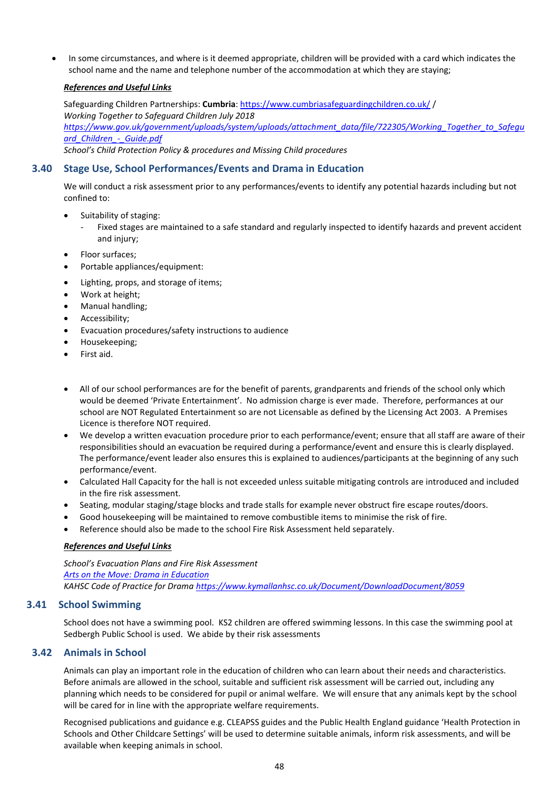• In some circumstances, and where is it deemed appropriate, children will be provided with a card which indicates the school name and the name and telephone number of the accommodation at which they are staying;

#### *References and Useful Links*

Safeguarding Children Partnerships: **Cumbria**:<https://www.cumbriasafeguardingchildren.co.uk/> / *Working Together to Safeguard Children July 2018 [https://www.gov.uk/government/uploads/system/uploads/attachment\\_data/file/722305/Working\\_Together\\_to\\_Safegu](https://www.gov.uk/government/uploads/system/uploads/attachment_data/file/722305/Working_Together_to_Safeguard_Children_-_Guide.pdf) [ard\\_Children\\_-\\_Guide.pdf](https://www.gov.uk/government/uploads/system/uploads/attachment_data/file/722305/Working_Together_to_Safeguard_Children_-_Guide.pdf)*

*School's Child Protection Policy & procedures and Missing Child procedures*

#### <span id="page-51-0"></span>**3.40 Stage Use, School Performances/Events and Drama in Education**

We will conduct a risk assessment prior to any performances/events to identify any potential hazards including but not confined to:

- Suitability of staging:
	- Fixed stages are maintained to a safe standard and regularly inspected to identify hazards and prevent accident and injury;
- Floor surfaces;
- Portable appliances/equipment:
- Lighting, props, and storage of items;
- Work at height;
- Manual handling;
- Accessibility;
- Evacuation procedures/safety instructions to audience
- Housekeeping;
- First aid.
- All of our school performances are for the benefit of parents, grandparents and friends of the school only which would be deemed 'Private Entertainment'. No admission charge is ever made. Therefore, performances at our school are NOT Regulated Entertainment so are not Licensable as defined by the Licensing Act 2003. A Premises Licence is therefore NOT required.
- We develop a written evacuation procedure prior to each performance/event; ensure that all staff are aware of their responsibilities should an evacuation be required during a performance/event and ensure this is clearly displayed. The performance/event leader also ensures this is explained to audiences/participants at the beginning of any such performance/event.
- Calculated Hall Capacity for the hall is not exceeded unless suitable mitigating controls are introduced and included in the fire risk assessment.
- Seating, modular staging/stage blocks and trade stalls for example never obstruct fire escape routes/doors.
- Good housekeeping will be maintained to remove combustible items to minimise the risk of fire.
- Reference should also be made to the school Fire Risk Assessment held separately.

#### *References and Useful Links*

*School's Evacuation Plans and Fire Risk Assessment [Arts on the Move: Drama in Education](https://www.artsonthemove.co.uk/education/health-and-safety.php) KAHSC Code of Practice for Drama <https://www.kymallanhsc.co.uk/Document/DownloadDocument/8059>*

#### <span id="page-51-1"></span>**3.41 School Swimming**

School does not have a swimming pool. KS2 children are offered swimming lessons. In this case the swimming pool at Sedbergh Public School is used. We abide by their risk assessments

#### <span id="page-51-2"></span>**3.42 Animals in School**

Animals can play an important role in the education of children who can learn about their needs and characteristics. Before animals are allowed in the school, suitable and sufficient risk assessment will be carried out, including any planning which needs to be considered for pupil or animal welfare. We will ensure that any animals kept by the school will be cared for in line with the appropriate welfare requirements.

Recognised publications and guidance e.g. CLEAPSS guides and the Public Health England guidance 'Health Protection in Schools and Other Childcare Settings' will be used to determine suitable animals, inform risk assessments, and will be available when keeping animals in school.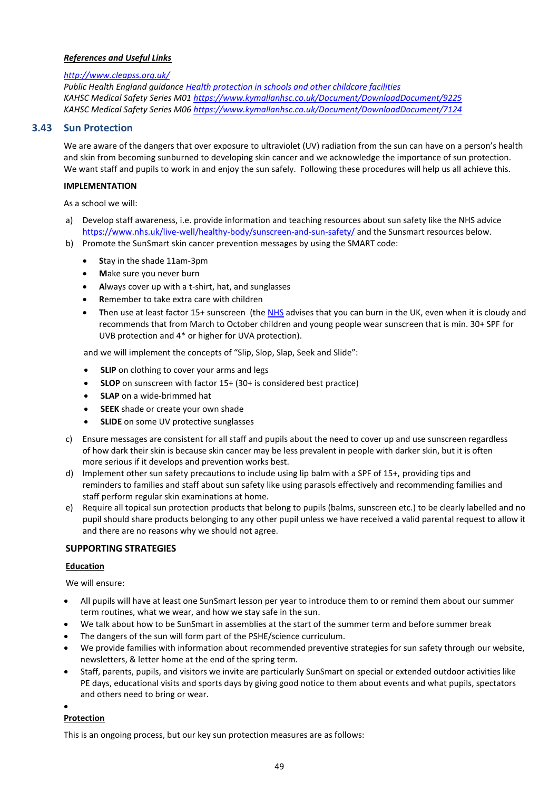#### *References and Useful Links*

#### *<http://www.cleapss.org.uk/>*

*Public Health England guidance [Health protection in schools and other childcare facilities](https://www.gov.uk/government/publications/health-protection-in-schools-and-other-childcare-facilities) KAHSC Medical Safety Series M01<https://www.kymallanhsc.co.uk/Document/DownloadDocument/9225> KAHSC Medical Safety Series M06<https://www.kymallanhsc.co.uk/Document/DownloadDocument/7124>*

#### <span id="page-52-0"></span>**3.43 Sun Protection**

We are aware of the dangers that over exposure to ultraviolet (UV) radiation from the sun can have on a person's health and skin from becoming sunburned to developing skin cancer and we acknowledge the importance of sun protection. We want staff and pupils to work in and enjoy the sun safely. Following these procedures will help us all achieve this.

#### **IMPLEMENTATION**

As a school we will:

- a) Develop staff awareness, i.e. provide information and teaching resources about sun safety like the NHS advice <https://www.nhs.uk/live-well/healthy-body/sunscreen-and-sun-safety/> and the Sunsmart resources below.
- b) Promote the SunSmart skin cancer prevention messages by using the SMART code:
	- **S**tay in the shade 11am-3pm
	- **M**ake sure you never burn
	- **A**lways cover up with a t-shirt, hat, and sunglasses
	- **R**emember to take extra care with children
	- **T**hen use at least factor 15+ sunscreen (the [NHS](https://www.nhs.uk/live-well/healthy-body/sunscreen-and-sun-safety/) advises that you can burn in the UK, even when it is cloudy and recommends that from March to October children and young people wear sunscreen that is min. 30+ SPF for UVB protection and 4\* or higher for UVA protection).

and we will implement the concepts of "Slip, Slop, Slap, Seek and Slide":

- **SLIP** on clothing to cover your arms and legs
- **SLOP** on sunscreen with factor 15+ (30+ is considered best practice)
- **SLAP** on a wide-brimmed hat
- **SEEK** shade or create your own shade
- **SLIDE** on some UV protective sunglasses
- c) Ensure messages are consistent for all staff and pupils about the need to cover up and use sunscreen regardless of how dark their skin is because skin cancer may be less prevalent in people with darker skin, but it is often more serious if it develops and prevention works best.
- d) Implement other sun safety precautions to include using lip balm with a SPF of 15+, providing tips and reminders to families and staff about sun safety like using parasols effectively and recommending families and staff perform regular skin examinations at home.
- e) Require all topical sun protection products that belong to pupils (balms, sunscreen etc.) to be clearly labelled and no pupil should share products belonging to any other pupil unless we have received a valid parental request to allow it and there are no reasons why we should not agree.

#### **SUPPORTING STRATEGIES**

#### **Education**

We will ensure:

- All pupils will have at least one SunSmart lesson per year to introduce them to or remind them about our summer term routines, what we wear, and how we stay safe in the sun.
- We talk about how to be SunSmart in assemblies at the start of the summer term and before summer break
- The dangers of the sun will form part of the PSHE/science curriculum.
- We provide families with information about recommended preventive strategies for sun safety through our website, newsletters, & letter home at the end of the spring term.
- Staff, parents, pupils, and visitors we invite are particularly SunSmart on special or extended outdoor activities like PE days, educational visits and sports days by giving good notice to them about events and what pupils, spectators and others need to bring or wear.
- •

#### **Protection**

This is an ongoing process, but our key sun protection measures are as follows: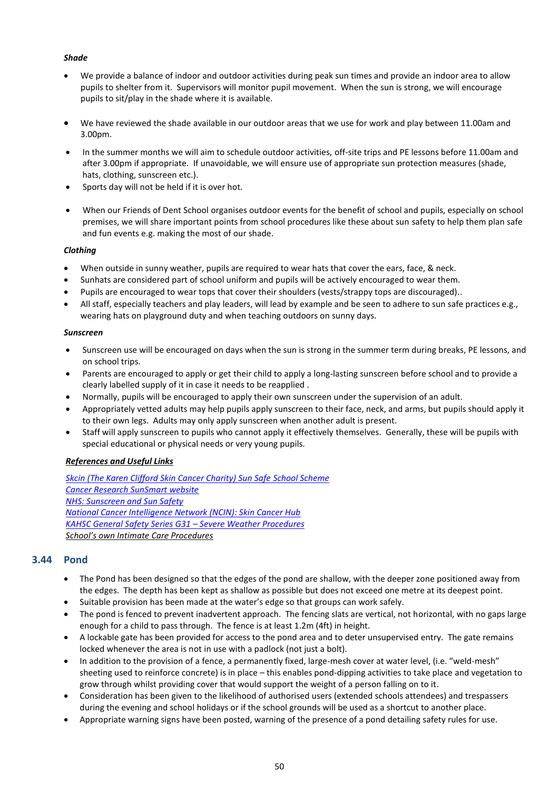#### *Shade*

- We provide a balance of indoor and outdoor activities during peak sun times and provide an indoor area to allow pupils to shelter from it. Supervisors will monitor pupil movement. When the sun is strong, we will encourage pupils to sit/play in the shade where it is available.
- We have reviewed the shade available in our outdoor areas that we use for work and play between 11.00am and 3.00pm.
- In the summer months we will aim to schedule outdoor activities, off-site trips and PE lessons before 11.00am and after 3.00pm if appropriate. If unavoidable, we will ensure use of appropriate sun protection measures (shade, hats, clothing, sunscreen etc.).
- Sports day will not be held if it is over hot.
- When our Friends of Dent School organises outdoor events for the benefit of school and pupils, especially on school premises, we will share important points from school procedures like these about sun safety to help them plan safe and fun events e.g. making the most of our shade.

#### *Clothing*

- When outside in sunny weather, pupils are required to wear hats that cover the ears, face, & neck.
- Sunhats are considered part of school uniform and pupils will be actively encouraged to wear them.
- Pupils are encouraged to wear tops that cover their shoulders (vests/strappy tops are discouraged)..
- All staff, especially teachers and play leaders, will lead by example and be seen to adhere to sun safe practices e.g., wearing hats on playground duty and when teaching outdoors on sunny days.

#### *Sunscreen*

- Sunscreen use will be encouraged on days when the sun is strong in the summer term during breaks, PE lessons, and on school trips.
- Parents are encouraged to apply or get their child to apply a long-lasting sunscreen before school and to provide a clearly labelled supply of it in case it needs to be reapplied .
- Normally, pupils will be encouraged to apply their own sunscreen under the supervision of an adult.
- Appropriately vetted adults may help pupils apply sunscreen to their face, neck, and arms, but pupils should apply it to their own legs. Adults may only apply sunscreen when another adult is present.
- Staff will apply sunscreen to pupils who cannot apply it effectively themselves. Generally, these will be pupils with special educational or physical needs or very young pupils.

#### *References and Useful Links*

*[Skcin \(The Karen Clifford Skin Cancer Charity\) Sun Safe School Scheme](https://www.skcin.org/ourWork/sunSafeSchools.htm) [Cancer Research SunSmart website](http://www.sunsmart.org.uk/schools/schoolpolicyguidelines/) [NHS: Sunscreen and Sun Safety](https://www.nhs.uk/live-well/healthy-body/sunscreen-and-sun-safety/) [National Cancer Intelligence Network \(NCIN\): Skin Cancer Hub](http://www.ncin.org.uk/cancer_type_and_topic_specific_work/cancer_type_specific_work/skin_cancer/skin_cancer_hub/) [KAHSC General Safety Series G31](https://www.kymallanhsc.co.uk/Document/DownloadDocument/7872) – Severe Weather Procedures School's own Intimate Care Procedures*

#### <span id="page-53-0"></span>**3.44 Pond**

- The Pond has been designed so that the edges of the pond are shallow, with the deeper zone positioned away from the edges. The depth has been kept as shallow as possible but does not exceed one metre at its deepest point.
- Suitable provision has been made at the water's edge so that groups can work safely.
- The pond is fenced to prevent inadvertent approach. The fencing slats are vertical, not horizontal, with no gaps large enough for a child to pass through. The fence is at least 1.2m (4ft) in height.
- A lockable gate has been provided for access to the pond area and to deter unsupervised entry. The gate remains locked whenever the area is not in use with a padlock (not just a bolt).
- In addition to the provision of a fence, a permanently fixed, large-mesh cover at water level, (i.e. "weld-mesh" sheeting used to reinforce concrete) is in place – this enables pond-dipping activities to take place and vegetation to grow through whilst providing cover that would support the weight of a person falling on to it.
- Consideration has been given to the likelihood of authorised users (extended schools attendees) and trespassers during the evening and school holidays or if the school grounds will be used as a shortcut to another place.
- Appropriate warning signs have been posted, warning of the presence of a pond detailing safety rules for use.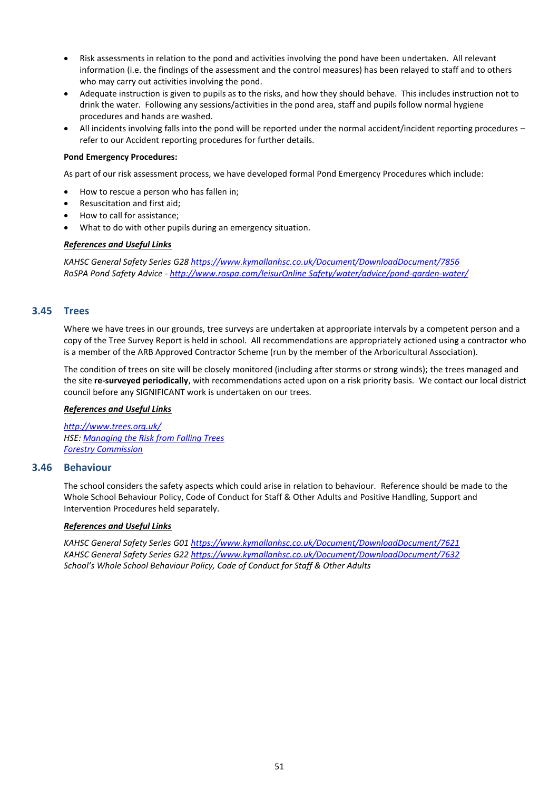- Risk assessments in relation to the pond and activities involving the pond have been undertaken. All relevant information (i.e. the findings of the assessment and the control measures) has been relayed to staff and to others who may carry out activities involving the pond.
- Adequate instruction is given to pupils as to the risks, and how they should behave. This includes instruction not to drink the water. Following any sessions/activities in the pond area, staff and pupils follow normal hygiene procedures and hands are washed.
- All incidents involving falls into the pond will be reported under the normal accident/incident reporting procedures refer to our Accident reporting procedures for further details.

#### **Pond Emergency Procedures:**

As part of our risk assessment process, we have developed formal Pond Emergency Procedures which include:

- How to rescue a person who has fallen in;
- Resuscitation and first aid;
- How to call for assistance;
- What to do with other pupils during an emergency situation.

#### *References and Useful Links*

*KAHSC General Safety Series G2[8 https://www.kymallanhsc.co.uk/Document/DownloadDocument/7856](https://www.kymallanhsc.co.uk/Document/DownloadDocument/7856) RoSPA Pond Safety Advice - [http://www.rospa.com/leisurOnline Safety/water/advice/pond-garden-water/](http://www.rospa.com/leisure-safety/water/advice/pond-garden-water/)*

#### <span id="page-54-0"></span>**3.45 Trees**

Where we have trees in our grounds, tree surveys are undertaken at appropriate intervals by a competent person and a copy of the Tree Survey Report is held in school. All recommendations are appropriately actioned using a contractor who is a member of the ARB Approved Contractor Scheme (run by the member of the Arboricultural Association).

The condition of trees on site will be closely monitored (including after storms or strong winds); the trees managed and the site **re-surveyed periodically**, with recommendations acted upon on a risk priority basis. We contact our local district council before any SIGNIFICANT work is undertaken on our trees.

#### *References and Useful Links*

*<http://www.trees.org.uk/> HSE[: Managing the Risk from Falling Trees](http://www.hse.gov.uk/lau/lacs/23-22.htm) [Forestry Commission](http://www.forestry.gov.uk/)*

#### <span id="page-54-1"></span>**3.46 Behaviour**

The school considers the safety aspects which could arise in relation to behaviour. Reference should be made to the Whole School Behaviour Policy, Code of Conduct for Staff & Other Adults and Positive Handling, Support and Intervention Procedures held separately.

#### *References and Useful Links*

*KAHSC General Safety Series G0[1 https://www.kymallanhsc.co.uk/Document/DownloadDocument/7621](https://www.kymallanhsc.co.uk/Document/DownloadDocument/7621) KAHSC General Safety Series G2[2 https://www.kymallanhsc.co.uk/Document/DownloadDocument/7632](https://www.kymallanhsc.co.uk/Document/DownloadDocument/7632) School's Whole School Behaviour Policy, Code of Conduct for Staff & Other Adults*